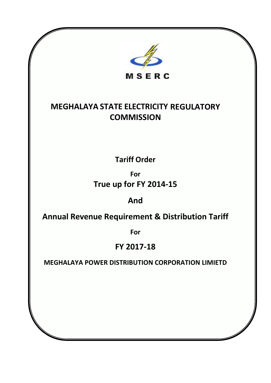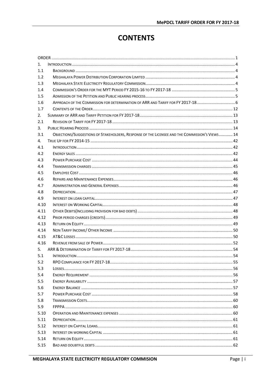## **CONTENTS**

| 1.   |                                                                                                |  |
|------|------------------------------------------------------------------------------------------------|--|
| 1.1  |                                                                                                |  |
| 1.2  |                                                                                                |  |
| 1.3  |                                                                                                |  |
| 1.4  |                                                                                                |  |
| 1.5  |                                                                                                |  |
| 1.6  |                                                                                                |  |
| 1.7  |                                                                                                |  |
| 2.   |                                                                                                |  |
| 2.1  |                                                                                                |  |
| 3.   |                                                                                                |  |
| 3.1  | OBJECTIONS/SUGGESTIONS OF STAKEHOLDERS, RESPONSE OF THE LICENSEE AND THE COMMISSION'S VIEWS 14 |  |
| 4.   |                                                                                                |  |
| 4.1  |                                                                                                |  |
| 4.2  |                                                                                                |  |
| 4.3  |                                                                                                |  |
| 4.4  |                                                                                                |  |
| 4.5  |                                                                                                |  |
| 4.6  |                                                                                                |  |
| 4.7  |                                                                                                |  |
| 4.8  |                                                                                                |  |
| 4.9  |                                                                                                |  |
| 4.10 |                                                                                                |  |
| 4.11 |                                                                                                |  |
| 4.12 |                                                                                                |  |
| 4.13 |                                                                                                |  |
| 4.14 |                                                                                                |  |
| 4.15 |                                                                                                |  |
| 4.16 |                                                                                                |  |
| 5.   |                                                                                                |  |
| 5.1  |                                                                                                |  |
| 5.2  |                                                                                                |  |
| 5.3  |                                                                                                |  |
| 5.4  |                                                                                                |  |
| 5.5  |                                                                                                |  |
| 5.6  |                                                                                                |  |
| 5.7  |                                                                                                |  |
| 5.8  |                                                                                                |  |
| 5.9  |                                                                                                |  |
| 5.10 |                                                                                                |  |
| 5.11 |                                                                                                |  |
| 5.12 |                                                                                                |  |
| 5.13 |                                                                                                |  |
| 5.14 |                                                                                                |  |
| 5.15 |                                                                                                |  |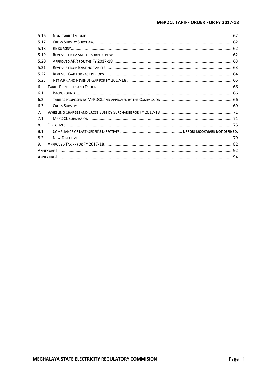| 5.16           |  |
|----------------|--|
| 5.17           |  |
| 5.18           |  |
| 5.19           |  |
| 5.20           |  |
| 5.21           |  |
| 5.22           |  |
| 5.23           |  |
| 6.             |  |
| 6.1            |  |
| 6.2            |  |
| 6.3            |  |
| 7 <sub>1</sub> |  |
| 7.1            |  |
| 8.             |  |
| 8.1            |  |
| 8.2            |  |
| 9.             |  |
|                |  |
|                |  |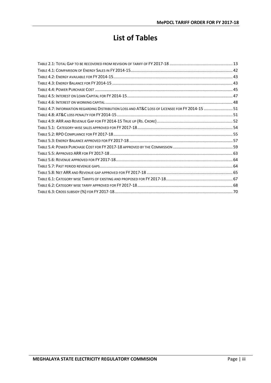# **List of Tables**

| TABLE 4.7: INFORMATION REGARDING DISTRIBUTION LOSS AND AT&C LOSS OF LICENSEE FOR FY 2014-15  51 |  |
|-------------------------------------------------------------------------------------------------|--|
|                                                                                                 |  |
|                                                                                                 |  |
|                                                                                                 |  |
|                                                                                                 |  |
|                                                                                                 |  |
|                                                                                                 |  |
|                                                                                                 |  |
|                                                                                                 |  |
|                                                                                                 |  |
|                                                                                                 |  |
|                                                                                                 |  |
|                                                                                                 |  |
|                                                                                                 |  |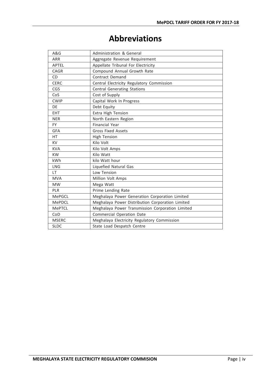# **Abbreviations**

| A&G           | <b>Administration &amp; General</b>              |
|---------------|--------------------------------------------------|
| <b>ARR</b>    | Aggregate Revenue Requirement                    |
| <b>APTEL</b>  | Appellate Tribunal For Electricity               |
| <b>CAGR</b>   | Compound Annual Growth Rate                      |
| <b>CD</b>     | Contract Demand                                  |
| <b>CERC</b>   | Central Electricity Regulatory Commission        |
| CGS           | <b>Central Generating Stations</b>               |
| CoS           | Cost of Supply                                   |
| <b>CWIP</b>   | Capital Work In Progress                         |
| DE            | Debt Equity                                      |
| <b>EHT</b>    | Extra High Tension                               |
| <b>NER</b>    | North Eastern Region                             |
| <b>FY</b>     | <b>Financial Year</b>                            |
| GFA           | <b>Gross Fixed Assets</b>                        |
| HT.           | <b>High Tension</b>                              |
| <b>KV</b>     | Kilo Volt                                        |
| <b>KVA</b>    | Kilo Volt Amps                                   |
| <b>KW</b>     | Kilo Watt                                        |
| kWh           | kilo Watt hour                                   |
| LNG           | Liquefied Natural Gas                            |
| LT            | Low Tension                                      |
| <b>MVA</b>    | Million Volt Amps                                |
| <b>MW</b>     | Mega Watt                                        |
| <b>PLR</b>    | Prime Lending Rate                               |
| <b>MePGCL</b> | Meghalaya Power Generation Corporation Limited   |
| <b>MePDCL</b> | Meghalaya Power Distribution Corporation Limited |
| <b>MePTCL</b> | Meghalaya Power Transmission Corporation Limited |
| CoD           | Commercial Operation Date                        |
| <b>MSERC</b>  | Meghalaya Electricity Regulatory Commission      |
| <b>SLDC</b>   | State Load Despatch Centre                       |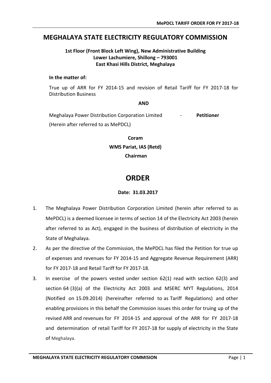## **MEGHALAYA STATE ELECTRICITY REGULATORY COMMISSION**

## **1st Floor (Front Block Left Wing), New Administrative Building Lower Lachumiere, Shillong – 793001 East Khasi Hills District, Meghalaya**

### **In the matter of:**

True up of ARR for FY 2014-15 and revision of Retail Tariff for FY 2017-18 for Distribution Business

**AND**

Meghalaya Power Distribution Corporation Limited - **Petitioner** (Herein after referred to as MePDCL)

> **Coram WMS Pariat, IAS (Retd) Chairman**

## <span id="page-6-0"></span> **ORDER**

## **Date: 31.03.2017**

- 1. The Meghalaya Power Distribution Corporation Limited (herein after referred to as MePDCL) is a deemed licensee in terms of section 14 of the Electricity Act 2003 (herein after referred to as Act), engaged in the business of distribution of electricity in the State of Meghalaya.
- 2. As per the directive of the Commission, the MePDCL has filed the Petition for true up of expenses and revenues for FY 2014-15 and Aggregate Revenue Requirement (ARR) for FY 2017-18 and Retail Tariff for FY 2017-18.
- 3. In exercise of the powers vested under section 62(1) read with section 62(3) and section 64 (3)(a) of the Electricity Act 2003 and MSERC MYT Regulations, 2014 (Notified on 15.09.2014) (hereinafter referred to as Tariff Regulations) and other enabling provisions in this behalf the Commission issues this order for truing up of the revised ARR and revenues for FY 2014-15 and approval of the ARR for FY 2017-18 and determination of retail Tariff for FY 2017-18 for supply of electricity in the State of Meghalaya.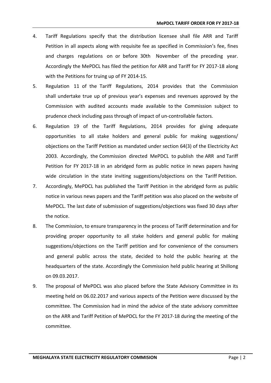- 4. Tariff Regulations specify that the distribution licensee shall file ARR and Tariff Petition in all aspects along with requisite fee as specified in Commission's fee, fines and charges regulations on or before 30th November of the preceding year. Accordingly the MePDCL has filed the petition for ARR and Tariff for FY 2017-18 along with the Petitions for truing up of FY 2014-15.
- 5. Regulation 11 of the Tariff Regulations, 2014 provides that the Commission shall undertake true up of previous year's expenses and revenues approved by the Commission with audited accounts made available to the Commission subject to prudence check including pass through of impact of un-controllable factors.
- 6. Regulation 19 of the Tariff Regulations, 2014 provides for giving adequate opportunities to all stake holders and general public for making suggestions/ objections on the Tariff Petition as mandated under section 64(3) of the Electricity Act 2003. Accordingly, the Commission directed MePDCL to publish the ARR and Tariff Petition for FY 2017-18 in an abridged form as public notice in news papers having wide circulation in the state inviting suggestions/objections on the Tariff Petition.
- 7. Accordingly, MePDCL has published the Tariff Petition in the abridged form as public notice in various news papers and the Tariff petition was also placed on the website of MePDCL. The last date of submission of suggestions/objections was fixed 30 days after the notice.
- 8. The Commission, to ensure transparency in the process of Tariff determination and for providing proper opportunity to all stake holders and general public for making suggestions/objections on the Tariff petition and for convenience of the consumers and general public across the state, decided to hold the public hearing at the headquarters of the state. Accordingly the Commission held public hearing at Shillong on 09.03.2017.
- 9. The proposal of MePDCL was also placed before the State Advisory Committee in its meeting held on 06.02.2017 and various aspects of the Petition were discussed by the committee. The Commission had in mind the advice of the state advisory committee on the ARR and Tariff Petition of MePDCL for the FY 2017-18 during the meeting of the committee.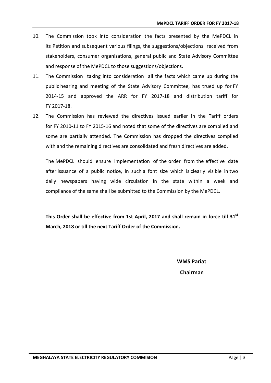- 10. The Commission took into consideration the facts presented by the MePDCL in its Petition and subsequent various filings, the suggestions/objections received from stakeholders, consumer organizations, general public and State Advisory Committee and response of the MePDCL to those suggestions/objections.
- 11. The Commission taking into consideration all the facts which came up during the public hearing and meeting of the State Advisory Committee, has trued up for FY 2014-15 and approved the ARR for FY 2017-18 and distribution tariff for FY 2017-18.
- 12. The Commission has reviewed the directives issued earlier in the Tariff orders for FY 2010-11 to FY 2015-16 and noted that some of the directives are complied and some are partially attended. The Commission has dropped the directives complied with and the remaining directives are consolidated and fresh directives are added.

The MePDCL should ensure implementation of the order from the effective date after issuance of a public notice, in such a font size which is clearly visible in two daily newspapers having wide circulation in the state within a week and compliance of the same shall be submitted to the Commission by the MePDCL.

**This Order shall be effective from 1st April, 2017 and shall remain in force till 31st March, 2018 or till the next Tariff Order of the Commission.**

> **WMS Pariat Chairman**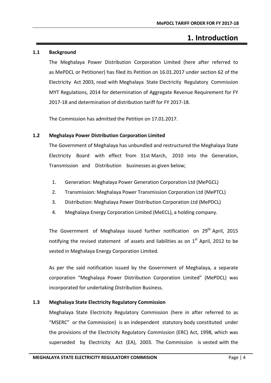## **1. Introduction**

## <span id="page-9-1"></span><span id="page-9-0"></span>**1.1 Background**

The Meghalaya Power Distribution Corporation Limited (here after referred to as MePDCL or Petitioner) has filed its Petition on 16.01.2017 under section 62 of the Electricity Act 2003, read with Meghalaya State Electricity Regulatory Commission MYT Regulations, 2014 for determination of Aggregate Revenue Requirement for FY 2017-18 and determination of distribution tariff for FY 2017-18.

The Commission has admitted the Petition on 17.01.2017.

## <span id="page-9-2"></span>**1.2 Meghalaya Power Distribution Corporation Limited**

The Government of Meghalaya has unbundled and restructured the Meghalaya State Electricity Board with effect from 31st March, 2010 into the Generation, Transmission and Distribution businesses as given below;

- 1. Generation: Meghalaya Power Generation Corporation Ltd (MePGCL)
- 2. Transmission: Meghalaya Power Transmission Corporation Ltd (MePTCL)
- 3. Distribution: Meghalaya Power Distribution Corporation Ltd (MePDCL)
- 4. Meghalaya Energy Corporation Limited (MeECL), a holding company.

The Government of Meghalaya issued further notification on 29<sup>th</sup> April, 2015 notifying the revised statement of assets and liabilities as on  $1<sup>st</sup>$  April, 2012 to be vested in Meghalaya Energy Corporation Limited.

As per the said notification issued by the Government of Meghalaya, a separate corporation "Meghalaya Power Distribution Corporation Limited" (MePDCL) was incorporated for undertaking Distribution Business.

## <span id="page-9-3"></span>**1.3 Meghalaya State Electricity Regulatory Commission**

Meghalaya State Electricity Regulatory Commission (here in after referred to as "MSERC" or the Commission) is an independent statutory body constituted under the provisions of the Electricity Regulatory Commission (ERC) Act, 1998, which was superseded by Electricity Act (EA), 2003. The Commission is vested with the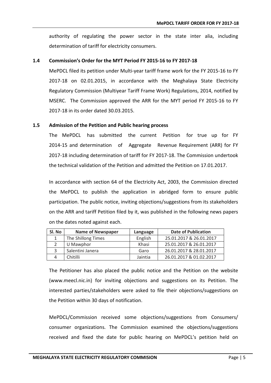authority of regulating the power sector in the state inter alia, including determination of tariff for electricity consumers.

#### <span id="page-10-0"></span>**1.4 Commission's Order for the MYT Period FY 2015-16 to FY 2017-18**

MePDCL filed its petition under Multi-year tariff frame work for the FY 2015-16 to FY 2017-18 on 02.01.2015, in accordance with the Meghalaya State Electricity Regulatory Commission (Multiyear Tariff Frame Work) Regulations, 2014, notified by MSERC. The Commission approved the ARR for the MYT period FY 2015-16 to FY 2017-18 in its order dated 30.03.2015.

#### <span id="page-10-1"></span>**1.5 Admission of the Petition and Public hearing process**

The MePDCL has submitted the current Petition for true up for FY 2014-15 and determination of Aggregate Revenue Requirement (ARR) for FY 2017-18 including determination of tariff for FY 2017-18. The Commission undertook the technical validation of the Petition and admitted the Petition on 17.01.2017.

In accordance with section 64 of the Electricity Act, 2003, the Commission directed the MePDCL to publish the application in abridged form to ensure public participation. The public notice, inviting objections/suggestions from its stakeholders on the ARR and tariff Petition filed by it, was published in the following news papers on the dates noted against each.

| SI. No | <b>Name of Newspaper</b> | Language | <b>Date of Publication</b> |
|--------|--------------------------|----------|----------------------------|
|        | The Shillong Times       | English  | 25.01.2017 & 26.01.2017    |
|        | U Mawphor                | Khasi    | 25.01.2017 & 26.01.2017    |
|        | Salentini Janera         | Garo     | 26.01.2017 & 28.01.2017    |
|        | Chitilli                 | Jaintia  | 26.01.2017 & 01.02.2017    |

The Petitioner has also placed the public notice and the Petition on the website (www.meecl.nic.in) for inviting objections and suggestions on its Petition. The interested parties/stakeholders were asked to file their objections/suggestions on the Petition within 30 days of notification.

MePDCL/Commission received some objections/suggestions from Consumers/ consumer organizations. The Commission examined the objections/suggestions received and fixed the date for public hearing on MePDCL's petition held on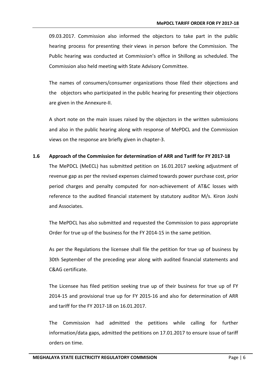09.03.2017. Commission also informed the objectors to take part in the public hearing process for presenting their views in person before the Commission. The Public hearing was conducted at Commission's office in Shillong as scheduled. The Commission also held meeting with State Advisory Committee.

The names of consumers/consumer organizations those filed their objections and the objectors who participated in the public hearing for presenting their objections are given in the Annexure-II.

A short note on the main issues raised by the objectors in the written submissions and also in the public hearing along with response of MePDCL and the Commission views on the response are briefly given in chapter-3.

## <span id="page-11-0"></span>**1.6 Approach of the Commission for determination of ARR and Tariff for FY 2017-18**

The MePDCL (MeECL) has submitted petition on 16.01.2017 seeking adjustment of revenue gap as per the revised expenses claimed towards power purchase cost, prior period charges and penalty computed for non-achievement of AT&C losses with reference to the audited financial statement by statutory auditor M/s. Kiron Joshi and Associates.

The MePDCL has also submitted and requested the Commission to pass appropriate Order for true up of the business for the FY 2014-15 in the same petition.

As per the Regulations the licensee shall file the petition for true up of business by 30th September of the preceding year along with audited financial statements and C&AG certificate.

The Licensee has filed petition seeking true up of their business for true up of FY 2014-15 and provisional true up for FY 2015-16 and also for determination of ARR and tariff for the FY 2017-18 on 16.01.2017.

The Commission had admitted the petitions while calling for further information/data gaps, admitted the petitions on 17.01.2017 to ensure issue of tariff orders on time.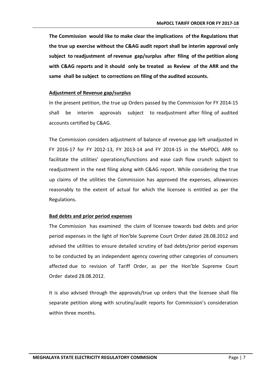**The Commission would like to make clear the implications of the Regulations that the true up exercise without the C&AG audit report shall be interim approval only subject to readjustment of revenue gap/surplus after filing of the petition along with C&AG reports and it should only be treated as Review of the ARR and the same shall be subject to corrections on filing of the audited accounts.**

#### **Adjustment of Revenue gap/surplus**

In the present petition, the true up Orders passed by the Commission for FY 2014-15 shall be interim approvals subject to readjustment after filing of audited accounts certified by C&AG.

The Commission considers adjustment of balance of revenue gap left unadjusted in FY 2016-17 for FY 2012-13, FY 2013-14 and FY 2014-15 in the MePDCL ARR to facilitate the utilities' operations/functions and ease cash flow crunch subject to readjustment in the next filing along with C&AG report. While considering the true up claims of the utilities the Commission has approved the expenses, allowances reasonably to the extent of actual for which the licensee is entitled as per the Regulations.

### **Bad debts and prior period expenses**

The Commission has examined the claim of licensee towards bad debts and prior period expenses in the light of Hon'ble Supreme Court Order dated 28.08.2012 and advised the utilities to ensure detailed scrutiny of bad debts/prior period expenses to be conducted by an independent agency covering other categories of consumers affected due to revision of Tariff Order, as per the Hon'ble Supreme Court Order dated 28.08.2012.

It is also advised through the approvals/true up orders that the licensee shall file separate petition along with scrutiny/audit reports for Commission's consideration within three months.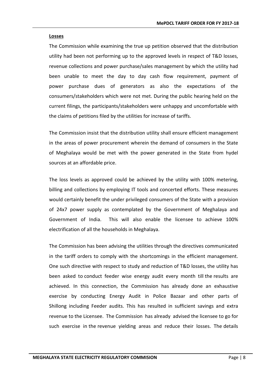#### **Losses**

The Commission while examining the true up petition observed that the distribution utility had been not performing up to the approved levels in respect of T&D losses, revenue collections and power purchase/sales management by which the utility had been unable to meet the day to day cash flow requirement, payment of power purchase dues of generators as also the expectations of the consumers/stakeholders which were not met. During the public hearing held on the current filings, the participants/stakeholders were unhappy and uncomfortable with the claims of petitions filed by the utilities for increase of tariffs.

The Commission insist that the distribution utility shall ensure efficient management in the areas of power procurement wherein the demand of consumers in the State of Meghalaya would be met with the power generated in the State from hydel sources at an affordable price.

The loss levels as approved could be achieved by the utility with 100% metering, billing and collections by employing IT tools and concerted efforts. These measures would certainly benefit the under privileged consumers of the State with a provision of 24x7 power supply as contemplated by the Government of Meghalaya and Government of India. This will also enable the licensee to achieve 100% electrification of all the households in Meghalaya.

The Commission has been advising the utilities through the directives communicated in the tariff orders to comply with the shortcomings in the efficient management. One such directive with respect to study and reduction of T&D losses, the utility has been asked to conduct feeder wise energy audit every month till the results are achieved. In this connection, the Commission has already done an exhaustive exercise by conducting Energy Audit in Police Bazaar and other parts of Shillong including Feeder audits. This has resulted in sufficient savings and extra revenue to the Licensee. The Commission has already advised the licensee to go for such exercise in the revenue yielding areas and reduce their losses. The details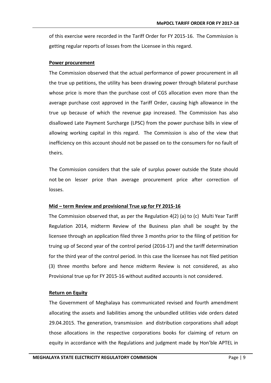of this exercise were recorded in the Tariff Order for FY 2015-16. The Commission is getting regular reports of losses from the Licensee in this regard.

#### **Power procurement**

The Commission observed that the actual performance of power procurement in all the true up petitions, the utility has been drawing power through bilateral purchase whose price is more than the purchase cost of CGS allocation even more than the average purchase cost approved in the Tariff Order, causing high allowance in the true up because of which the revenue gap increased. The Commission has also disallowed Late Payment Surcharge (LPSC) from the power purchase bills in view of allowing working capital in this regard. The Commission is also of the view that inefficiency on this account should not be passed on to the consumers for no fault of theirs.

The Commission considers that the sale of surplus power outside the State should not be on lesser price than average procurement price after correction of losses.

## **Mid – term Review and provisional True up for FY 2015-16**

The Commission observed that, as per the Regulation 4(2) (a) to (c) Multi Year Tariff Regulation 2014, midterm Review of the Business plan shall be sought by the licensee through an application filed three 3 months prior to the filing of petition for truing up of Second year of the control period (2016-17) and the tariff determination for the third year of the control period. In this case the licensee has not filed petition (3) three months before and hence midterm Review is not considered, as also Provisional true up for FY 2015-16 without audited accounts is not considered.

## **Return on Equity**

The Government of Meghalaya has communicated revised and fourth amendment allocating the assets and liabilities among the unbundled utilities vide orders dated 29.04.2015. The generation, transmission and distribution corporations shall adopt those allocations in the respective corporations books for claiming of return on equity in accordance with the Regulations and judgment made by Hon'ble APTEL in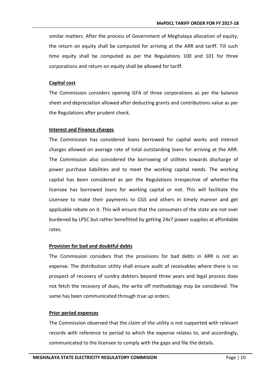similar matters. After the process of Government of Meghalaya allocation of equity, the return on equity shall be computed for arriving at the ARR and tariff. Till such time equity shall be computed as per the Regulations 100 and 101 for three corporations and return on equity shall be allowed for tariff.

#### **Capital cost**

The Commission considers opening GFA of three corporations as per the balance sheet and depreciation allowed after deducting grants and contributions value as per the Regulations after prudent check.

## **Interest and Finance charges**

The Commission has considered loans borrowed for capital works and interest charges allowed on average rate of total outstanding loans for arriving at the ARR. The Commission also considered the borrowing of utilities towards discharge of power purchase liabilities and to meet the working capital needs. The working capital has been considered as per the Regulations irrespective of whether the licensee has borrowed loans for working capital or not. This will facilitate the Licensee to make their payments to CGS and others in timely manner and get applicable rebate on it. This will ensure that the consumers of the state are not over burdened by LPSC but rather benefitted by getting 24x7 power supplies at affordable rates.

## **Provision for bad and doubtful debts**

The Commission considers that the provisions for bad debts in ARR is not an expense. The distribution utility shall ensure audit of receivables where there is no prospect of recovery of sundry debtors beyond three years and legal process does not fetch the recovery of dues, the write off methodology may be considered. The same has been communicated through true up orders.

## **Prior period expenses**

The Commission observed that the claim of the utility is not supported with relevant records with reference to period to which the expense relates to, and accordingly, communicated to the licensee to comply with the gaps and file the details.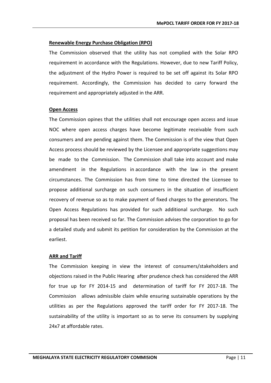## **Renewable Energy Purchase Obligation (RPO)**

The Commission observed that the utility has not complied with the Solar RPO requirement in accordance with the Regulations. However, due to new Tariff Policy, the adjustment of the Hydro Power is required to be set off against its Solar RPO requirement. Accordingly, the Commission has decided to carry forward the requirement and appropriately adjusted in the ARR.

## **Open Access**

The Commission opines that the utilities shall not encourage open access and issue NOC where open access charges have become legitimate receivable from such consumers and are pending against them. The Commission is of the view that Open Access process should be reviewed by the Licensee and appropriate suggestions may be made to the Commission. The Commission shall take into account and make amendment in the Regulations in accordance with the law in the present circumstances. The Commission has from time to time directed the Licensee to propose additional surcharge on such consumers in the situation of insufficient recovery of revenue so as to make payment of fixed charges to the generators. The Open Access Regulations has provided for such additional surcharge. No such proposal has been received so far. The Commission advises the corporation to go for a detailed study and submit its petition for consideration by the Commission at the earliest.

## **ARR and Tariff**

The Commission keeping in view the interest of consumers/stakeholders and objections raised in the Public Hearing after prudence check has considered the ARR for true up for FY 2014-15 and determination of tariff for FY 2017-18. The Commission allows admissible claim while ensuring sustainable operations by the utilities as per the Regulations approved the tariff order for FY 2017-18. The sustainability of the utility is important so as to serve its consumers by supplying 24x7 at affordable rates.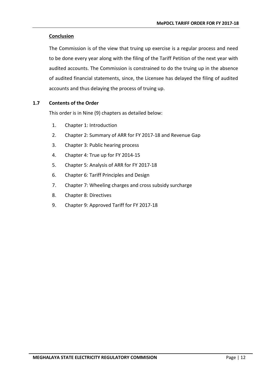## **Conclusion**

The Commission is of the view that truing up exercise is a regular process and need to be done every year along with the filing of the Tariff Petition of the next year with audited accounts. The Commission is constrained to do the truing up in the absence of audited financial statements, since, the Licensee has delayed the filing of audited accounts and thus delaying the process of truing up.

## <span id="page-17-0"></span>**1.7 Contents of the Order**

This order is in Nine (9) chapters as detailed below:

- 1. Chapter 1: Introduction
- 2. Chapter 2: Summary of ARR for FY 2017-18 and Revenue Gap
- 3. Chapter 3: Public hearing process
- 4. Chapter 4: True up for FY 2014-15
- 5. Chapter 5: Analysis of ARR for FY 2017-18
- 6. Chapter 6: Tariff Principles and Design
- 7. Chapter 7: Wheeling charges and cross subsidy surcharge
- 8. Chapter 8: Directives
- 9. Chapter 9: Approved Tariff for FY 2017-18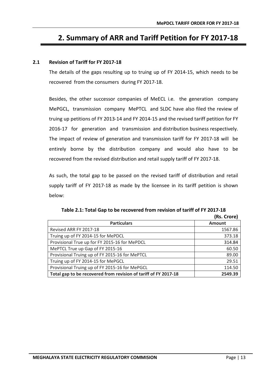## <span id="page-18-0"></span>**2. Summary of ARR and Tariff Petition for FY 2017-18**

## <span id="page-18-1"></span>**2.1 Revision of Tariff for FY 2017-18**

The details of the gaps resulting up to truing up of FY 2014-15, which needs to be recovered from the consumers during FY 2017-18.

Besides, the other successor companies of MeECL i.e. the generation company MePGCL, transmission company MePTCL and SLDC have also filed the review of truing up petitions of FY 2013-14 and FY 2014-15 and the revised tariff petition for FY 2016-17 for generation and transmission and distribution business respectively. The impact of review of generation and transmission tariff for FY 2017-18 will be entirely borne by the distribution company and would also have to be recovered from the revised distribution and retail supply tariff of FY 2017-18.

As such, the total gap to be passed on the revised tariff of distribution and retail supply tariff of FY 2017-18 as made by the licensee in its tariff petition is shown below:

<span id="page-18-2"></span>

|                                                                 | (RS. Crore)   |
|-----------------------------------------------------------------|---------------|
| <b>Particulars</b>                                              | <b>Amount</b> |
| Revised ARR FY 2017-18                                          | 1567.86       |
| Truing up of FY 2014-15 for MePDCL                              | 373.18        |
| Provisional True up for FY 2015-16 for MePDCL                   | 314.84        |
| MePTCL True up Gap of FY 2015-16                                | 60.50         |
| Provisional Truing up of FY 2015-16 for MePTCL                  | 89.00         |
| Truing up of FY 2014-15 for MePGCL                              | 29.51         |
| Provisional Truing up of FY 2015-16 for MePGCL                  | 114.50        |
| Total gap to be recovered from revision of tariff of FY 2017-18 | 2549.39       |

**Table 2.1: Total Gap to be recovered from revision of tariff of FY 2017-18 (Rs. Crore)**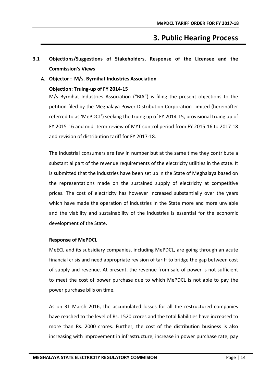## **3. Public Hearing Process**

- <span id="page-19-1"></span><span id="page-19-0"></span>**3.1 Objections/Suggestions of Stakeholders, Response of the Licensee and the Commission's Views**
	- **A. Objector : M/s. Byrnihat Industries Association**

## **Objection: Truing-up of FY 2014-15**

M/s Byrnihat Industries Association ("BIA") is filing the present objections to the petition filed by the Meghalaya Power Distribution Corporation Limited (hereinafter referred to as 'MePDCL') seeking the truing up of FY 2014-15, provisional truing up of FY 2015-16 and mid- term review of MYT control period from FY 2015-16 to 2017-18 and revision of distribution tariff for FY 2017-18.

The Industrial consumers are few in number but at the same time they contribute a substantial part of the revenue requirements of the electricity utilities in the state. It is submitted that the industries have been set up in the State of Meghalaya based on the representations made on the sustained supply of electricity at competitive prices. The cost of electricity has however increased substantially over the years which have made the operation of industries in the State more and more unviable and the viability and sustainability of the industries is essential for the economic development of the State.

## **Response of MePDCL**

MeECL and its subsidiary companies, including MePDCL, are going through an acute financial crisis and need appropriate revision of tariff to bridge the gap between cost of supply and revenue. At present, the revenue from sale of power is not sufficient to meet the cost of power purchase due to which MePDCL is not able to pay the power purchase bills on time.

As on 31 March 2016, the accumulated losses for all the restructured companies have reached to the level of Rs. 1520 crores and the total liabilities have increased to more than Rs. 2000 crores. Further, the cost of the distribution business is also increasing with improvement in infrastructure, increase in power purchase rate, pay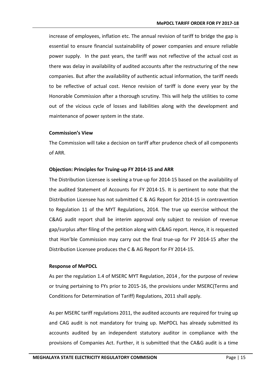increase of employees, inflation etc. The annual revision of tariff to bridge the gap is essential to ensure financial sustainability of power companies and ensure reliable power supply. In the past years, the tariff was not reflective of the actual cost as there was delay in availability of audited accounts after the restructuring of the new companies. But after the availability of authentic actual information, the tariff needs to be reflective of actual cost. Hence revision of tariff is done every year by the Honorable Commission after a thorough scrutiny. This will help the utilities to come out of the vicious cycle of losses and liabilities along with the development and maintenance of power system in the state.

#### **Commission's View**

The Commission will take a decision on tariff after prudence check of all components of ARR.

## **Objection: Principles for Truing-up FY 2014-15 and ARR**

The Distribution Licensee is seeking a true-up for 2014-15 based on the availability of the audited Statement of Accounts for FY 2014-15. It is pertinent to note that the Distribution Licensee has not submitted C & AG Report for 2014-15 in contravention to Regulation 11 of the MYT Regulations, 2014. The true up exercise without the C&AG audit report shall be interim approval only subject to revision of revenue gap/surplus after filing of the petition along with C&AG report. Hence, it is requested that Hon'ble Commission may carry out the final true-up for FY 2014-15 after the Distribution Licensee produces the C & AG Report for FY 2014-15.

## **Response of MePDCL**

As per the regulation 1.4 of MSERC MYT Regulation, 2014 , for the purpose of review or truing pertaining to FYs prior to 2015-16, the provisions under MSERC(Terms and Conditions for Determination of Tariff) Regulations, 2011 shall apply.

As per MSERC tariff regulations 2011, the audited accounts are required for truing up and CAG audit is not mandatory for truing up. MePDCL has already submitted its accounts audited by an independent statutory auditor in compliance with the provisions of Companies Act. Further, it is submitted that the CA&G audit is a time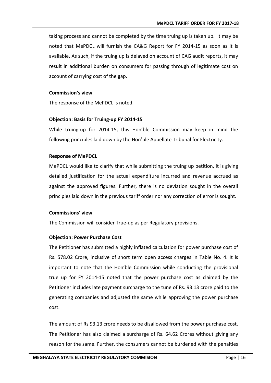taking process and cannot be completed by the time truing up is taken up. It may be noted that MePDCL will furnish the CA&G Report for FY 2014-15 as soon as it is available. As such, if the truing up is delayed on account of CAG audit reports, it may result in additional burden on consumers for passing through of legitimate cost on account of carrying cost of the gap.

### **Commission's view**

The response of the MePDCL is noted.

#### **Objection: Basis for Truing-up FY 2014-15**

While truing-up for 2014-15, this Hon'ble Commission may keep in mind the following principles laid down by the Hon'ble Appellate Tribunal for Electricity.

#### **Response of MePDCL**

MePDCL would like to clarify that while submitting the truing up petition, it is giving detailed justification for the actual expenditure incurred and revenue accrued as against the approved figures. Further, there is no deviation sought in the overall principles laid down in the previous tariff order nor any correction of error is sought.

#### **Commissions' view**

The Commission will consider True-up as per Regulatory provisions.

#### **Objection: Power Purchase Cost**

The Petitioner has submitted a highly inflated calculation for power purchase cost of Rs. 578.02 Crore, inclusive of short term open access charges in Table No. 4. It is important to note that the Hon'ble Commission while conducting the provisional true up for FY 2014-15 noted that the power purchase cost as claimed by the Petitioner includes late payment surcharge to the tune of Rs. 93.13 crore paid to the generating companies and adjusted the same while approving the power purchase cost.

The amount of Rs 93.13 crore needs to be disallowed from the power purchase cost. The Petitioner has also claimed a surcharge of Rs. 64.62 Crores without giving any reason for the same. Further, the consumers cannot be burdened with the penalties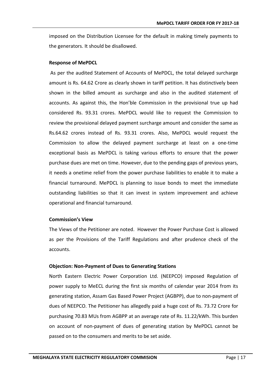imposed on the Distribution Licensee for the default in making timely payments to the generators. It should be disallowed.

#### **Response of MePDCL**

As per the audited Statement of Accounts of MePDCL, the total delayed surcharge amount is Rs. 64.62 Crore as clearly shown in tariff petition. It has distinctively been shown in the billed amount as surcharge and also in the audited statement of accounts. As against this, the Hon'ble Commission in the provisional true up had considered Rs. 93.31 crores. MePDCL would like to request the Commission to review the provisional delayed payment surcharge amount and consider the same as Rs.64.62 crores instead of Rs. 93.31 crores. Also, MePDCL would request the Commission to allow the delayed payment surcharge at least on a one-time exceptional basis as MePDCL is taking various efforts to ensure that the power purchase dues are met on time. However, due to the pending gaps of previous years, it needs a onetime relief from the power purchase liabilities to enable it to make a financial turnaround. MePDCL is planning to issue bonds to meet the immediate outstanding liabilities so that it can invest in system improvement and achieve operational and financial turnaround.

#### **Commission's View**

The Views of the Petitioner are noted. However the Power Purchase Cost is allowed as per the Provisions of the Tariff Regulations and after prudence check of the accounts.

#### **Objection: Non-Payment of Dues to Generating Stations**

North Eastern Electric Power Corporation Ltd. (NEEPCO) imposed Regulation of power supply to MeECL during the first six months of calendar year 2014 from its generating station, Assam Gas Based Power Project (AGBPP), due to non-payment of dues of NEEPCO. The Petitioner has allegedly paid a huge cost of Rs. 73.72 Crore for purchasing 70.83 MUs from AGBPP at an average rate of Rs. 11.22/kWh. This burden on account of non-payment of dues of generating station by MePDCL cannot be passed on to the consumers and merits to be set aside.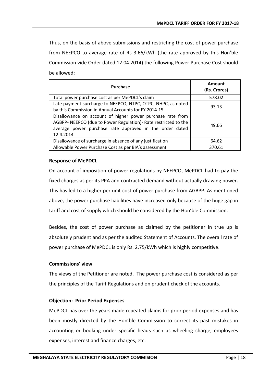Thus, on the basis of above submissions and restricting the cost of power purchase from NEEPCO to average rate of Rs 3.66/kWh (the rate approved by this Hon'ble Commission vide Order dated 12.04.2014) the following Power Purchase Cost should be allowed:

| <b>Purchase</b>                                                                                                                                                                                       | Amount<br>(Rs. Crores) |
|-------------------------------------------------------------------------------------------------------------------------------------------------------------------------------------------------------|------------------------|
| Total power purchase cost as per MePDCL's claim                                                                                                                                                       | 578.02                 |
| Late payment surcharge to NEEPCO, NTPC, OTPC, NHPC, as noted<br>by this Commission in Annual Accounts for FY 2014-15                                                                                  | 93.13                  |
| Disallowance on account of higher power purchase rate from<br>AGBPP- NEEPCO (due to Power Regulation)- Rate restricted to the<br>average power purchase rate approved in the order dated<br>12.4.2014 | 49.66                  |
| Disallowance of surcharge in absence of any justification                                                                                                                                             | 64.62                  |
| Allowable Power Purchase Cost as per BIA's assessment                                                                                                                                                 | 370.61                 |

## **Response of MePDCL**

On account of imposition of power regulations by NEEPCO, MePDCL had to pay the fixed charges as per its PPA and contracted demand without actually drawing power. This has led to a higher per unit cost of power purchase from AGBPP. As mentioned above, the power purchase liabilities have increased only because of the huge gap in tariff and cost of supply which should be considered by the Hon'ble Commission.

Besides, the cost of power purchase as claimed by the petitioner in true up is absolutely prudent and as per the audited Statement of Accounts. The overall rate of power purchase of MePDCL is only Rs. 2.75/kWh which is highly competitive.

#### **Commissions' view**

The views of the Petitioner are noted. The power purchase cost is considered as per the principles of the Tariff Regulations and on prudent check of the accounts.

## **Objection: Prior Period Expenses**

MePDCL has over the years made repeated claims for prior period expenses and has been mostly directed by the Hon'ble Commission to correct its past mistakes in accounting or booking under specific heads such as wheeling charge, employees expenses, interest and finance charges, etc.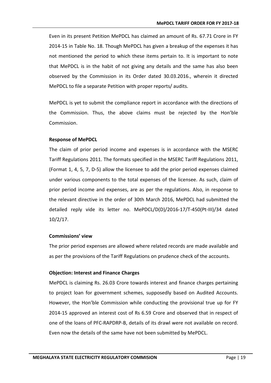Even in its present Petition MePDCL has claimed an amount of Rs. 67.71 Crore in FY 2014-15 in Table No. 18. Though MePDCL has given a breakup of the expenses it has not mentioned the period to which these items pertain to. It is important to note that MePDCL is in the habit of not giving any details and the same has also been observed by the Commission in its Order dated 30.03.2016., wherein it directed MePDCL to file a separate Petition with proper reports/ audits.

MePDCL is yet to submit the compliance report in accordance with the directions of the Commission. Thus, the above claims must be rejected by the Hon'ble Commission.

#### **Response of MePDCL**

The claim of prior period income and expenses is in accordance with the MSERC Tariff Regulations 2011. The formats specified in the MSERC Tariff Regulations 2011, (Format 1, 4, 5, 7, D-5) allow the licensee to add the prior period expenses claimed under various components to the total expenses of the licensee. As such, claim of prior period income and expenses, are as per the regulations. Also, in response to the relevant directive in the order of 30th March 2016, MePDCL had submitted the detailed reply vide its letter no. MePDCL/D(D)/2016-17/T-450(Pt-III)/34 dated 10/2/17.

#### **Commissions' view**

The prior period expenses are allowed where related records are made available and as per the provisions of the Tariff Regulations on prudence check of the accounts.

#### **Objection: Interest and Finance Charges**

MePDCL is claiming Rs. 26.03 Crore towards interest and finance charges pertaining to project loan for government schemes, supposedly based on Audited Accounts. However, the Hon'ble Commission while conducting the provisional true up for FY 2014-15 approved an interest cost of Rs 6.59 Crore and observed that in respect of one of the loans of PFC-RAPDRP-B, details of its drawl were not available on record. Even now the details of the same have not been submitted by MePDCL.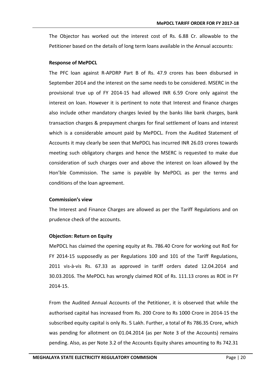The Objector has worked out the interest cost of Rs. 6.88 Cr. allowable to the Petitioner based on the details of long term loans available in the Annual accounts:

#### **Response of MePDCL**

The PFC loan against R-APDRP Part B of Rs. 47.9 crores has been disbursed in September 2014 and the interest on the same needs to be considered. MSERC in the provisional true up of FY 2014-15 had allowed INR 6.59 Crore only against the interest on loan. However it is pertinent to note that Interest and finance charges also include other mandatory charges levied by the banks like bank charges, bank transaction charges & prepayment charges for final settlement of loans and interest which is a considerable amount paid by MePDCL. From the Audited Statement of Accounts it may clearly be seen that MePDCL has incurred INR 26.03 crores towards meeting such obligatory charges and hence the MSERC is requested to make due consideration of such charges over and above the interest on loan allowed by the Hon'ble Commission. The same is payable by MePDCL as per the terms and conditions of the loan agreement.

#### **Commission's view**

The Interest and Finance Charges are allowed as per the Tariff Regulations and on prudence check of the accounts.

#### **Objection: Return on Equity**

MePDCL has claimed the opening equity at Rs. 786.40 Crore for working out RoE for FY 2014-15 supposedly as per Regulations 100 and 101 of the Tariff Regulations, 2011 vis-à-vis Rs. 67.33 as approved in tariff orders dated 12.04.2014 and 30.03.2016. The MePDCL has wrongly claimed ROE of Rs. 111.13 crores as ROE in FY 2014-15.

From the Audited Annual Accounts of the Petitioner, it is observed that while the authorised capital has increased from Rs. 200 Crore to Rs 1000 Crore in 2014-15 the subscribed equity capital is only Rs. 5 Lakh. Further, a total of Rs 786.35 Crore, which was pending for allotment on 01.04.2014 (as per Note 3 of the Accounts) remains pending. Also, as per Note 3.2 of the Accounts Equity shares amounting to Rs 742.31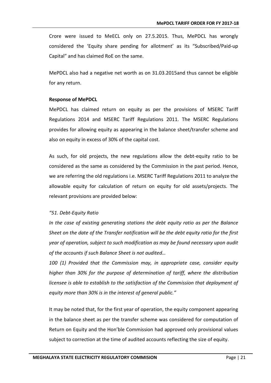Crore were issued to MeECL only on 27.5.2015. Thus, MePDCL has wrongly considered the 'Equity share pending for allotment' as its "Subscribed/Paid-up Capital" and has claimed RoE on the same.

MePDCL also had a negative net worth as on 31.03.2015and thus cannot be eligible for any return.

#### **Response of MePDCL**

MePDCL has claimed return on equity as per the provisions of MSERC Tariff Regulations 2014 and MSERC Tariff Regulations 2011. The MSERC Regulations provides for allowing equity as appearing in the balance sheet/transfer scheme and also on equity in excess of 30% of the capital cost.

As such, for old projects, the new regulations allow the debt-equity ratio to be considered as the same as considered by the Commission in the past period. Hence, we are referring the old regulations i.e. MSERC Tariff Regulations 2011 to analyze the allowable equity for calculation of return on equity for old assets/projects. The relevant provisions are provided below:

#### *"51. Debt-Equity Ratio*

*In the case of existing generating stations the debt equity ratio as per the Balance Sheet on the date of the Transfer notification will be the debt equity ratio for the first year of operation, subject to such modification as may be found necessary upon audit of the accounts if such Balance Sheet is not audited…*

*100 (1) Provided that the Commission may, in appropriate case, consider equity higher than 30% for the purpose of determination of tariff, where the distribution licensee is able to establish to the satisfaction of the Commission that deployment of equity more than 30% is in the interest of general public."*

It may be noted that, for the first year of operation, the equity component appearing in the balance sheet as per the transfer scheme was considered for computation of Return on Equity and the Hon'ble Commission had approved only provisional values subject to correction at the time of audited accounts reflecting the size of equity.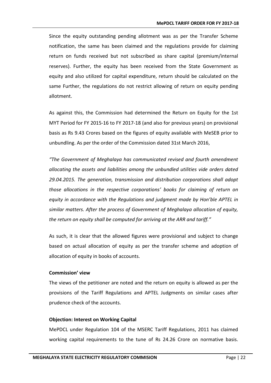Since the equity outstanding pending allotment was as per the Transfer Scheme notification, the same has been claimed and the regulations provide for claiming return on funds received but not subscribed as share capital (premium/internal reserves). Further, the equity has been received from the State Government as equity and also utilized for capital expenditure, return should be calculated on the same Further, the regulations do not restrict allowing of return on equity pending allotment.

As against this, the Commission had determined the Return on Equity for the 1st MYT Period for FY 2015-16 to FY 2017-18 (and also for previous years) on provisional basis as Rs 9.43 Crores based on the figures of equity available with MeSEB prior to unbundling. As per the order of the Commission dated 31st March 2016,

*"The Government of Meghalaya has communicated revised and fourth amendment allocating the assets and liabilities among the unbundled utilities vide orders dated 29.04.2015. The generation, transmission and distribution corporations shall adopt those allocations in the respective corporations' books for claiming of return on equity in accordance with the Regulations and judgment made by Hon'ble APTEL in similar matters. After the process of Government of Meghalaya allocation of equity, the return on equity shall be computed for arriving at the ARR and tariff."*

As such, it is clear that the allowed figures were provisional and subject to change based on actual allocation of equity as per the transfer scheme and adoption of allocation of equity in books of accounts.

#### **Commission' view**

The views of the petitioner are noted and the return on equity is allowed as per the provisions of the Tariff Regulations and APTEL Judgments on similar cases after prudence check of the accounts.

#### **Objection: Interest on Working Capital**

MePDCL under Regulation 104 of the MSERC Tariff Regulations, 2011 has claimed working capital requirements to the tune of Rs 24.26 Crore on normative basis.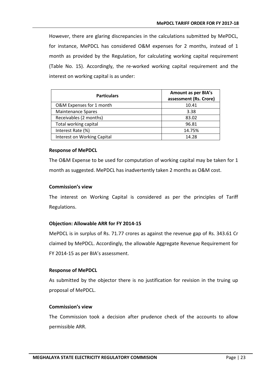However, there are glaring discrepancies in the calculations submitted by MePDCL, for instance, MePDCL has considered O&M expenses for 2 months, instead of 1 month as provided by the Regulation, for calculating working capital requirement (Table No. 15). Accordingly, the re-worked working capital requirement and the interest on working capital is as under:

| <b>Particulars</b>          | <b>Amount as per BIA's</b><br>assessment (Rs. Crore) |  |
|-----------------------------|------------------------------------------------------|--|
| O&M Expenses for 1 month    | 10.41                                                |  |
| <b>Maintenance Spares</b>   | 3.38                                                 |  |
| Receivables (2 months)      | 83.02                                                |  |
| Total working capital       | 96.81                                                |  |
| Interest Rate (%)           | 14.75%                                               |  |
| Interest on Working Capital | 14.28                                                |  |

#### **Response of MePDCL**

The O&M Expense to be used for computation of working capital may be taken for 1 month as suggested. MePDCL has inadvertently taken 2 months as O&M cost.

### **Commission's view**

The interest on Working Capital is considered as per the principles of Tariff Regulations.

#### **Objection: Allowable ARR for FY 2014-15**

MePDCL is in surplus of Rs. 71.77 crores as against the revenue gap of Rs. 343.61 Cr claimed by MePDCL. Accordingly, the allowable Aggregate Revenue Requirement for FY 2014-15 as per BIA's assessment.

#### **Response of MePDCL**

As submitted by the objector there is no justification for revision in the truing up proposal of MePDCL.

## **Commission's view**

The Commission took a decision after prudence check of the accounts to allow permissible ARR.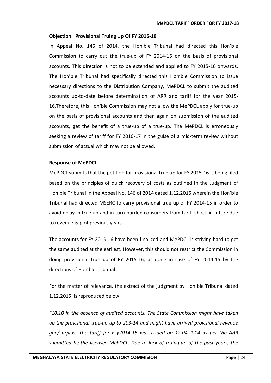#### **Objection: Provisional Truing Up Of FY 2015-16**

In Appeal No. 146 of 2014, the Hon'ble Tribunal had directed this Hon'ble Commission to carry out the true-up of FY 2014-15 on the basis of provisional accounts. This direction is not to be extended and applied to FY 2015-16 onwards. The Hon'ble Tribunal had specifically directed this Hon'ble Commission to issue necessary directions to the Distribution Company, MePDCL to submit the audited accounts up-to-date before determination of ARR and tariff for the year 2015- 16.Therefore, this Hon'ble Commission may not allow the MePDCL apply for true-up on the basis of provisional accounts and then again on submission of the audited accounts, get the benefit of a true-up of a true-up. The MePDCL is erroneously seeking a review of tariff for FY 2016-17 in the guise of a mid-term review without submission of actual which may not be allowed.

#### **Response of MePDCL**

MePDCL submits that the petition for provisional true up for FY 2015-16 is being filed based on the principles of quick recovery of costs as outlined in the Judgment of Hon'ble Tribunal in the Appeal No. 146 of 2014 dated 1.12.2015 wherein the Hon'ble Tribunal had directed MSERC to carry provisional true up of FY 2014-15 in order to avoid delay in true up and in turn burden consumers from tariff shock in future due to revenue gap of previous years.

The accounts for FY 2015-16 have been finalized and MePDCL is striving hard to get the same audited at the earliest. However, this should not restrict the Commission in doing provisional true up of FY 2015-16, as done in case of FY 2014-15 by the directions of Hon'ble Tribunal.

For the matter of relevance, the extract of the judgment by Hon'ble Tribunal dated 1.12.2015, is reproduced below:

*"10.10 In the absence of audited accounts, The State Commission might have taken up the provisional true-up up to 203-14 and might have arrived provisional revenue gap/surplus. The tariff for F y2014-15 was issued on 12.04.2014 as per the ARR submitted by the licensee MePDCL. Due to lack of truing-up of the past years, the*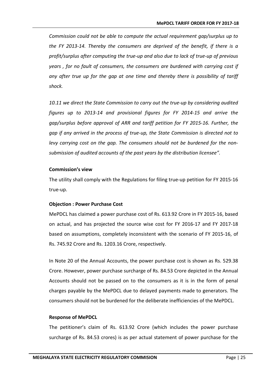*Commission could not be able to compute the actual requirement gap/surplus up to the FY 2013-14. Thereby the consumers are deprived of the benefit, if there is a profit/surplus after computing the true-up and also due to lack of true-up of previous years , for no fault of consumers, the consumers are burdened with carrying cost if any after true up for the gap at one time and thereby there is possibility of tariff shock.*

*10.11 we direct the State Commission to carry out the true-up by considering audited figures up to 2013-14 and provisional figures for FY 2014-15 and arrive the gap/surplus before approval of ARR and tariff petition for FY 2015-16. Further, the gap if any arrived in the process of true-up, the State Commission is directed not to levy carrying cost on the gap. The consumers should not be burdened for the nonsubmission of audited accounts of the past years by the distribution licensee".*

#### **Commission's view**

The utility shall comply with the Regulations for filing true-up petition for FY 2015-16 true-up.

## **Objection : Power Purchase Cost**

MePDCL has claimed a power purchase cost of Rs. 613.92 Crore in FY 2015-16, based on actual, and has projected the source wise cost for FY 2016-17 and FY 2017-18 based on assumptions, completely inconsistent with the scenario of FY 2015-16, of Rs. 745.92 Crore and Rs. 1203.16 Crore, respectively.

In Note 20 of the Annual Accounts, the power purchase cost is shown as Rs. 529.38 Crore. However, power purchase surcharge of Rs. 84.53 Crore depicted in the Annual Accounts should not be passed on to the consumers as it is in the form of penal charges payable by the MePDCL due to delayed payments made to generators. The consumers should not be burdened for the deliberate inefficiencies of the MePDCL.

#### **Response of MePDCL**

The petitioner's claim of Rs. 613.92 Crore (which includes the power purchase surcharge of Rs. 84.53 crores) is as per actual statement of power purchase for the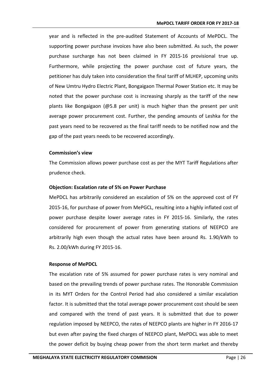year and is reflected in the pre-audited Statement of Accounts of MePDCL. The supporting power purchase invoices have also been submitted. As such, the power purchase surcharge has not been claimed in FY 2015-16 provisional true up. Furthermore, while projecting the power purchase cost of future years, the petitioner has duly taken into consideration the final tariff of MLHEP, upcoming units of New Umtru Hydro Electric Plant, Bongaigaon Thermal Power Station etc. It may be noted that the power purchase cost is increasing sharply as the tariff of the new plants like Bongaigaon (@5.8 per unit) is much higher than the present per unit average power procurement cost. Further, the pending amounts of Leshka for the past years need to be recovered as the final tariff needs to be notified now and the gap of the past years needs to be recovered accordingly.

#### **Commission's view**

The Commission allows power purchase cost as per the MYT Tariff Regulations after prudence check.

#### **Objection: Escalation rate of 5% on Power Purchase**

MePDCL has arbitrarily considered an escalation of 5% on the approved cost of FY 2015-16, for purchase of power from MePGCL, resulting into a highly inflated cost of power purchase despite lower average rates in FY 2015-16. Similarly, the rates considered for procurement of power from generating stations of NEEPCO are arbitrarily high even though the actual rates have been around Rs. 1.90/kWh to Rs. 2.00/kWh during FY 2015-16.

#### **Response of MePDCL**

The escalation rate of 5% assumed for power purchase rates is very nominal and based on the prevailing trends of power purchase rates. The Honorable Commission in its MYT Orders for the Control Period had also considered a similar escalation factor. It is submitted that the total average power procurement cost should be seen and compared with the trend of past years. It is submitted that due to power regulation imposed by NEEPCO, the rates of NEEPCO plants are higher in FY 2016-17 but even after paying the fixed charges of NEEPCO plant, MePDCL was able to meet the power deficit by buying cheap power from the short term market and thereby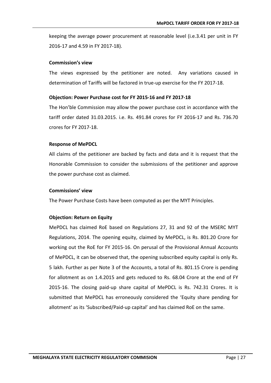keeping the average power procurement at reasonable level (i.e.3.41 per unit in FY 2016-17 and 4.59 in FY 2017-18).

#### **Commission's view**

The views expressed by the petitioner are noted. Any variations caused in determination of Tariffs will be factored in true-up exercise for the FY 2017-18.

### **Objection: Power Purchase cost for FY 2015-16 and FY 2017-18**

The Hon'ble Commission may allow the power purchase cost in accordance with the tariff order dated 31.03.2015. i.e. Rs. 491.84 crores for FY 2016-17 and Rs. 736.70 crores for FY 2017-18.

#### **Response of MePDCL**

All claims of the petitioner are backed by facts and data and it is request that the Honorable Commission to consider the submissions of the petitioner and approve the power purchase cost as claimed.

#### **Commissions' view**

The Power Purchase Costs have been computed as per the MYT Principles.

#### **Objection: Return on Equity**

MePDCL has claimed RoE based on Regulations 27, 31 and 92 of the MSERC MYT Regulations, 2014. The opening equity, claimed by MePDCL, is Rs. 801.20 Crore for working out the RoE for FY 2015-16. On perusal of the Provisional Annual Accounts of MePDCL, it can be observed that, the opening subscribed equity capital is only Rs. 5 lakh. Further as per Note 3 of the Accounts, a total of Rs. 801.15 Crore is pending for allotment as on 1.4.2015 and gets reduced to Rs. 68.04 Crore at the end of FY 2015-16. The closing paid-up share capital of MePDCL is Rs. 742.31 Crores. It is submitted that MePDCL has erroneously considered the 'Equity share pending for allotment' as its 'Subscribed/Paid-up capital' and has claimed RoE on the same.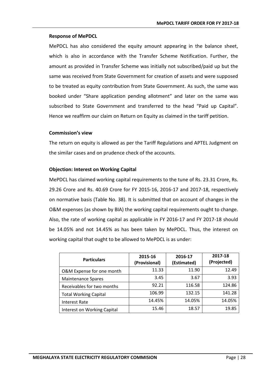## **Response of MePDCL**

MePDCL has also considered the equity amount appearing in the balance sheet, which is also in accordance with the Transfer Scheme Notification. Further, the amount as provided in Transfer Scheme was initially not subscribed/paid up but the same was received from State Government for creation of assets and were supposed to be treated as equity contribution from State Government. As such, the same was booked under "Share application pending allotment" and later on the same was subscribed to State Government and transferred to the head "Paid up Capital". Hence we reaffirm our claim on Return on Equity as claimed in the tariff petition.

## **Commission's view**

The return on equity is allowed as per the Tariff Regulations and APTEL Judgment on the similar cases and on prudence check of the accounts.

## **Objection: Interest on Working Capital**

MePDCL has claimed working capital requirements to the tune of Rs. 23.31 Crore, Rs. 29.26 Crore and Rs. 40.69 Crore for FY 2015-16, 2016-17 and 2017-18, respectively on normative basis (Table No. 38). It is submitted that on account of changes in the O&M expenses (as shown by BIA) the working capital requirements ought to change. Also, the rate of working capital as applicable in FY 2016-17 and FY 2017-18 should be 14.05% and not 14.45% as has been taken by MePDCL. Thus, the interest on working capital that ought to be allowed to MePDCL is as under:

| <b>Particulars</b>           | 2015-16<br>(Provisional) | 2016-17<br>(Estimated) | 2017-18<br>(Projected) |
|------------------------------|--------------------------|------------------------|------------------------|
| O&M Expense for one month    | 11.33                    | 11.90                  | 12.49                  |
| <b>Maintenance Spares</b>    | 3.45                     | 3.67                   | 3.93                   |
| Receivables for two months   | 92.21                    | 116.58                 | 124.86                 |
| <b>Total Working Capital</b> | 106.99                   | 132.15                 | 141.28                 |
| <b>Interest Rate</b>         | 14.45%                   | 14.05%                 | 14.05%                 |
| Interest on Working Capital  | 15.46                    | 18.57                  | 19.85                  |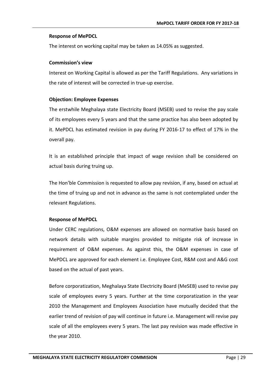## **Response of MePDCL**

The interest on working capital may be taken as 14.05% as suggested.

## **Commission's view**

Interest on Working Capital is allowed as per the Tariff Regulations. Any variations in the rate of interest will be corrected in true-up exercise.

## **Objection: Employee Expenses**

The erstwhile Meghalaya state Electricity Board (MSEB) used to revise the pay scale of its employees every 5 years and that the same practice has also been adopted by it. MePDCL has estimated revision in pay during FY 2016-17 to effect of 17% in the overall pay.

It is an established principle that impact of wage revision shall be considered on actual basis during truing up.

The Hon'ble Commission is requested to allow pay revision, if any, based on actual at the time of truing up and not in advance as the same is not contemplated under the relevant Regulations.

## **Response of MePDCL**

Under CERC regulations, O&M expenses are allowed on normative basis based on network details with suitable margins provided to mitigate risk of increase in requirement of O&M expenses. As against this, the O&M expenses in case of MePDCL are approved for each element i.e. Employee Cost, R&M cost and A&G cost based on the actual of past years.

Before corporatization, Meghalaya State Electricity Board (MeSEB) used to revise pay scale of employees every 5 years. Further at the time corporatization in the year 2010 the Management and Employees Association have mutually decided that the earlier trend of revision of pay will continue in future i.e. Management will revise pay scale of all the employees every 5 years. The last pay revision was made effective in the year 2010.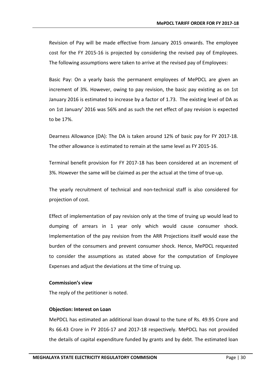Revision of Pay will be made effective from January 2015 onwards. The employee cost for the FY 2015-16 is projected by considering the revised pay of Employees. The following assumptions were taken to arrive at the revised pay of Employees:

Basic Pay: On a yearly basis the permanent employees of MePDCL are given an increment of 3%. However, owing to pay revision, the basic pay existing as on 1st January 2016 is estimated to increase by a factor of 1.73. The existing level of DA as on 1st January' 2016 was 56% and as such the net effect of pay revision is expected to be 17%.

Dearness Allowance (DA): The DA is taken around 12% of basic pay for FY 2017-18. The other allowance is estimated to remain at the same level as FY 2015-16.

Terminal benefit provision for FY 2017-18 has been considered at an increment of 3%. However the same will be claimed as per the actual at the time of true-up.

The yearly recruitment of technical and non-technical staff is also considered for projection of cost.

Effect of implementation of pay revision only at the time of truing up would lead to dumping of arrears in 1 year only which would cause consumer shock. Implementation of the pay revision from the ARR Projections itself would ease the burden of the consumers and prevent consumer shock. Hence, MePDCL requested to consider the assumptions as stated above for the computation of Employee Expenses and adjust the deviations at the time of truing up.

#### **Commission's view**

The reply of the petitioner is noted.

## **Objection: Interest on Loan**

MePDCL has estimated an additional loan drawal to the tune of Rs. 49.95 Crore and Rs 66.43 Crore in FY 2016-17 and 2017-18 respectively. MePDCL has not provided the details of capital expenditure funded by grants and by debt. The estimated loan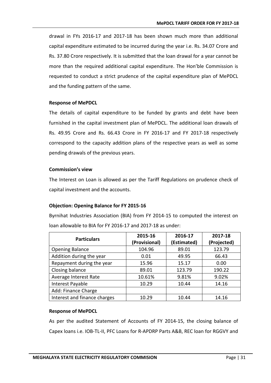drawal in FYs 2016-17 and 2017-18 has been shown much more than additional capital expenditure estimated to be incurred during the year i.e. Rs. 34.07 Crore and Rs. 37.80 Crore respectively. It is submitted that the loan drawal for a year cannot be more than the required additional capital expenditure. The Hon'ble Commission is requested to conduct a strict prudence of the capital expenditure plan of MePDCL and the funding pattern of the same.

#### **Response of MePDCL**

The details of capital expenditure to be funded by grants and debt have been furnished in the capital investment plan of MePDCL. The additional loan drawals of Rs. 49.95 Crore and Rs. 66.43 Crore in FY 2016-17 and FY 2017-18 respectively correspond to the capacity addition plans of the respective years as well as some pending drawals of the previous years.

#### **Commission's view**

The Interest on Loan is allowed as per the Tariff Regulations on prudence check of capital investment and the accounts.

## **Objection: Opening Balance for FY 2015-16**

Byrnihat Industries Association (BIA) from FY 2014-15 to computed the interest on loan allowable to BIA for FY 2016-17 and 2017-18 as under:

| <b>Particulars</b>           | 2015-16       | 2016-17     | 2017-18     |
|------------------------------|---------------|-------------|-------------|
|                              | (Provisional) | (Estimated) | (Projected) |
| <b>Opening Balance</b>       | 104.96        | 89.01       | 123.79      |
| Addition during the year     | 0.01          | 49.95       | 66.43       |
| Repayment during the year    | 15.96         | 15.17       | 0.00        |
| Closing balance              | 89.01         | 123.79      | 190.22      |
| Average Interest Rate        | 10.61%        | 9.81%       | 9.02%       |
| Interest Payable             | 10.29         | 10.44       | 14.16       |
| Add: Finance Charge          |               |             |             |
| Interest and finance charges | 10.29         | 10.44       | 14.16       |

## **Response of MePDCL**

As per the audited Statement of Accounts of FY 2014-15, the closing balance of Capex loans i.e. IOB-TL-II, PFC Loans for R-APDRP Parts A&B, REC loan for RGGVY and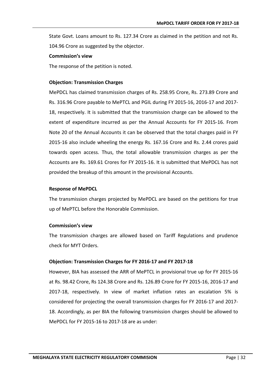State Govt. Loans amount to Rs. 127.34 Crore as claimed in the petition and not Rs. 104.96 Crore as suggested by the objector.

#### **Commission's view**

The response of the petition is noted.

#### **Objection: Transmission Charges**

MePDCL has claimed transmission charges of Rs. 258.95 Crore, Rs. 273.89 Crore and Rs. 316.96 Crore payable to MePTCL and PGIL during FY 2015-16, 2016-17 and 2017- 18, respectively. It is submitted that the transmission charge can be allowed to the extent of expenditure incurred as per the Annual Accounts for FY 2015-16. From Note 20 of the Annual Accounts it can be observed that the total charges paid in FY 2015-16 also include wheeling the energy Rs. 167.16 Crore and Rs. 2.44 crores paid towards open access. Thus, the total allowable transmission charges as per the Accounts are Rs. 169.61 Crores for FY 2015-16. It is submitted that MePDCL has not provided the breakup of this amount in the provisional Accounts.

#### **Response of MePDCL**

The transmission charges projected by MePDCL are based on the petitions for true up of MePTCL before the Honorable Commission.

#### **Commission's view**

The transmission charges are allowed based on Tariff Regulations and prudence check for MYT Orders.

## **Objection: Transmission Charges for FY 2016-17 and FY 2017-18**

However, BIA has assessed the ARR of MePTCL in provisional true up for FY 2015-16 at Rs. 98.42 Crore, Rs 124.38 Crore and Rs. 126.89 Crore for FY 2015-16, 2016-17 and 2017-18, respectively. In view of market inflation rates an escalation 5% is considered for projecting the overall transmission charges for FY 2016-17 and 2017- 18. Accordingly, as per BIA the following transmission charges should be allowed to MePDCL for FY 2015-16 to 2017-18 are as under: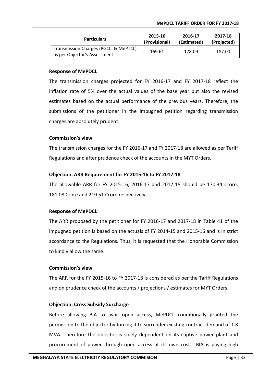| <b>Particulars</b>                                                    | 2015-16       | 2016-17     | 2017-18     |
|-----------------------------------------------------------------------|---------------|-------------|-------------|
|                                                                       | (Provisional) | (Estimated) | (Projected) |
| Transmission Charges (PGCIL & MePTCL)<br>as per Objector's Assessment | 169.61        | 178.09      | 187.00      |

The transmission charges projected for FY 2016-17 and FY 2017-18 reflect the inflation rate of 5% over the actual values of the base year but also the revised estimates based on the actual performance of the previous years. Therefore, the submissions of the petitioner in the impugned petition regarding transmission charges are absolutely prudent.

#### **Commission's view**

The transmission charges for the FY 2016-17 and FY 2017-18 are allowed as per Tariff Regulations and after prudence check of the accounts in the MYT Orders.

#### **Objection: ARR Requirement for FY 2015-16 to FY 2017-18**

The allowable ARR for FY 2015-16, 2016-17 and 2017-18 should be 170.34 Crore, 181.08 Crore and 219.51 Crore respectively.

#### **Response of MePDCL**

The ARR proposed by the petitioner for FY 2016-17 and 2017-18 in Table 41 of the impugned petition is based on the actuals of FY 2014-15 and 2015-16 and is in strict accordance to the Regulations. Thus, it is requested that the Honorable Commission to kindly allow the same.

#### **Commission's view**

The ARR for the FY 2015-16 to FY 2017-18 is considered as per the Tariff Regulations and on prudence check of the accounts / projections / estimates for MYT Orders.

## **Objection: Cross Subsidy Surcharge**

Before allowing BIA to avail open access, MePDCL conditionally granted the permission to the objector by forcing it to surrender existing contract demand of 1.8 MVA. Therefore the objector is solely dependent on its captive power plant and procurement of power through open access at its own cost. BIA is paying high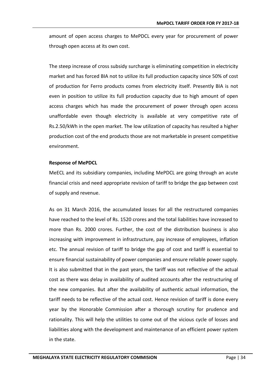amount of open access charges to MePDCL every year for procurement of power through open access at its own cost.

The steep increase of cross subsidy surcharge is eliminating competition in electricity market and has forced BIA not to utilize its full production capacity since 50% of cost of production for Ferro products comes from electricity itself. Presently BIA is not even in position to utilize its full production capacity due to high amount of open access charges which has made the procurement of power through open access unaffordable even though electricity is available at very competitive rate of Rs.2.50/kWh in the open market. The low utilization of capacity has resulted a higher production cost of the end products those are not marketable in present competitive environment.

#### **Response of MePDCL**

MeECL and its subsidiary companies, including MePDCL are going through an acute financial crisis and need appropriate revision of tariff to bridge the gap between cost of supply and revenue.

As on 31 March 2016, the accumulated losses for all the restructured companies have reached to the level of Rs. 1520 crores and the total liabilities have increased to more than Rs. 2000 crores. Further, the cost of the distribution business is also increasing with improvement in infrastructure, pay increase of employees, inflation etc. The annual revision of tariff to bridge the gap of cost and tariff is essential to ensure financial sustainability of power companies and ensure reliable power supply. It is also submitted that in the past years, the tariff was not reflective of the actual cost as there was delay in availability of audited accounts after the restructuring of the new companies. But after the availability of authentic actual information, the tariff needs to be reflective of the actual cost. Hence revision of tariff is done every year by the Honorable Commission after a thorough scrutiny for prudence and rationality. This will help the utilities to come out of the vicious cycle of losses and liabilities along with the development and maintenance of an efficient power system in the state.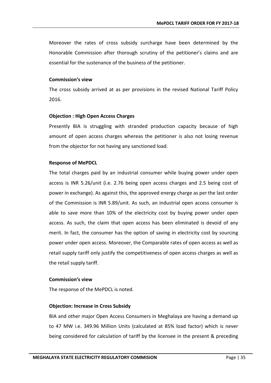Moreover the rates of cross subsidy surcharge have been determined by the Honorable Commission after thorough scrutiny of the petitioner's claims and are essential for the sustenance of the business of the petitioner.

#### **Commission's view**

The cross subsidy arrived at as per provisions in the revised National Tariff Policy 2016.

## **Objection : High Open Access Charges**

Presently BIA is struggling with stranded production capacity because of high amount of open access charges whereas the petitioner is also not losing revenue from the objector for not having any sanctioned load.

## **Response of MePDCL**

The total charges paid by an industrial consumer while buying power under open access is INR 5.26/unit (i.e. 2.76 being open access charges and 2.5 being cost of power in exchange). As against this, the approved energy charge as per the last order of the Commission is INR 5.89/unit. As such, an industrial open access consumer is able to save more than 10% of the electricity cost by buying power under open access. As such, the claim that open access has been eliminated is devoid of any merit. In fact, the consumer has the option of saving in electricity cost by sourcing power under open access. Moreover, the Comparable rates of open access as well as retail supply tariff only justify the competitiveness of open access charges as well as the retail supply tariff.

#### **Commission's view**

The response of the MePDCL is noted.

## **Objection: Increase in Cross Subsidy**

BIA and other major Open Access Consumers in Meghalaya are having a demand up to 47 MW i.e. 349.96 Million Units (calculated at 85% load factor) which is never being considered for calculation of tariff by the licensee in the present & preceding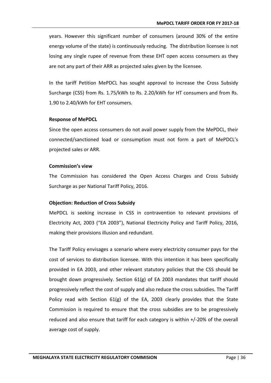years. However this significant number of consumers (around 30% of the entire energy volume of the state) is continuously reducing. The distribution licensee is not losing any single rupee of revenue from these EHT open access consumers as they are not any part of their ARR as projected sales given by the licensee.

In the tariff Petition MePDCL has sought approval to increase the Cross Subsidy Surcharge (CSS) from Rs. 1.75/kWh to Rs. 2.20/kWh for HT consumers and from Rs. 1.90 to 2.40/kWh for EHT consumers.

#### **Response of MePDCL**

Since the open access consumers do not avail power supply from the MePDCL, their connected/sanctioned load or consumption must not form a part of MePDCL's projected sales or ARR.

#### **Commission's view**

The Commission has considered the Open Access Charges and Cross Subsidy Surcharge as per National Tariff Policy, 2016.

## **Objection: Reduction of Cross Subsidy**

MePDCL is seeking increase in CSS in contravention to relevant provisions of Electricity Act, 2003 ("EA 2003"), National Electricity Policy and Tariff Policy, 2016, making their provisions illusion and redundant.

The Tariff Policy envisages a scenario where every electricity consumer pays for the cost of services to distribution licensee. With this intention it has been specifically provided in EA 2003, and other relevant statutory policies that the CSS should be brought down progressively. Section  $61(g)$  of EA 2003 mandates that tariff should progressively reflect the cost of supply and also reduce the cross subsidies. The Tariff Policy read with Section  $61(g)$  of the EA, 2003 clearly provides that the State Commission is required to ensure that the cross subsidies are to be progressively reduced and also ensure that tariff for each category is within +/-20% of the overall average cost of supply.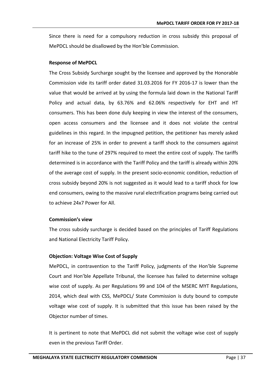Since there is need for a compulsory reduction in cross subsidy this proposal of MePDCL should be disallowed by the Hon'ble Commission.

#### **Response of MePDCL**

The Cross Subsidy Surcharge sought by the licensee and approved by the Honorable Commission vide its tariff order dated 31.03.2016 for FY 2016-17 is lower than the value that would be arrived at by using the formula laid down in the National Tariff Policy and actual data, by 63.76% and 62.06% respectively for EHT and HT consumers. This has been done duly keeping in view the interest of the consumers, open access consumers and the licensee and it does not violate the central guidelines in this regard. In the impugned petition, the petitioner has merely asked for an increase of 25% in order to prevent a tariff shock to the consumers against tariff hike to the tune of 297% required to meet the entire cost of supply. The tariffs determined is in accordance with the Tariff Policy and the tariff is already within 20% of the average cost of supply. In the present socio-economic condition, reduction of cross subsidy beyond 20% is not suggested as it would lead to a tariff shock for low end consumers, owing to the massive rural electrification programs being carried out to achieve 24x7 Power for All.

## **Commission's view**

The cross subsidy surcharge is decided based on the principles of Tariff Regulations and National Electricity Tariff Policy.

## **Objection: Voltage Wise Cost of Supply**

MePDCL, in contravention to the Tariff Policy, judgments of the Hon'ble Supreme Court and Hon'ble Appellate Tribunal, the licensee has failed to determine voltage wise cost of supply. As per Regulations 99 and 104 of the MSERC MYT Regulations, 2014, which deal with CSS, MePDCL/ State Commission is duty bound to compute voltage wise cost of supply. It is submitted that this issue has been raised by the Objector number of times.

It is pertinent to note that MePDCL did not submit the voltage wise cost of supply even in the previous Tariff Order.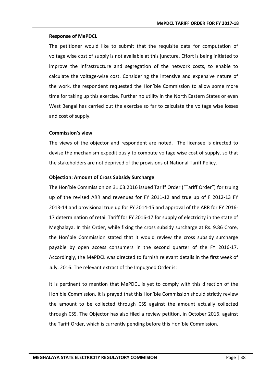The petitioner would like to submit that the requisite data for computation of voltage wise cost of supply is not available at this juncture. Effort is being initiated to improve the infrastructure and segregation of the network costs, to enable to calculate the voltage-wise cost. Considering the intensive and expensive nature of the work, the respondent requested the Hon'ble Commission to allow some more time for taking up this exercise. Further no utility in the North Eastern States or even West Bengal has carried out the exercise so far to calculate the voltage wise losses and cost of supply.

## **Commission's view**

The views of the objector and respondent are noted. The licensee is directed to devise the mechanism expeditiously to compute voltage wise cost of supply, so that the stakeholders are not deprived of the provisions of National Tariff Policy.

## **Objection: Amount of Cross Subsidy Surcharge**

The Hon'ble Commission on 31.03.2016 issued Tariff Order ("Tariff Order") for truing up of the revised ARR and revenues for FY 2011-12 and true up of F 2012-13 FY 2013-14 and provisional true up for FY 2014-15 and approval of the ARR for FY 2016- 17 determination of retail Tariff for FY 2016-17 for supply of electricity in the state of Meghalaya. In this Order, while fixing the cross subsidy surcharge at Rs. 9.86 Crore, the Hon'ble Commission stated that it would review the cross subsidy surcharge payable by open access consumers in the second quarter of the FY 2016-17. Accordingly, the MePDCL was directed to furnish relevant details in the first week of July, 2016. The relevant extract of the Impugned Order is:

It is pertinent to mention that MePDCL is yet to comply with this direction of the Hon'ble Commission. It is prayed that this Hon'ble Commission should strictly review the amount to be collected through CSS against the amount actually collected through CSS. The Objector has also filed a review petition, in October 2016, against the Tariff Order, which is currently pending before this Hon'ble Commission.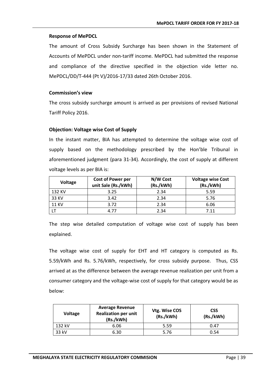The amount of Cross Subsidy Surcharge has been shown in the Statement of Accounts of MePDCL under non-tariff income. MePDCL had submitted the response and compliance of the directive specified in the objection vide letter no. MePDCL/DD/T-444 (Pt V)/2016-17/33 dated 26th October 2016.

#### **Commission's view**

The cross subsidy surcharge amount is arrived as per provisions of revised National Tariff Policy 2016.

#### **Objection: Voltage wise Cost of Supply**

In the instant matter, BIA has attempted to determine the voltage wise cost of supply based on the methodology prescribed by the Hon'ble Tribunal in aforementioned judgment (para 31-34). Accordingly, the cost of supply at different voltage levels as per BIA is:

| <b>Voltage</b> | <b>Cost of Power per</b><br>unit Sale (Rs./kWh) | N/W Cost<br>(Rs./kWh) | <b>Voltage wise Cost</b><br>(Rs./kWh) |
|----------------|-------------------------------------------------|-----------------------|---------------------------------------|
| 132 KV         | 3.25                                            | 2.34                  | 5.59                                  |
| 33 KV          | 3.42                                            | 2.34                  | 5.76                                  |
| <b>11 KV</b>   | 3.72                                            | 2.34                  | 6.06                                  |
|                | 4.77                                            | 2.34                  | 7.11                                  |

The step wise detailed computation of voltage wise cost of supply has been explained.

The voltage wise cost of supply for EHT and HT category is computed as Rs. 5.59/kWh and Rs. 5.76/kWh, respectively, for cross subsidy purpose. Thus, CSS arrived at as the difference between the average revenue realization per unit from a consumer category and the voltage-wise cost of supply for that category would be as below:

| <b>Voltage</b> | <b>Average Revenue</b><br><b>Realization per unit</b><br>(Rs./kWh) | Vtg. Wise COS<br>(Rs./kWh) | <b>CSS</b><br>(Rs./kWh) |
|----------------|--------------------------------------------------------------------|----------------------------|-------------------------|
| 132 kV         | 6.06                                                               | 5.59                       | 0.47                    |
| 33 kV          | 6.30                                                               | 5.76                       | 0.54                    |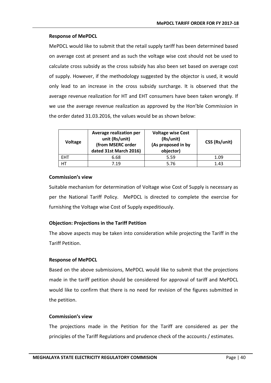MePDCL would like to submit that the retail supply tariff has been determined based on average cost at present and as such the voltage wise cost should not be used to calculate cross subsidy as the cross subsidy has also been set based on average cost of supply. However, if the methodology suggested by the objector is used, it would only lead to an increase in the cross subsidy surcharge. It is observed that the average revenue realization for HT and EHT consumers have been taken wrongly. If we use the average revenue realization as approved by the Hon'ble Commission in the order dated 31.03.2016, the values would be as shown below:

| <b>Voltage</b> | Average realization per<br>unit (Rs/unit)<br>(from MSERC order<br>dated 31st March 2016) | <b>Voltage wise Cost</b><br>(Rs/unit)<br>(As proposed in by<br>objector) | CSS (Rs/unit) |
|----------------|------------------------------------------------------------------------------------------|--------------------------------------------------------------------------|---------------|
| <b>EHT</b>     | 6.68                                                                                     | 5.59                                                                     | 1.09          |
| HT             | 7.19                                                                                     | 5.76                                                                     | 1.43          |

## **Commission's view**

Suitable mechanism for determination of Voltage wise Cost of Supply is necessary as per the National Tariff Policy. MePDCL is directed to complete the exercise for furnishing the Voltage wise Cost of Supply expeditiously.

## **Objection: Projections in the Tariff Petition**

The above aspects may be taken into consideration while projecting the Tariff in the Tariff Petition.

#### **Response of MePDCL**

Based on the above submissions, MePDCL would like to submit that the projections made in the tariff petition should be considered for approval of tariff and MePDCL would like to confirm that there is no need for revision of the figures submitted in the petition.

#### **Commission's view**

The projections made in the Petition for the Tariff are considered as per the principles of the Tariff Regulations and prudence check of the accounts / estimates.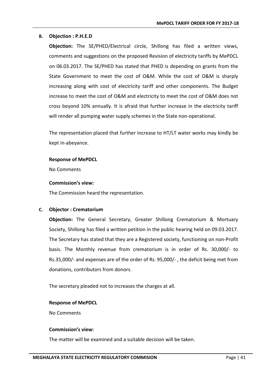#### **B. Objection : P.H.E.D**

**Objection:** The SE/PHED/Electrical circle, Shillong has filed a written views, comments and suggestions on the proposed Revision of electricity tariffs by MePDCL on 06.03.2017. The SE/PHED has stated that PHED is depending on grants from the State Government to meet the cost of O&M. While the cost of O&M is sharply increasing along with cost of electricity tariff and other components. The Budget increase to meet the cost of O&M and electricity to meet the cost of O&M does not cross beyond 10% annually. It is afraid that further increase in the electricity tariff will render all pumping water supply schemes in the State non-operational.

The representation placed that further increase to HT/LT water works may kindly be kept in-abeyance.

#### **Response of MePDCL**

No Comments

#### **Commission's view:**

The Commission heard the representation.

## **C. Objector : Crematorium**

**Objection:** The General Secretary, Greater Shillong Crematorium & Mortuary Society, Shillong has filed a written petition in the public hearing held on 09.03.2017. The Secretary has stated that they are a Registered society, functioning on non-Profit basis. The Monthly revenue from crematorium is in order of Rs. 30,000/- to Rs.35,000/- and expenses are of the order of Rs. 95,000/- , the deficit being met from donations, contributors from donors.

The secretary pleaded not to increases the charges at all.

## **Response of MePDCL**

No Comments

#### **Commission's view:**

The matter will be examined and a suitable decision will be taken.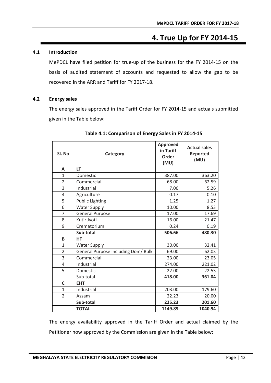# **4. True Up for FY 2014-15**

## **4.1 Introduction**

MePDCL have filed petition for true-up of the business for the FY 2014-15 on the basis of audited statement of accounts and requested to allow the gap to be recovered in the ARR and Tariff for FY 2017-18.

#### **4.2 Energy sales**

The energy sales approved in the Tariff Order for FY 2014-15 and actuals submitted given in the Table below:

| Sl. No         | Category                            | Approved<br>in Tariff<br>Order<br>(MU) | <b>Actual sales</b><br><b>Reported</b><br>(MU) |
|----------------|-------------------------------------|----------------------------------------|------------------------------------------------|
| A              | LT                                  |                                        |                                                |
| $\mathbf{1}$   | Domestic                            | 387.00                                 | 363.20                                         |
| $\overline{2}$ | Commercial                          | 68.00                                  | 62.59                                          |
| 3              | Industrial                          | 7.00                                   | 5.26                                           |
| 4              | Agriculture                         | 0.17                                   | 0.10                                           |
| 5              | <b>Public Lighting</b>              | 1.25                                   | 1.27                                           |
| 6              | <b>Water Supply</b>                 | 10.00                                  | 8.53                                           |
| $\overline{7}$ | <b>General Purpose</b>              | 17.00                                  | 17.69                                          |
| 8              | Kutir Jyoti                         | 16.00                                  | 21.47                                          |
| 9              | Crematorium                         | 0.24                                   | 0.19                                           |
|                | Sub-total                           | 506.66                                 | 480.30                                         |
| B              | <b>HT</b>                           |                                        |                                                |
| 1              | <b>Water Supply</b>                 | 30.00                                  | 32.41                                          |
| $\overline{2}$ | General Purpose including Dom/ Bulk | 69.00                                  | 62.03                                          |
| 3              | Commercial                          | 23.00                                  | 23.05                                          |
| 4              | Industrial                          | 274.00                                 | 221.02                                         |
| 5              | Domestic                            | 22.00                                  | 22.53                                          |
|                | Sub-total                           | 418.00                                 | 361.04                                         |
| C              | <b>EHT</b>                          |                                        |                                                |
| $\mathbf{1}$   | Industrial                          | 203.00                                 | 179.60                                         |
| $\overline{2}$ | Assam                               | 22.23                                  | 20.00                                          |
|                | Sub-total                           | 225.23                                 | 201.60                                         |
|                | <b>TOTAL</b>                        | 1149.89                                | 1040.94                                        |

## **Table 4.1: Comparison of Energy Sales in FY 2014-15**

The energy availability approved in the Tariff Order and actual claimed by the Petitioner now approved by the Commission are given in the Table below: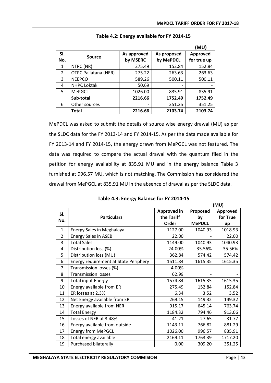**(MU)**

|                |                             |                         |                          | (MU)                    |
|----------------|-----------------------------|-------------------------|--------------------------|-------------------------|
| SI.<br>No.     | <b>Source</b>               | As approved<br>by MSERC | As proposed<br>by MePDCL | Approved<br>for true up |
| 1              | NTPC (NR)                   | 275.49                  | 152.84                   | 152.84                  |
| $\overline{2}$ | <b>OTPC Pallatana (NER)</b> | 275.22                  | 263.63                   | 263.63                  |
| 3              | <b>NEEPCO</b>               | 589.26                  | 500.11                   | 500.11                  |
| 4              | <b>NHPC Loktak</b>          | 50.69                   |                          |                         |
| 5              | <b>MePGCL</b>               | 1026.00                 | 835.91                   | 835.91                  |
|                | Sub-total                   | 2216.66                 | 1752.49                  | 1752.49                 |
| 6              | Other sources               |                         | 351.25                   | 351.25                  |
|                | <b>Total</b>                | 2216.66                 | 2103.74                  | 2103.74                 |

## **Table 4.2: Energy available for FY 2014-15**

MePDCL was asked to submit the details of source wise energy drawal (MU) as per the SLDC data for the FY 2013-14 and FY 2014-15. As per the data made available for FY 2013-14 and FY 2014-15, the energy drawn from MePGCL was not featured. The data was required to compare the actual drawal with the quantum filed in the petition for energy availability at 835.91 MU and in the energy balance Table 3 furnished at 996.57 MU, which is not matching. The Commission has considered the drawal from MePGCL at 835.91 MU in the absence of drawal as per the SLDC data.

| Table 4.3: Energy Balance for FY 2014-15 |  |  |
|------------------------------------------|--|--|
|------------------------------------------|--|--|

|                |                                       | (MU)        |               |          |
|----------------|---------------------------------------|-------------|---------------|----------|
| SI.            |                                       | Approved in | Proposed      | Approved |
| No.            | <b>Particulars</b>                    | the Tariff  | by            | for True |
|                |                                       | Order       | <b>MePDCL</b> | up       |
| $\mathbf{1}$   | Energy Sales in Meghalaya             | 1127.00     | 1040.93       | 1018.93  |
| $\overline{2}$ | <b>Energy Sales in ASEB</b>           | 22.00       |               | 22.00    |
| 3              | <b>Total Sales</b>                    | 1149.00     | 1040.93       | 1040.93  |
| 4              | Distribution loss (%)                 | 24.00%      | 35.56%        | 35.56%   |
| 5              | Distribution loss (MU)                | 362.84      | 574.42        | 574.42   |
| 6              | Energy requirement at State Periphery | 1511.84     | 1615.35       | 1615.35  |
| $\overline{7}$ | Transmission losses (%)               | 4.00%       |               |          |
| 8              | <b>Transmission losses</b>            | 62.99       |               |          |
| 9              | <b>Total input Energy</b>             | 1574.84     | 1615.35       | 1615.35  |
| 10             | Energy available from ER              | 275.49      | 152.84        | 152.84   |
| 11             | ER losses at 2.3%                     | 6.34        | 3.52          | 3.52     |
| 12             | Net Energy available from ER          | 269.15      | 149.32        | 149.32   |
| 13             | Energy available from NER             | 915.17      | 645.14        | 763.74   |
| 14             | <b>Total Energy</b>                   | 1184.32     | 794.46        | 913.06   |
| 15             | Losses of NER at 3.48%                | 41.21       | 27.65         | 31.77    |
| 16             | Energy available from outside         | 1143.11     | 766.82        | 881.29   |
| 17             | <b>Energy from MePGCL</b>             | 1026.00     | 996.57        | 835.91   |
| 18             | Total energy available                | 2169.11     | 1763.39       | 1717.20  |
| 19             | Purchased bilaterally                 | 0.00        | 309.20        | 351.25   |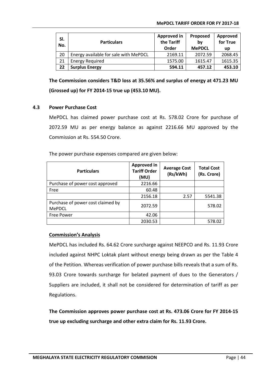| SI.<br>No. | <b>Particulars</b>                    | Approved in<br>the Tariff<br>Order | Proposed<br>bv<br><b>MePDCL</b> | Approved<br>for True<br>up |
|------------|---------------------------------------|------------------------------------|---------------------------------|----------------------------|
| 20         | Energy available for sale with MePDCL | 2169.11                            | 2072.59                         | 2068.45                    |
| 21         | <b>Energy Required</b>                | 1575.00                            | 1615.47                         | 1615.35                    |
| 22         | <b>Surplus Energy</b>                 | 594.11                             | 457.12                          | 453.10                     |

**The Commission considers T&D loss at 35.56% and surplus of energy at 471.23 MU (Grossed up) for FY 2014-15 true up (453.10 MU).**

## **4.3 Power Purchase Cost**

MePDCL has claimed power purchase cost at Rs. 578.02 Crore for purchase of 2072.59 MU as per energy balance as against 2216.66 MU approved by the Commission at Rs. 554.50 Crore.

The power purchase expenses compared are given below:

| <b>Particulars</b>                                 | <b>Approved in</b><br><b>Tariff Order</b><br>(MU) | <b>Average Cost</b><br>(Rs/kWh) | <b>Total Cost</b><br>(Rs. Crore) |
|----------------------------------------------------|---------------------------------------------------|---------------------------------|----------------------------------|
| Purchase of power cost approved                    | 2216.66                                           |                                 |                                  |
| Free                                               | 60.48                                             |                                 |                                  |
|                                                    | 2156.18                                           | 2.57                            | 5541.38                          |
| Purchase of power cost claimed by<br><b>MePDCL</b> | 2072.59                                           |                                 | 578.02                           |
| Free Power                                         | 42.06                                             |                                 |                                  |
|                                                    | 2030.53                                           |                                 | 578.02                           |

## **Commission's Analysis**

MePDCL has included Rs. 64.62 Crore surcharge against NEEPCO and Rs. 11.93 Crore included against NHPC Loktak plant without energy being drawn as per the Table 4 of the Petition. Whereas verification of power purchase bills reveals that a sum of Rs. 93.03 Crore towards surcharge for belated payment of dues to the Generators / Suppliers are included, it shall not be considered for determination of tariff as per Regulations.

**The Commission approves power purchase cost at Rs. 473.06 Crore for FY 2014-15 true up excluding surcharge and other extra claim for Rs. 11.93 Crore.**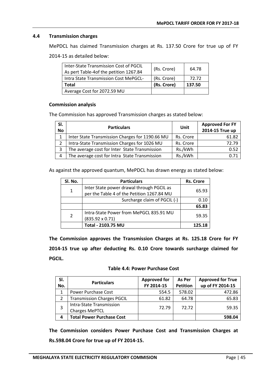## **4.4 Transmission charges**

MePDCL has claimed Transmission charges at Rs. 137.50 Crore for true up of FY

2014-15 as detailed below:

| <b>Total</b><br>Average Cost for 2072.59 MU | (Rs. Crore) | 137.50 |
|---------------------------------------------|-------------|--------|
|                                             |             |        |
| Intra State Transmission Cost MePGCL-       | (Rs. Crore) | 72.72  |
| As pert Table-4of the petition 1267.84      |             |        |
| Inter-State Transmission Cost of PGCIL      | (Rs. Crore) | 64.78  |

#### **Commission analysis**

The Commission has approved Transmission charges as stated below:

| SI.<br><b>No</b> | <b>Particulars</b>                              | Unit      | <b>Approved For FY</b><br>2014-15 True up |
|------------------|-------------------------------------------------|-----------|-------------------------------------------|
| $\mathbf{1}$     | Inter State Transmission Charges for 1190.66 MU | Rs. Crore | 61.82                                     |
| $\overline{2}$   | Intra-State Transmission Charges for 1026 MU    | Rs. Crore | 72.79                                     |
| 3                | The average cost for Inter State Transmission   | Rs./kWh   | 0.52                                      |
| 4                | The average cost for Intra State Transmission   | Rs./kWh   |                                           |

As against the approved quantum, MePDCL has drawn energy as stated below:

| Sl. No.        | <b>Particulars</b>                                                | <b>Rs. Crore</b> |  |
|----------------|-------------------------------------------------------------------|------------------|--|
| $\mathbf{1}$   | Inter State power drawal through PGCIL as                         |                  |  |
|                | per the Table 4 of the Petition 1267.84 MU                        | 65.93            |  |
|                | Surcharge claim of PGCIL (-)                                      | 0.10             |  |
|                |                                                                   | 65.83            |  |
| $\overline{2}$ | Intra-State Power from MePGCL 835.91 MU<br>$(835.92 \times 0.71)$ | 59.35            |  |
|                | Total - 2103.75 MU                                                | 125.18           |  |

**The Commission approves the Transmission Charges at Rs. 125.18 Crore for FY 2014-15 true up after deducting Rs. 0.10 Crore towards surcharge claimed for PGCIL.**

|  |  | <b>Table 4.4: Power Purchase Cost</b> |  |
|--|--|---------------------------------------|--|
|--|--|---------------------------------------|--|

| SI. | <b>Particulars</b>                                | <b>Approved for</b> | As Per          | <b>Approved for True</b> |
|-----|---------------------------------------------------|---------------------|-----------------|--------------------------|
| No. |                                                   | FY 2014-15          | <b>Petition</b> | up of FY 2014-15         |
|     | Power Purchase Cost                               | 554.5               | 578.02          | 472.86                   |
|     | <b>Transmission Charges PGCIL</b>                 | 61.82               | 64.78           | 65.83                    |
|     | Intra-State Transmission<br><b>Charges MePTCL</b> | 72.79               | 72.72           | 59.35                    |
| 4   | <b>Total Power Purchase Cost</b>                  |                     |                 | 598.04                   |

**The Commission considers Power Purchase Cost and Transmission Charges at Rs.598.04 Crore for true up of FY 2014-15.**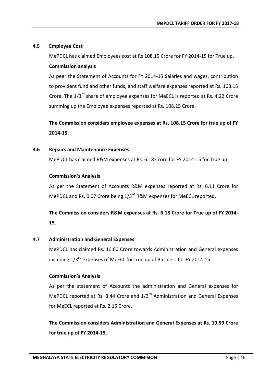## **4.5 Employee Cost**

MePDCL has claimed Employees cost at Rs 108.15 Crore for FY 2014-15 for True up.

## **Commission analysis**

As peer the Statement of Accounts for FY 2014-15 Salaries and wages, contribution to provident fund and other funds, and staff welfare expenses reported at Rs. 108.15 Crore. The 1/3<sup>rd</sup> share of employee expenses for MeECL is reported at Rs. 4.22 Crore summing up the Employee expenses reported at Rs. 108.15 Crore.

**The Commission considers employee expenses at Rs. 108.15 Crore for true up of FY 2014-15.**

## **4.6 Repairs and Maintenance Expenses**

MePDCL has claimed R&M expenses at Rs. 6.18 Crore for FY 2014-15 for True up.

## **Commission's Analysis**

As per the Statement of Accounts R&M expenses reported at Rs. 6.11 Crore for MePDCL and Rs. 0.07 Crore being 1/3<sup>rd</sup> R&M expenses for MeECL reported.

## **The Commission considers R&M expenses at Rs. 6.18 Crore for True up of FY 2014- 15.**

## **4.7 Administration and General Expenses**

MePDCL has claimed Rs. 10.60 Crore towards Administration and General expenses including  $1/3^{rd}$  expenses of MeECL for true up of Business for FY 2014-15.

## **Commission's Analysis**

As per the statement of Accounts the administration and General expenses for MePDCL reported at Rs. 8.44 Crore and  $1/3^{rd}$  Administration and General Expenses for MeECL reported at Rs. 2.15 Crore.

**The Commission considers Administration and General Expenses at Rs. 10.59 Crore for true up of FY 2014-15.**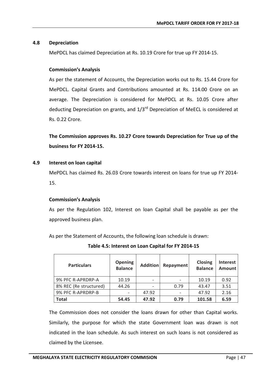## **4.8 Depreciation**

MePDCL has claimed Depreciation at Rs. 10.19 Crore for true up FY 2014-15.

## **Commission's Analysis**

As per the statement of Accounts, the Depreciation works out to Rs. 15.44 Crore for MePDCL. Capital Grants and Contributions amounted at Rs. 114.00 Crore on an average. The Depreciation is considered for MePDCL at Rs. 10.05 Crore after deducting Depreciation on grants, and 1/3<sup>rd</sup> Depreciation of MeECL is considered at Rs. 0.22 Crore.

**The Commission approves Rs. 10.27 Crore towards Depreciation for True up of the business for FY 2014-15.**

## **4.9 Interest on loan capital**

MePDCL has claimed Rs. 26.03 Crore towards interest on loans for true up FY 2014- 15.

## **Commission's Analysis**

As per the Regulation 102, Interest on loan Capital shall be payable as per the approved business plan.

As per the Statement of Accounts, the following loan schedule is drawn:

| <b>Particulars</b>     | <b>Opening</b><br><b>Balance</b> | <b>Addition</b> | Repayment | <b>Closing</b><br><b>Balance</b> | <b>Interest</b><br><b>Amount</b> |
|------------------------|----------------------------------|-----------------|-----------|----------------------------------|----------------------------------|
| 9% PFC R-APRDRP-A      | 10.19                            |                 |           | 10.19                            | 0.92                             |
| 8% REC (Re structured) | 44.26                            |                 | 0.79      | 43.47                            | 3.51                             |
| 9% PFC R-APRDRP-B      | -                                | 47.92           |           | 47.92                            | 2.16                             |
| <b>Total</b>           | 54.45                            | 47.92           | 0.79      | 101.58                           | 6.59                             |

**Table 4.5: Interest on Loan Capital for FY 2014-15**

The Commission does not consider the loans drawn for other than Capital works. Similarly, the purpose for which the state Government loan was drawn is not indicated in the loan schedule. As such interest on such loans is not considered as claimed by the Licensee.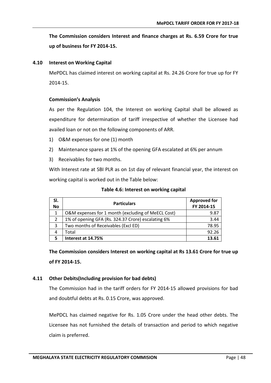**The Commission considers Interest and finance charges at Rs. 6.59 Crore for true up of business for FY 2014-15.**

#### **4.10 Interest on Working Capital**

MePDCL has claimed interest on working capital at Rs. 24.26 Crore for true up for FY 2014-15.

## **Commission's Analysis**

As per the Regulation 104, the Interest on working Capital shall be allowed as expenditure for determination of tariff irrespective of whether the Licensee had availed loan or not on the following components of ARR.

- 1) O&M expenses for one (1) month
- 2) Maintenance spares at 1% of the opening GFA escalated at 6% per annum
- 3) Receivables for two months.

With Interest rate at SBI PLR as on 1st day of relevant financial year, the interest on working capital is worked out in the Table below:

|  | Table 4.6: Interest on working capital |  |  |
|--|----------------------------------------|--|--|
|--|----------------------------------------|--|--|

| SI.<br><b>No</b> | <b>Particulars</b>                                 | <b>Approved for</b><br>FY 2014-15 |
|------------------|----------------------------------------------------|-----------------------------------|
| 1                | O&M expenses for 1 month (excluding of MeECL Cost) | 9.87                              |
| 2                | 1% of opening GFA (Rs. 324.37 Crore) escalating 6% | 3.44                              |
| 3                | Two months of Receivables (Excl ED)                | 78.95                             |
| 4                | Total                                              | 92.26                             |
|                  | Interest at 14.75%                                 | 13.61                             |

**The Commission considers Interest on working capital at Rs 13.61 Crore for true up of FY 2014-15.**

## **4.11 Other Debits(Including provision for bad debts)**

The Commission had in the tariff orders for FY 2014-15 allowed provisions for bad and doubtful debts at Rs. 0.15 Crore, was approved.

MePDCL has claimed negative for Rs. 1.05 Crore under the head other debts. The Licensee has not furnished the details of transaction and period to which negative claim is preferred.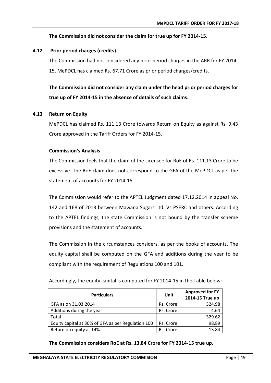## **The Commission did not consider the claim for true up for FY 2014-15.**

## **4.12 Prior period charges (credits)**

The Commission had not considered any prior period charges in the ARR for FY 2014- 15. MePDCL has claimed Rs. 67.71 Crore as prior period charges/credits.

**The Commission did not consider any claim under the head prior period charges for true up of FY 2014-15 in the absence of details of such claims**.

## **4.13 Return on Equity**

MePDCL has claimed Rs. 111.13 Crore towards Return on Equity as against Rs. 9.43 Crore approved in the Tariff Orders for FY 2014-15.

## **Commission's Analysis**

The Commission feels that the claim of the Licensee for RoE of Rs. 111.13 Crore to be excessive. The RoE claim does not correspond to the GFA of the MePDCL as per the statement of accounts for FY 2014-15.

The Commission would refer to the APTEL Judgment dated 17.12.2014 in appeal No. 142 and 168 of 2013 between Mawana Sugars Ltd. Vs PSERC and others. According to the APTEL findings, the state Commission is not bound by the transfer scheme provisions and the statement of accounts.

The Commission in the circumstances considers, as per the books of accounts. The equity capital shall be computed on the GFA and additions during the year to be compliant with the requirement of Regulations 100 and 101.

| <b>Particulars</b>                                 | Unit      | <b>Approved for FY</b><br>2014-15 True up |
|----------------------------------------------------|-----------|-------------------------------------------|
| GFA as on 31.03.2014                               | Rs. Crore | 324.98                                    |
| Additions during the year                          | Rs. Crore | 4.64                                      |
| Total                                              |           | 329.62                                    |
| Equity capital at 30% of GFA as per Regulation 100 | Rs. Crore | 98.89                                     |
| Return on equity at 14%                            | Rs. Crore | 13.84                                     |

Accordingly, the equity capital is computed for FY 2014-15 in the Table below:

**The Commission considers RoE at Rs. 13.84 Crore for FY 2014-15 true up.**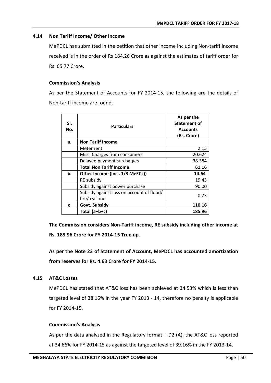## **4.14 Non Tariff Income/ Other Income**

MePDCL has submitted in the petition that other income including Non-tariff income received is in the order of Rs 184.26 Crore as against the estimates of tariff order for Rs. 65.77 Crore.

## **Commission's Analysis**

As per the Statement of Accounts for FY 2014-15, the following are the details of Non-tariff income are found.

| SI.<br>No. | <b>Particulars</b>                                         | As per the<br><b>Statement of</b><br><b>Accounts</b><br>(Rs. Crore) |
|------------|------------------------------------------------------------|---------------------------------------------------------------------|
| а.         | <b>Non Tariff Income</b>                                   |                                                                     |
|            | Meter rent                                                 | 2.15                                                                |
|            | Misc. Charges from consumers                               | 20.624                                                              |
|            | Delayed payment surcharges                                 | 38.384                                                              |
|            | <b>Total Non Tariff Income</b>                             | 61.16                                                               |
| b.         | Other Income (Incl. 1/3 MeECL))                            | 14.64                                                               |
|            | RE subsidy                                                 | 19.43                                                               |
|            | Subsidy against power purchase                             | 90.00                                                               |
|            | Subsidy against loss on account of flood/<br>fire/ cyclone | 0.73                                                                |
| C          | Govt. Subsidy                                              | 110.16                                                              |
|            | Total $(a+b+c)$                                            | 185.96                                                              |

**The Commission considers Non-Tariff income, RE subsidy including other income at Rs. 185.96 Crore for FY 2014-15 True up.**

**As per the Note 23 of Statement of Account, MePDCL has accounted amortization from reserves for Rs. 4.63 Crore for FY 2014-15.**

## **4.15 AT&C Losses**

MePDCL has stated that AT&C loss has been achieved at 34.53% which is less than targeted level of 38.16% in the year FY 2013 - 14, therefore no penalty is applicable for FY 2014-15.

## **Commission's Analysis**

As per the data analyzed in the Regulatory format – D2 (A), the AT&C loss reported at 34.66% for FY 2014-15 as against the targeted level of 39.16% in the FY 2013-14.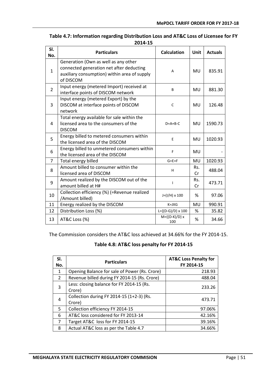| SI.<br>No.     | <b>Particulars</b>                                                                                                                            | <b>Calculation</b>           | <b>Unit</b> | <b>Actuals</b> |
|----------------|-----------------------------------------------------------------------------------------------------------------------------------------------|------------------------------|-------------|----------------|
| $\mathbf{1}$   | Generation (Own as well as any other<br>connected generation net after deducting<br>auxiliary consumption) within area of supply<br>of DISCOM | A                            | MU          | 835.91         |
| 2              | Input energy (metered Import) received at<br>interface points of DISCOM network                                                               | B                            | MU          | 881.30         |
| 3              | Input energy (metered Export) by the<br>DISCOM at interface points of DISCOM<br>network                                                       | C                            | MU          | 126.48         |
| 4              | Total energy available for sale within the<br>licensed area to the consumers of the<br><b>DISCOM</b>                                          | $D=A+B-C$                    | MU          | 1590.73        |
| 5              | Energy billed to metered consumers within<br>the licensed area of the DISCOM                                                                  | E                            | MU          | 1020.93        |
| 6              | Energy billed to unmetered consumers within<br>the licensed area of the DISCOM                                                                | F                            | MU          |                |
| $\overline{7}$ | Total energy billed                                                                                                                           | $G = E + F$                  | MU          | 1020.93        |
| 8              | Amount billed to consumer within the<br>licensed area of DISCOM                                                                               | H                            | Rs.<br>Cr   | 488.04         |
| 9              | Amount realized by the DISCOM out of the<br>amount billed at H#                                                                               | ı                            | Rs.<br>Cr   | 473.71         |
| 10             | Collection efficiency (%) (=Revenue realized<br>/Amount billed)                                                                               | $J=(I/H) \times 100$         | %           | 97.06          |
| 11             | Energy realized by the DISCOM                                                                                                                 | $K = J \times G$             | MU          | 990.91         |
| 12             | Distribution Loss (%)                                                                                                                         | $L = \{(D-G)/D\} \times 100$ | %           | 35.82          |
| 13             | AT&C Loss (%)                                                                                                                                 | $M = \{(D-K)/D\} x$<br>100   | %           | 34.66          |

## **Table 4.7: Information regarding Distribution Loss and AT&C Loss of Licensee for FY 2014-15**

The Commission considers the AT&C loss achieved at 34.66% for the FY 2014-15.

## **Table 4.8: AT&C loss penalty for FY 2014-15**

| SI.<br>No.     | <b>Particulars</b>                                  | <b>AT&amp;C Loss Penalty for</b><br>FY 2014-15 |
|----------------|-----------------------------------------------------|------------------------------------------------|
| $\mathbf{1}$   | Opening Balance for sale of Power (Rs. Crore)       | 218.93                                         |
| $\mathcal{L}$  | Revenue billed during FY 2014-15 (Rs. Crore)        | 488.04                                         |
| 3              | Less: closing balance for FY 2014-15 (Rs.<br>Crore) | 233.26                                         |
| $\overline{4}$ | Collection during FY 2014-15 (1+2-3) (Rs.<br>Crore) | 473.71                                         |
| 5              | Collection efficiency FY 2014-15                    | 97.06%                                         |
| 6              | AT&C loss considered for FY 2013-14                 | 42.16%                                         |
| 7              | Target AT&C loss for FY 2014-15                     | 39.16%                                         |
| 8              | Actual AT&C loss as per the Table 4.7               | 34.66%                                         |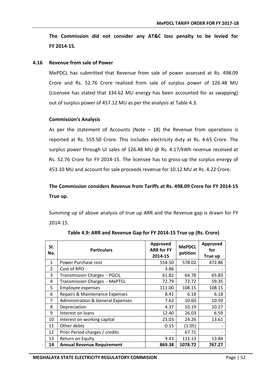**The Commission did not consider any AT&C loss penalty to be levied for FY 2014-15.**

#### **4.16 Revenue from sale of Power**

MePDCL has submitted that Revenue from sale of power assessed at Rs. 498.09 Crore and Rs. 52.76 Crore realized from sale of surplus power of 126.48 MU (Licensee has stated that 334.62 MU energy has been accounted for as swapping) out of surplus power of 457.12 MU as per the analysis at Table 4.3.

#### **Commission's Analysis**

As per the statement of Accounts (Note  $-$  18) the Revenue from operations is reported at Rs. 555.50 Crore. This includes electricity duty at Rs. 4.65 Crore. The surplus power through UI sales of 126.48 MU @ Rs. 4.17/kWh revenue received at Rs. 52.76 Crore for FY 2014-15. The licensee has to gross-up the surplus energy of 453.10 MU and account for sale proceeds revenue for 10.12 MU at Rs. 4.22 Crore.

## **The Commission considers Revenue from Tariffs at Rs. 498.09 Crore for FY 2014-15 True up.**

Summing up of above analysis of true up ARR and the Revenue gap is drawn for FY 2014-15.

| SI.<br>No.    | <b>Particulars</b>                           | Approved<br><b>ARR for FY</b><br>2014-15 | <b>MePDCL</b><br>petition | Approved<br>for<br>True up |
|---------------|----------------------------------------------|------------------------------------------|---------------------------|----------------------------|
| 1             | Power Purchase cost                          | 554.50                                   | 578.02                    | 472.86                     |
| $\mathcal{P}$ | Cost of RPO                                  | 3.86                                     |                           |                            |
| 3             | <b>Transmission Charges - PGCIL</b>          | 61.82                                    | 64.78                     | 65.83                      |
| 4             | <b>Transmission Charges - MePTCL</b>         | 72.79                                    | 72.72                     | 59.35                      |
| 5             | Employee expenses                            | 111.00                                   | 108.15                    | 108.15                     |
| 6             | Repairs & Maintenance Expenses               | 8.41                                     | 6.18                      | 6.18                       |
| 7             | <b>Administration &amp; General Expenses</b> | 7.62                                     | 10.60                     | 10.59                      |
| 8             | Depreciation                                 | 4.37                                     | 10.19                     | 10.27                      |
| 9             | Interest on loans                            | 12.40                                    | 26.03                     | 6.59                       |
| 10            | Interest on working capital                  | 23.03                                    | 24.26                     | 13.61                      |
| 11            | Other debts                                  | 0.15                                     | (1.05)                    |                            |
| 12            | Prior Period charges / credits               |                                          | 67.71                     |                            |
| 13            | Return on Equity                             | 9.43                                     | 111.13                    | 13.84                      |
| 14            | <b>Annual Revenue Requirement</b>            | 869.38                                   | 1078.72                   | 767.27                     |

**Table 4.9: ARR and Revenue Gap for FY 2014-15 True up (Rs. Crore)**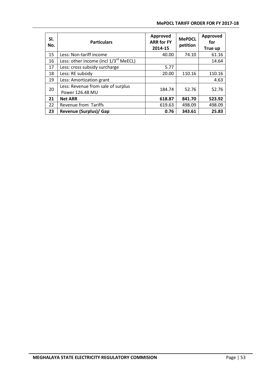| SI.<br>No. | <b>Particulars</b>                                    | Approved<br><b>ARR for FY</b><br>2014-15 | <b>MePDCL</b><br>petition | Approved<br>for<br>True up |
|------------|-------------------------------------------------------|------------------------------------------|---------------------------|----------------------------|
| 15         | Less: Non-tariff income                               | 40.00                                    | 74.10                     | 61.16                      |
| 16         | Less: other income (incl 1/3 <sup>rd</sup> MeECL)     |                                          |                           | 14.64                      |
| 17         | Less: cross subsidy surcharge                         | 5.77                                     |                           |                            |
| 18         | Less: RE subsidy                                      | 20.00                                    | 110.16                    | 110.16                     |
| 19         | Less: Amortization grant                              |                                          |                           | 4.63                       |
| 20         | Less: Revenue from sale of surplus<br>Power 126.48 MU | 184.74                                   | 52.76                     | 52.76                      |
| 21         | <b>Net ARR</b>                                        | 618.87                                   | 841.70                    | 523.92                     |
| 22         | Revenue from Tariffs                                  | 619.63                                   | 498.09                    | 498.09                     |
| 23         | <b>Revenue (Surplus)/ Gap</b>                         | 0.76                                     | 343.61                    | 25.83                      |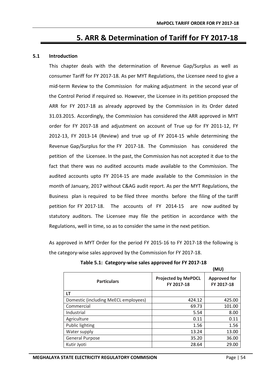# **5. ARR & Determination of Tariff for FY 2017-18**

#### **5.1 Introduction**

This chapter deals with the determination of Revenue Gap/Surplus as well as consumer Tariff for FY 2017-18. As per MYT Regulations, the Licensee need to give a mid-term Review to the Commission for making adjustment in the second year of the Control Period if required so. However, the Licensee in its petition proposed the ARR for FY 2017-18 as already approved by the Commission in its Order dated 31.03.2015. Accordingly, the Commission has considered the ARR approved in MYT order for FY 2017-18 and adjustment on account of True up for FY 2011-12, FY 2012-13, FY 2013-14 (Review) and true up of FY 2014-15 while determining the Revenue Gap/Surplus for the FY 2017-18. The Commission has considered the petition of the Licensee. In the past, the Commission has not accepted it due to the fact that there was no audited accounts made available to the Commission. The audited accounts upto FY 2014-15 are made available to the Commission in the month of January, 2017 without C&AG audit report. As per the MYT Regulations, the Business plan is required to be filed three months before the filing of the tariff petition for FY 2017-18. The accounts of FY 2014-15 are now audited by statutory auditors. The Licensee may file the petition in accordance with the Regulations, well in time, so as to consider the same in the next petition.

As approved in MYT Order for the period FY 2015-16 to FY 2017-18 the following is the category-wise sales approved by the Commission for FY 2017-18.

|                                      |                                          | וטויו                             |
|--------------------------------------|------------------------------------------|-----------------------------------|
| <b>Particulars</b>                   | <b>Projected by MePDCL</b><br>FY 2017-18 | <b>Approved for</b><br>FY 2017-18 |
| LT                                   |                                          |                                   |
| Domestic (including MeECL employees) | 424.12                                   | 425.00                            |
| Commercial                           | 69.73                                    | 101.00                            |
| Industrial                           | 5.54                                     | 8.00                              |
| Agriculture                          | 0.11                                     | 0.11                              |
| Public lighting                      | 1.56                                     | 1.56                              |
| Water supply                         | 13.24                                    | 13.00                             |
| <b>General Purpose</b>               | 35.20                                    | 36.00                             |
| Kutir Jyoti                          | 28.64                                    | 29.00                             |

**Table 5.1: Category-wise sales approved for FY 2017-18**

**(MU)**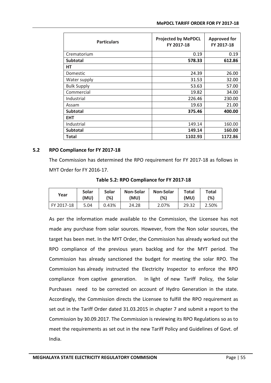| <b>Particulars</b> | <b>Projected by MePDCL</b><br>FY 2017-18 | <b>Approved for</b><br>FY 2017-18 |
|--------------------|------------------------------------------|-----------------------------------|
| Crematorium        | 0.19                                     | 0.19                              |
| <b>Subtotal</b>    | 578.33                                   | 612.86                            |
| НT                 |                                          |                                   |
| Domestic           | 24.39                                    | 26.00                             |
| Water supply       | 31.53                                    | 32.00                             |
| <b>Bulk Supply</b> | 53.63                                    | 57.00                             |
| Commercial         | 19.82                                    | 34.00                             |
| Industrial         | 226.46                                   | 230.00                            |
| Assam              | 19.63                                    | 21.00                             |
| <b>Subtotal</b>    | 375.46                                   | 400.00                            |
| <b>EHT</b>         |                                          |                                   |
| Industrial         | 149.14                                   | 160.00                            |
| <b>Subtotal</b>    | 149.14                                   | 160.00                            |
| Total              | 1102.93                                  | 1172.86                           |

#### **5.2 RPO Compliance for FY 2017-18**

The Commission has determined the RPO requirement for FY 2017-18 as follows in MYT Order for FY 2016-17.

| Year       | <b>Solar</b> | Solar | <b>Non-Solar</b> | <b>Non-Solar</b> | <b>Total</b> | Total |
|------------|--------------|-------|------------------|------------------|--------------|-------|
|            | (MU)         | (%)   | (MU)             | (%)              | (MU)         | (%)   |
| FY 2017-18 | 5.04         | 0.43% | 24.28            | 2.07%            | 29.32        | 2.50% |

As per the information made available to the Commission, the Licensee has not made any purchase from solar sources. However, from the Non solar sources, the target has been met. In the MYT Order, the Commission has already worked out the RPO compliance of the previous years backlog and for the MYT period. The Commission has already sanctioned the budget for meeting the solar RPO. The Commission has already instructed the Electricity Inspector to enforce the RPO compliance from captive generation. In light of new Tariff Policy, the Solar Purchases need to be corrected on account of Hydro Generation in the state. Accordingly, the Commission directs the Licensee to fulfill the RPO requirement as set out in the Tariff Order dated 31.03.2015 in chapter 7 and submit a report to the Commission by 30.09.2017. The Commission is reviewing its RPO Regulations so as to meet the requirements as set out in the new Tariff Policy and Guidelines of Govt. of India.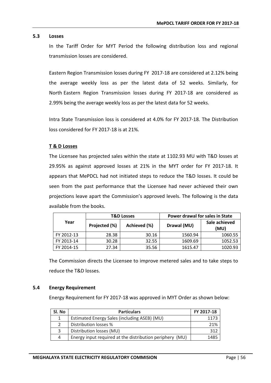#### **5.3 Losses**

In the Tariff Order for MYT Period the following distribution loss and regional transmission losses are considered.

Eastern Region Transmission losses during FY 2017-18 are considered at 2.12% being the average weekly loss as per the latest data of 52 weeks. Similarly, for North Eastern Region Transmission losses during FY 2017-18 are considered as 2.99% being the average weekly loss as per the latest data for 52 weeks.

Intra State Transmission loss is considered at 4.0% for FY 2017-18. The Distribution loss considered for FY 2017-18 is at 21%.

## **T & D Losses**

The Licensee has projected sales within the state at 1102.93 MU with T&D losses at 29.95% as against approved losses at 21% in the MYT order for FY 2017-18. It appears that MePDCL had not initiated steps to reduce the T&D losses. It could be seen from the past performance that the Licensee had never achieved their own projections leave apart the Commission's approved levels. The following is the data available from the books.

|            |               | <b>T&amp;D Losses</b> | Power drawal for sales in State |                       |
|------------|---------------|-----------------------|---------------------------------|-----------------------|
| Year       | Projected (%) | Achieved (%)          | Drawal (MU)                     | Sale achieved<br>(MU) |
| FY 2012-13 | 28.38         | 30.16                 | 1560.94                         | 1060.55               |
| FY 2013-14 | 30.28         | 32.55                 | 1609.69                         | 1052.53               |
| FY 2014-15 | 27.34         | 35.56                 | 1615.47                         | 1020.93               |

The Commission directs the Licensee to improve metered sales and to take steps to reduce the T&D losses.

#### **5.4 Energy Requirement**

Energy Requirement for FY 2017-18 was approved in MYT Order as shown below:

| Sl. No | <b>Particulars</b>                                       | FY 2017-18 |
|--------|----------------------------------------------------------|------------|
|        | Estimated Energy Sales (including ASEB) (MU)             | 1173       |
|        | Distribution losses %                                    | 21%        |
| 3      | Distribution losses (MU)                                 | 312        |
| Δ      | Energy input required at the distribution periphery (MU) | 1485       |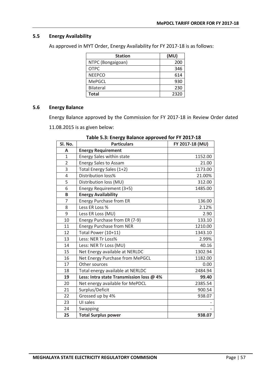## **5.5 Energy Availability**

As approved in MYT Order, Energy Availability for FY 2017-18 is as follows:

| <b>Station</b>    | (MU) |
|-------------------|------|
| NTPC (Bongaigoan) | 200  |
| OTPC              | 346  |
| <b>NEEPCO</b>     | 614  |
| <b>MePGCL</b>     | 930  |
| <b>Bilateral</b>  | 230  |
| <b>Total</b>      | 2320 |

## **5.6 Energy Balance**

Energy Balance approved by the Commission for FY 2017-18 in Review Order dated

11.08.2015 is as given below:

| Sl. No.        | <b>Particulars</b>                       | FY 2017-18 (MU) |
|----------------|------------------------------------------|-----------------|
| A              | <b>Energy Requirement</b>                |                 |
| 1              | <b>Energy Sales within state</b>         | 1152.00         |
| $\overline{2}$ | <b>Energy Sales to Assam</b>             | 21.00           |
| 3              | Total Energy Sales (1+2)                 | 1173.00         |
| 4              | Distribution loss%                       | 21.00%          |
| 5              | Distribution loss (MU)                   | 312.00          |
| 6              | Energy Requirement (3+5)                 | 1485.00         |
| B              | <b>Energy Availability</b>               |                 |
| $\overline{7}$ | <b>Energy Purchase from ER</b>           | 136.00          |
| 8              | Less ER Loss %                           | 2.12%           |
| 9              | Less ER Loss (MU)                        | 2.90            |
| 10             | Energy Purchase from ER (7-9)            | 133.10          |
| 11             | Energy Purchase from NER                 | 1210.00         |
| 12             | Total Power (10+11)                      | 1343.10         |
| 13             | Less: NER Tr Loss%                       | 2.99%           |
| 14             | Less: NER Tr Loss (MU)                   | 40.16           |
| 15             | Net Energy available at NERLDC           | 1302.94         |
| 16             | Net Energy Purchase from MePGCL          | 1182.00         |
| 17             | Other sources                            | 0.00            |
| 18             | Total energy available at NERLDC         | 2484.94         |
| 19             | Less: Intra state Transmission loss @ 4% | 99.40           |
| 20             | Net energy available for MePDCL          | 2385.54         |
| 21             | Surplus/Deficit                          | 900.54          |
| 22             | Grossed up by 4%                         | 938.07          |
| 23             | UI sales                                 |                 |
| 24             | Swapping                                 |                 |
| 25             | <b>Total Surplus power</b>               | 938.07          |

**Table 5.3: Energy Balance approved for FY 2017-18**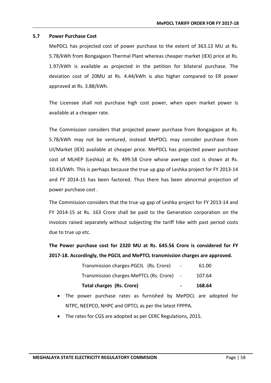#### **5.7 Power Purchase Cost**

MePDCL has projected cost of power purchase to the extent of 363.13 MU at Rs. 5.78/kWh from Bongaigaon Thermal Plant whereas cheaper market (IEX) price at Rs. 1.97/kWh is available as projected in the petition for bilateral purchase. The deviation cost of 20MU at Rs. 4.44/kWh is also higher compared to ER power approved at Rs. 3.88/kWh.

The Licensee shall not purchase high cost power, when open market power is available at a cheaper rate.

The Commission considers that projected power purchase from Bongaigaon at Rs. 5.78/kWh may not be ventured, instead MePDCL may consider purchase from UI/Market (IEX) available at cheaper price. MePDCL has projected power purchase cost of MLHEP (Leshka) at Rs. 499.58 Crore whose average cost is shown at Rs. 10.43/kWh. This is perhaps because the true up gap of Leshka project for FY 2013-14 and FY 2014-15 has been factored. Thus there has been abnormal projection of power purchase cost .

The Commission considers that the true up gap of Leshka project for FY 2013-14 and FY 2014-15 at Rs. 163 Crore shall be paid to the Generation corporation on the invoices raised separately without subjecting the tariff hike with past period costs due to true up etc.

**The Power purchase cost for 2320 MU at Rs. 645.56 Crore is considered for FY 2017-18. Accordingly, the PGCIL and MePTCL transmission charges are approved.**

| Total charges (Rs. Crore)               | $\sim$                   | 168.64 |
|-----------------------------------------|--------------------------|--------|
| Transmission charges-MePTCL (Rs. Crore) |                          | 107.64 |
| Transmission charges-PGCIL (Rs. Crore)  | $\overline{\phantom{a}}$ | 61.00  |

- The power purchase rates as furnished by MePDCL are adopted for NTPC, NEEPCO, NHPC and OPTCL as per the latest FPPPA.
- The rates for CGS are adopted as per CERC Regulations, 2015.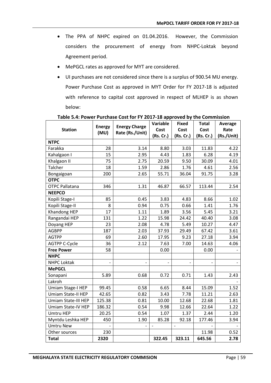- The PPA of NHPC expired on 01.04.2016. However, the Commission considers the procurement of energy from NHPC-Loktak beyond Agreement period.
- MePGCL rates as approved for MYT are considered.
- UI purchases are not considered since there is a surplus of 900.54 MU energy. Power Purchase Cost as approved in MYT Order for FY 2017-18 is adjusted with reference to capital cost approved in respect of MLHEP is as shown below:

|                       | <b>Energy</b> | <b>Energy Charge</b><br>Rate (Rs./Unit) | Variable                 | <b>Fixed</b>      | <b>Total</b> | Average    |
|-----------------------|---------------|-----------------------------------------|--------------------------|-------------------|--------------|------------|
| <b>Station</b>        | (MU)          |                                         | Cost                     | Cost              | Cost         | Rate       |
|                       |               |                                         | (Rs. Cr.)                | (Rs. Cr.)         | (Rs. Cr.)    | (Rs./Unit) |
| <b>NTPC</b>           |               |                                         |                          |                   |              |            |
| Farakka               | 28            | 3.14                                    | 8.80                     | 3.03              | 11.83        | 4.22       |
| Kahalgaon I           | 15            | 2.95                                    | 4.43                     | 1.83              | 6.28         | 4.19       |
| Khalgaon II           | 75            | 2.75                                    | 20.59                    | 9.50              | 30.09        | 4.01       |
| Talcher               | 18            | 1.59                                    | 2.86                     | 1.76              | 4.61         | 2.56       |
| Bongaigoan            | 200           | 2.65                                    | 55.71                    | 36.04             | 91.75        | 3.28       |
| <b>OTPC</b>           |               |                                         |                          |                   |              |            |
| <b>OTPC Pallatana</b> | 346           | 1.31                                    | 46.87                    | 66.57             | 113.44       | 2.54       |
| <b>NEEPCO</b>         |               |                                         |                          |                   |              |            |
| Kopili Stage-I        | 85            | 0.45                                    | 3.83                     | 4.83              | 8.66         | 1.02       |
| Kopili Stage-II       | 8             | 0.94                                    | 0.75                     | 0.66              | 1.41         | 1.76       |
| Khandong HEP          | 17            | 1.11                                    | 1.89                     | 3.56              | 5.45         | 3.21       |
| Rangandai HEP         | 131           | 1.22                                    | 15.98                    | 24.42             | 40.40        | 3.08       |
| Doyang HEP            | 23            | 2.08                                    | 4.78                     | 5.49              | 10.27        | 4.47       |
| <b>AGBPP</b>          | 187           | 2.03                                    | 37.93                    | 29.49             | 67.42        | 3.61       |
| <b>AGTPP</b>          | 69            | 2.60                                    | 17.95                    | 9.23              | 27.18        | 3.94       |
| <b>AGTPP C-Cycle</b>  | 36            | 2.12                                    | 7.63                     | 7.00              | 14.63        | 4.06       |
| <b>Free Power</b>     | 58            |                                         | 0.00                     |                   | 0.00         |            |
| <b>NHPC</b>           |               |                                         |                          |                   |              |            |
| <b>NHPC Loktak</b>    |               |                                         |                          |                   |              |            |
| <b>MePGCL</b>         |               |                                         |                          |                   |              |            |
| Sonapani              | 5.89          | 0.68                                    | 0.72                     | 0.71              | 1.43         | 2.43       |
| Lakroh                |               |                                         |                          |                   |              |            |
| Umiam Stage-I HEP     | 99.45         | 0.58                                    | 6.65                     | 8.44              | 15.09        | 1.52       |
| Umiam State-II HEP    | 42.65         | 0.82                                    | 3.43                     | 7.78              | 11.21        | 2.63       |
| Umiam State-III HEP   | 125.38        | 0.81                                    | 10.00                    | 12.68             | 22.68        | 1.81       |
| Umiam State-IV HEP    | 186.32        | 0.54                                    | 9.98                     | 12.66             | 22.64        | 1.22       |
| <b>Umtru HEP</b>      | 20.25         | 0.54                                    | 1.07                     | 1.37              | 2.44         | 1.20       |
| Myntdu Leshka HEP     | 450           | 1.90                                    | 85.28                    | 92.18             | 177.46       | 3.94       |
| <b>Umtru New</b>      |               | $\overline{\phantom{0}}$                | $\overline{\phantom{a}}$ | $\qquad \qquad -$ |              |            |
| Other sources         | 230           |                                         |                          |                   | 11.98        | 0.52       |
| <b>Total</b>          | 2320          |                                         | 322.45                   | 323.11            | 645.56       | 2.78       |

**Table 5.4: Power Purchase Cost for FY 2017-18 approved by the Commission**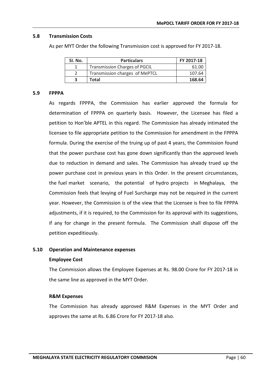#### **5.8 Transmission Costs**

As per MYT Order the following Transmission cost is approved for FY 2017-18.

| SI. No. | <b>Particulars</b>                   | FY 2017-18 |
|---------|--------------------------------------|------------|
|         | <b>Transmission Charges of PGCIL</b> | 61.00      |
|         | Transmission charges of MePTCL       | 107.64     |
|         | Total                                | 168.64     |

#### **5.9 FPPPA**

As regards FPPPA, the Commission has earlier approved the formula for determination of FPPPA on quarterly basis. However, the Licensee has filed a petition to Hon'ble APTEL in this regard. The Commission has already intimated the licensee to file appropriate petition to the Commission for amendment in the FPPPA formula. During the exercise of the truing up of past 4 years, the Commission found that the power purchase cost has gone down significantly than the approved levels due to reduction in demand and sales. The Commission has already trued up the power purchase cost in previous years in this Order. In the present circumstances, the fuel market scenario, the potential of hydro projects in Meghalaya, the Commission feels that levying of Fuel Surcharge may not be required in the current year. However, the Commission is of the view that the Licensee is free to file FPPPA adjustments, if it is required, to the Commission for its approval with its suggestions, if any for change in the present formula. The Commission shall dispose off the petition expeditiously.

#### **5.10 Operation and Maintenance expenses**

#### **Employee Cost**

The Commission allows the Employee Expenses at Rs. 98.00 Crore for FY 2017-18 in the same line as approved in the MYT Order.

#### **R&M Expenses**

The Commission has already approved R&M Expenses in the MYT Order and approves the same at Rs. 6.86 Crore for FY 2017-18 also.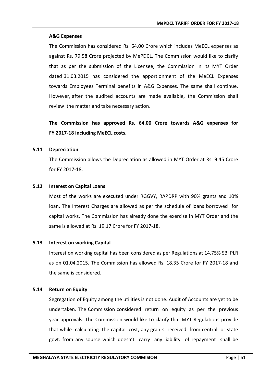## **A&G Expenses**

The Commission has considered Rs. 64.00 Crore which includes MeECL expenses as against Rs. 79.58 Crore projected by MePDCL. The Commission would like to clarify that as per the submission of the Licensee, the Commission in its MYT Order dated 31.03.2015 has considered the apportionment of the MeECL Expenses towards Employees Terminal benefits in A&G Expenses. The same shall continue. However, after the audited accounts are made available, the Commission shall review the matter and take necessary action.

**The Commission has approved Rs. 64.00 Crore towards A&G expenses for FY 2017-18 including MeECL costs.**

## **5.11 Depreciation**

The Commission allows the Depreciation as allowed in MYT Order at Rs. 9.45 Crore for FY 2017-18.

## **5.12 Interest on Capital Loans**

Most of the works are executed under RGGVY, RAPDRP with 90% grants and 10% loan. The Interest Charges are allowed as per the schedule of loans borrowed for capital works. The Commission has already done the exercise in MYT Order and the same is allowed at Rs. 19.17 Crore for FY 2017-18.

## **5.13 Interest on working Capital**

Interest on working capital has been considered as per Regulations at 14.75% SBI PLR as on 01.04.2015. The Commission has allowed Rs. 18.35 Crore for FY 2017-18 and the same is considered.

## **5.14 Return on Equity**

Segregation of Equity among the utilities is not done. Audit of Accounts are yet to be undertaken. The Commission considered return on equity as per the previous year approvals. The Commission would like to clarify that MYT Regulations provide that while calculating the capital cost, any grants received from central or state govt. from any source which doesn't carry any liability of repayment shall be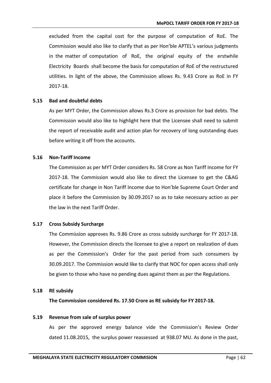excluded from the capital cost for the purpose of computation of RoE. The Commission would also like to clarify that as per Hon'ble APTEL's various judgments in the matter of computation of RoE, the original equity of the erstwhile Electricity Boards shall become the basis for computation of RoE of the restructured utilities. In light of the above, the Commission allows Rs. 9.43 Crore as RoE in FY 2017-18.

#### **5.15 Bad and doubtful debts**

As per MYT Order, the Commission allows Rs.3 Crore as provision for bad debts. The Commission would also like to highlight here that the Licensee shall need to submit the report of receivable audit and action plan for recovery of long outstanding dues before writing it off from the accounts.

## **5.16 Non-Tariff Income**

The Commission as per MYT Order considers Rs. 58 Crore as Non Tariff Income for FY 2017-18. The Commission would also like to direct the Licensee to get the C&AG certificate for change in Non Tariff Income due to Hon'ble Supreme Court Order and place it before the Commission by 30.09.2017 so as to take necessary action as per the law in the next Tariff Order.

#### **5.17 Cross Subsidy Surcharge**

The Commission approves Rs. 9.86 Crore as cross subsidy surcharge for FY 2017-18. However, the Commission directs the licensee to give a report on realization of dues as per the Commission's Order for the past period from such consumers by 30.09.2017. The Commission would like to clarify that NOC for open access shall only be given to those who have no pending dues against them as per the Regulations.

#### **5.18 RE subsidy**

**The Commission considered Rs. 17.50 Crore as RE subsidy for FY 2017-18.**

#### **5.19 Revenue from sale of surplus power**

As per the approved energy balance vide the Commission's Review Order dated 11.08.2015, the surplus power reassessed at 938.07 MU. As done in the past,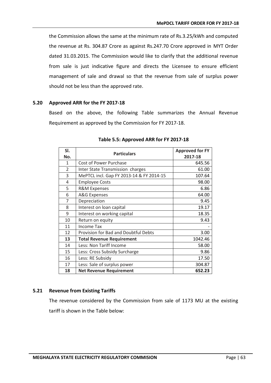the Commission allows the same at the minimum rate of Rs.3.25/kWh and computed the revenue at Rs. 304.87 Crore as against [Rs.247.70 Crore](http://Rs.247.70) approved in MYT Order dated 31.03.2015. The Commission would like to clarify that the additional revenue from sale is just indicative figure and directs the Licensee to ensure efficient management of sale and drawal so that the revenue from sale of surplus power should not be less than the approved rate.

#### **5.20 Approved ARR for the FY 2017-18**

Based on the above, the following Table summarizes the Annual Revenue Requirement as approved by the Commission for FY 2017-18.

| SI.            |                                          | <b>Approved for FY</b> |
|----------------|------------------------------------------|------------------------|
| No.            | <b>Particulars</b>                       | 2017-18                |
| 1              | Cost of Power Purchase                   | 645.56                 |
| $\overline{2}$ | Inter State Transmission charges         | 61.00                  |
| 3              | MePTCL incl. Gap FY 2013-14 & FY 2014-15 | 107.64                 |
| 4              | <b>Employee Costs</b>                    | 98.00                  |
| 5              | <b>R&amp;M Expenses</b>                  | 6.86                   |
| 6              | <b>A&amp;G</b> Expenses                  | 64.00                  |
| 7              | Depreciation                             | 9.45                   |
| 8              | Interest on loan capital                 | 19.17                  |
| 9              | Interest on working capital              | 18.35                  |
| 10             | Return on equity                         | 9.43                   |
| 11             | <b>Income Tax</b>                        |                        |
| 12             | Provision for Bad and Doubtful Debts     | 3.00                   |
| 13             | <b>Total Revenue Requirement</b>         | 1042.46                |
| 14             | Less: Non Tariff Income                  | 58.00                  |
| 15             | Less: Cross Subsidy Surcharge            | 9.86                   |
| 16             | Less: RE Subsidy                         | 17.50                  |
| 17             | Less: Sale of surplus power              | 304.87                 |
| 18             | <b>Net Revenue Requirement</b>           | 652.23                 |

#### **Table 5.5: Approved ARR for FY 2017-18**

## **5.21 Revenue from Existing Tariffs**

The revenue considered by the Commission from sale of 1173 MU at the existing tariff is shown in the Table below: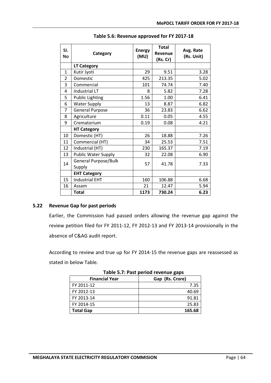| SI.<br><b>No</b> | Category                       | <b>Energy</b><br>(MU) | <b>Total</b><br>Revenue<br>(Rs. Cr) | Avg. Rate<br>(Rs. Unit) |
|------------------|--------------------------------|-----------------------|-------------------------------------|-------------------------|
|                  | <b>LT Category</b>             |                       |                                     |                         |
| 1                | Kutir Jyoti                    | 29                    | 9.51                                | 3.28                    |
| $\overline{2}$   | Domestic                       | 425                   | 213.35                              | 5.02                    |
| 3                | Commercial                     | 101                   | 74.74                               | 7.40                    |
| 4                | <b>Industrial LT</b>           | 8                     | 5.82                                | 7.28                    |
| 5                | <b>Public Lighting</b>         | 1.56                  | 1.00                                | 6.41                    |
| 6                | <b>Water Supply</b>            | 13                    | 8.87                                | 6.82                    |
| 7                | <b>General Purpose</b>         | 36                    | 23.83                               | 6.62                    |
| 8                | Agriculture                    | 0.11                  | 0.05                                | 4.55                    |
| 9                | Crematorium                    | 0.19                  | 0.08                                | 4.21                    |
|                  | <b>HT Category</b>             |                       |                                     |                         |
| 10               | Domestic (HT)                  | 26                    | 18.88                               | 7.26                    |
| 11               | Commercial (HT)                | 34                    | 25.53                               | 7.51                    |
| 12               | Industrial (HT)                | 230                   | 165.37                              | 7.19                    |
| 13               | <b>Public Water Supply</b>     | 32                    | 22.08                               | 6.90                    |
| 14               | General Purpose/Bulk<br>Supply | 57                    | 41.78                               | 7.33                    |
|                  | <b>EHT Category</b>            |                       |                                     |                         |
| 15               | <b>Industrial EHT</b>          | 160                   | 106.88                              | 6.68                    |
| 16               | Assam                          | 21                    | 12.47                               | 5.94                    |
|                  | <b>Total</b>                   | 1173                  | 730.24                              | 6.23                    |

## **Table 5.6: Revenue approved for FY 2017-18**

## **5.22 Revenue Gap for past periods**

Earlier, the Commission had passed orders allowing the revenue gap against the review petition filed for FY 2011-12, FY 2012-13 and FY 2013-14 provisionally in the absence of C&AG audit report.

According to review and true up for FY 2014-15 the revenue gaps are reassessed as stated in below Table.

| <b>Financial Year</b> | Gap (Rs. Crore) |  |  |  |
|-----------------------|-----------------|--|--|--|
| FY 2011-12            | 7.35            |  |  |  |
| FY 2012-13            | 40.69           |  |  |  |
| FY 2013-14            | 91.81           |  |  |  |
| FY 2014-15            | 25.83           |  |  |  |
| <b>Total Gap</b>      | 165.68          |  |  |  |

**Table 5.7: Past period revenue gaps**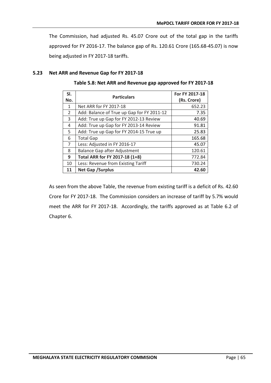The Commission, had adjusted Rs. 45.07 Crore out of the total gap in the tariffs approved for FY 2016-17. The balance gap of Rs. 120.61 Crore (165.68-45.07) is now being adjusted in FY 2017-18 tariffs.

#### **5.23 Net ARR and Revenue Gap for FY 2017-18**

| SI.<br>No.     | <b>Particulars</b>                         | For FY 2017-18<br>(Rs. Crore) |
|----------------|--------------------------------------------|-------------------------------|
| 1              | Net ARR for FY 2017-18                     | 652.23                        |
| $\overline{2}$ | Add: Balance of True up Gap for FY 2011-12 | 7.35                          |
| 3              | Add: True up Gap for FY 2012-13 Review     | 40.69                         |
| 4              | Add: True up Gap for FY 2013-14 Review     | 91.81                         |
| 5.             | Add: True up Gap for FY 2014-15 True up    | 25.83                         |
| 6              | <b>Total Gap</b>                           | 165.68                        |
| $\overline{7}$ | Less: Adjusted in FY 2016-17               | 45.07                         |
| 8              | Balance Gap after Adjustment               | 120.61                        |
| 9              | Total ARR for FY 2017-18 (1+8)             | 772.84                        |
| 10             | Less: Revenue from Existing Tariff         | 730.24                        |
| 11             | <b>Net Gap / Surplus</b>                   | 42.60                         |

**Table 5.8: Net ARR and Revenue gap approved for FY 2017-18**

As seen from the above Table, the revenue from existing tariff is a deficit of Rs. 42.60 Crore for FY 2017-18. The Commission considers an increase of tariff by 5.7% would meet the ARR for FY 2017-18. Accordingly, the tariffs approved as at Table 6.2 of Chapter 6.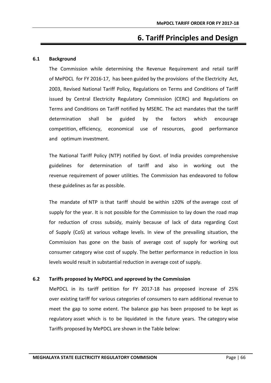# **6. Tariff Principles and Design**

## **6.1 Background**

The Commission while determining the Revenue Requirement and retail tariff of MePDCL for FY 2016-17, has been guided by the provisions of the Electricity Act, 2003, Revised National Tariff Policy, Regulations on Terms and Conditions of Tariff issued by Central Electricity Regulatory Commission (CERC) and Regulations on Terms and Conditions on Tariff notified by MSERC. The act mandates that the tariff determination shall be guided by the factors which encourage competition, efficiency, economical use of resources, good performance and optimum investment.

The National Tariff Policy (NTP) notified by Govt. of India provides comprehensive guidelines for determination of tariff and also in working out the revenue requirement of power utilities. The Commission has endeavored to follow these guidelines as far as possible.

The mandate of NTP is that tariff should be within  $\pm 20\%$  of the average cost of supply for the year. It is not possible for the Commission to lay down the road map for reduction of cross subsidy, mainly because of lack of data regarding Cost of Supply (CoS) at various voltage levels. In view of the prevailing situation, the Commission has gone on the basis of average cost of supply for working out consumer category wise cost of supply. The better performance in reduction in loss levels would result in substantial reduction in average cost of supply.

## **6.2 Tariffs proposed by MePDCL and approved by the Commission**

MePDCL in its tariff petition for FY 2017-18 has proposed increase of 25% over existing tariff for various categories of consumers to earn additional revenue to meet the gap to some extent. The balance gap has been proposed to be kept as regulatory asset which is to be liquidated in the future years. The category wise Tariffs proposed by MePDCL are shown in the Table below: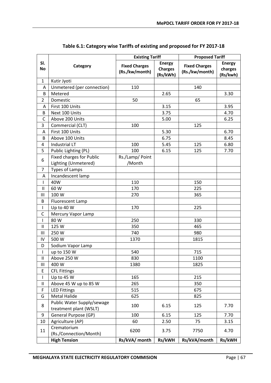|                  | <b>Existing Tariff</b>                                  |                                        | <b>Proposed Tariff</b>                      |                                        |                                      |
|------------------|---------------------------------------------------------|----------------------------------------|---------------------------------------------|----------------------------------------|--------------------------------------|
| SI.<br><b>No</b> | Category                                                | <b>Fixed Charges</b><br>(Rs./kw/month) | <b>Energy</b><br><b>Charges</b><br>(Rs/kWh) | <b>Fixed Charges</b><br>(Rs./kw/month) | <b>Energy</b><br>charges<br>(Rs/kwh) |
| $\mathbf 1$      | Kutir Jyoti                                             |                                        |                                             |                                        |                                      |
| Α                | Unmetered (per connection)                              | 110                                    |                                             | 140                                    |                                      |
| B                | Metered                                                 |                                        | 2.65                                        |                                        | 3.30                                 |
| $\overline{2}$   | Domestic                                                | 50                                     |                                             | 65                                     |                                      |
| A                | First 100 Units                                         |                                        | 3.15                                        |                                        | 3.95                                 |
| B                | Next 100 Units                                          |                                        | 3.75                                        |                                        | 4.70                                 |
| $\mathsf{C}$     | Above 200 Units                                         |                                        | 5.00                                        |                                        | 6.25                                 |
| 3                | Commercial (CLT)                                        | 100                                    |                                             | 125                                    |                                      |
| Α                | First 100 Units                                         |                                        | 5.30                                        |                                        | 6.70                                 |
| B                | Above 100 Units                                         |                                        | 6.75                                        |                                        | 8.45                                 |
| 4                | <b>Industrial LT</b>                                    | 100                                    | 5.45                                        | 125                                    | 6.80                                 |
| 5                | Public Lighting (PL)                                    | 100                                    | 6.15                                        | 125                                    | 7.70                                 |
| 6                | <b>Fixed charges for Public</b><br>Lighting (Unmetered) | Rs./Lamp/ Point<br>/Month              |                                             |                                        |                                      |
| $\overline{7}$   | <b>Types of Lamps</b>                                   |                                        |                                             |                                        |                                      |
| Α                | Incandescent lamp                                       |                                        |                                             |                                        |                                      |
| L                | 40W                                                     | 110                                    |                                             | 150                                    |                                      |
| $\sf II$         | 60 W                                                    | 170                                    |                                             | 225                                    |                                      |
| Ш                | 100 W                                                   | 270                                    |                                             | 365                                    |                                      |
| B                | Fluorescent Lamp                                        |                                        |                                             |                                        |                                      |
| L                | Up to 40 W                                              | 170                                    |                                             | 225                                    |                                      |
| C                | Mercury Vapor Lamp                                      |                                        |                                             |                                        |                                      |
| I                | 80 W                                                    | 250                                    |                                             | 330                                    |                                      |
| Ш                | 125 W                                                   | 350                                    |                                             | 465                                    |                                      |
| Ш                | 250 W                                                   | 740                                    |                                             | 980                                    |                                      |
| IV               | 500 W                                                   | 1370                                   |                                             | 1815                                   |                                      |
| D                | Sodium Vapor Lamp                                       |                                        |                                             |                                        |                                      |
| L                | up to 150 W                                             | 540                                    |                                             | 715                                    |                                      |
| Ш                | Above 250 W                                             | 830                                    |                                             | 1100                                   |                                      |
| Ш                | 400 W                                                   | 1380                                   |                                             | 1825                                   |                                      |
| E                | <b>CFL Fittings</b>                                     |                                        |                                             |                                        |                                      |
| L                | Up to 45 W                                              | 165                                    |                                             | 215                                    |                                      |
| Ш                | Above 45 W up to 85 W                                   | 265                                    |                                             | 350                                    |                                      |
| F                | <b>LED Fittings</b>                                     | 515                                    |                                             | 675                                    |                                      |
| G                | Metal Halide                                            | 625                                    |                                             | 825                                    |                                      |
| 8                | Public Water Supply/sewage<br>treatment plant (WSLT)    | 100                                    | 6.15                                        | 125                                    | 7.70                                 |
| 9                | General Purpose (GP)                                    | 100                                    | 6.15                                        | 125                                    | 7.70                                 |
| 10               | Agriculture (AP)                                        | 60                                     | 2.50                                        | 75                                     | 3.15                                 |
| 11               | Crematorium<br>(Rs./Connection/Month)                   | 6200                                   | 3.75                                        | 7750                                   | 4.70                                 |
|                  | <b>High Tension</b>                                     | Rs/kVA/ month                          | Rs/kWH                                      | Rs/kVA/month                           | Rs/kWH                               |

**Table 6.1: Category wise Tariffs of existing and proposed for FY 2017-18**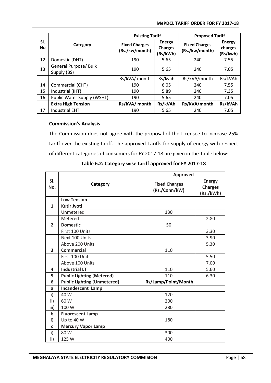#### **MePDCL TARIFF ORDER FOR FY 2017-18**

|                  |                                      |                                        | <b>Existing Tariff</b>                      |                                        | <b>Proposed Tariff</b>               |  |
|------------------|--------------------------------------|----------------------------------------|---------------------------------------------|----------------------------------------|--------------------------------------|--|
| SI.<br><b>No</b> | Category                             | <b>Fixed Charges</b><br>(Rs./kw/month) | <b>Energy</b><br><b>Charges</b><br>(Rs/kWh) | <b>Fixed Charges</b><br>(Rs./kw/month) | <b>Energy</b><br>charges<br>(Rs/kwh) |  |
| 12               | Domestic (DHT)                       | 190                                    | 5.65                                        | 240                                    | 7.55                                 |  |
| 13               | General Purpose/ Bulk<br>Supply (BS) | 190                                    | 5.65                                        | 240                                    | 7.05                                 |  |
|                  |                                      | Rs/kVA/ month                          | Rs/kvah                                     | Rs/kVA/month                           | Rs/kVAh                              |  |
| 14               | Commercial (CHT)                     | 190                                    | 6.05                                        | 240                                    | 7.55                                 |  |
| 15               | Industrial (IHT)                     | 190                                    | 5.89                                        | 240                                    | 7.35                                 |  |
| 16               | Public Water Supply (WSHT)           | 190                                    | 5.65                                        | 240                                    | 7.05                                 |  |
|                  | <b>Extra High Tension</b>            | Rs/kVA/ month                          | Rs/kVAh                                     | Rs/kVA/month                           | Rs/kVAh                              |  |
| 17               | <b>Industrial EHT</b>                | 190                                    | 5.65                                        | 240                                    | 7.05                                 |  |

# **Commission's Analysis**

The Commission does not agree with the proposal of the Licensee to increase 25% tariff over the existing tariff. The approved Tariffs for supply of energy with respect of different categories of consumers for FY 2017-18 are given in the Table below:

|                        |                                    | <b>Approved</b>                       |                                              |  |
|------------------------|------------------------------------|---------------------------------------|----------------------------------------------|--|
| SI.<br>Category<br>No. |                                    | <b>Fixed Charges</b><br>(Rs./Conn/kW) | <b>Energy</b><br><b>Charges</b><br>(Rs./kWh) |  |
|                        | <b>Low Tension</b>                 |                                       |                                              |  |
| $\mathbf{1}$           | <b>Kutir Jyoti</b>                 |                                       |                                              |  |
|                        | Unmetered                          | 130                                   |                                              |  |
|                        | Metered                            |                                       | 2.80                                         |  |
| $\overline{2}$         | <b>Domestic</b>                    | 50                                    |                                              |  |
|                        | First 100 Units                    |                                       | 3.30                                         |  |
|                        | Next 100 Units                     |                                       | 3.90                                         |  |
|                        | Above 200 Units                    |                                       | 5.30                                         |  |
| 3                      | <b>Commercial</b>                  | 110                                   |                                              |  |
|                        | First 100 Units                    |                                       | 5.50                                         |  |
|                        | Above 100 Units                    |                                       | 7.00                                         |  |
| 4                      | <b>Industrial LT</b>               | 110                                   | 5.60                                         |  |
| 5                      | <b>Public Lighting (Metered)</b>   | 110                                   | 6.30                                         |  |
| 6                      | <b>Public Lighting (Unmetered)</b> | Rs/Lamp/Point/Month                   |                                              |  |
| a                      | <b>Incandescent Lamp</b>           |                                       |                                              |  |
| i)                     | 40 W                               | 120                                   |                                              |  |
| ii)                    | 60 W                               | 200                                   |                                              |  |
| iii)                   | 100 W                              | 280                                   |                                              |  |
| $\mathbf b$            | <b>Fluorescent Lamp</b>            |                                       |                                              |  |
| i)                     | Up to 40 W                         | 180                                   |                                              |  |
| $\mathbf c$            | <b>Mercury Vapor Lamp</b>          |                                       |                                              |  |
| i)                     | 80 W                               | 300                                   |                                              |  |
| ii)                    | 125 W                              | 400                                   |                                              |  |

**Table 6.2: Category wise tariff approved for FY 2017-18**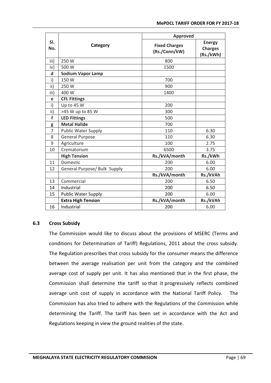|                | <b>Approved</b>              |                                       |                                              |
|----------------|------------------------------|---------------------------------------|----------------------------------------------|
| SI.<br>No.     | Category                     | <b>Fixed Charges</b><br>(Rs./Conn/kW) | <b>Energy</b><br><b>Charges</b><br>(Rs./kWh) |
| iii)           | 250 W                        | 800                                   |                                              |
| iv)            | 500 W                        | 1500                                  |                                              |
| $\mathsf{d}$   | <b>Sodium Vapor Lamp</b>     |                                       |                                              |
| i)             | 150 W                        | 700                                   |                                              |
| ii)            | 250 W                        | 900                                   |                                              |
| iii)           | 400 W                        | 1400                                  |                                              |
| e              | <b>CFL Fittings</b>          |                                       |                                              |
| i)             | Up to 45 W                   | 200                                   |                                              |
| ii)            | >45 W up to 85 W             | 300                                   |                                              |
| $\mathbf f$    | <b>LED Fittings</b>          | 500                                   |                                              |
| g              | <b>Metal Halide</b>          | 700                                   |                                              |
| $\overline{7}$ | <b>Public Water Supply</b>   | 110                                   | 6.30                                         |
| 8              | <b>General Purpose</b>       | 110                                   | 6.30                                         |
| 9              | Agriculture                  | 100                                   | 2.75                                         |
| 10             | Crematorium                  | 6500                                  | 3.75                                         |
|                | <b>High Tension</b>          | Rs./kVA/month                         | Rs./kWh                                      |
| 11             | Domestic                     | 200                                   | 6.00                                         |
| 12             | General Purpose/ Bulk Supply | 200                                   | 6.00                                         |
|                |                              | Rs./kVA/month                         | Rs./kVAh                                     |
| 13             | Commercial                   | 200                                   | 6.50                                         |
| 14             | Industrial                   | 200                                   | 6.50                                         |
| 15             | <b>Public Water Supply</b>   | 200                                   | 6.00                                         |
|                | <b>Extra High Tension</b>    | Rs./kVA/month                         | Rs./kVAh                                     |
| 16             | Industrial                   | 200                                   | 6.00                                         |

### **6.3 Cross Subsidy**

The Commission would like to discuss about the provisions of MSERC (Terms and conditions for Determination of Tariff) Regulations, 2011 about the cross subsidy. The Regulation prescribes that cross subsidy for the consumer means the difference between the average realisation per unit from the category and the combined average cost of supply per unit. It has also mentioned that in the first phase, the Commission shall determine the tariff so that it progressively reflects combined average unit cost of supply in accordance with the National Tariff Policy. The Commission has also tried to adhere with the Regulations of the Commission while determining the Tariff. The tariff has been set in accordance with the Act and Regulations keeping in view the ground realities of the state.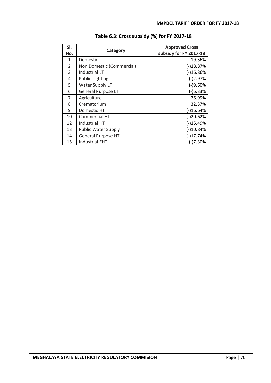| SI.<br>No.    | Category                   | <b>Approved Cross</b><br>subsidy for FY 2017-18 |
|---------------|----------------------------|-------------------------------------------------|
| 1             | Domestic                   | 19.36%                                          |
| $\mathcal{P}$ | Non Domestic (Commercial)  | $(-)18.87%$                                     |
| 3             | Industrial LT              | $(-)16.86%$                                     |
| 4             | <b>Public Lighting</b>     | $(-)2.97%$                                      |
| 5             | Water Supply LT            | $(-)9.60%$                                      |
| 6             | <b>General Purpose LT</b>  | $(-)6.33%$                                      |
| 7             | Agriculture                | 26.99%                                          |
| 8             | Crematorium                | 32.37%                                          |
| 9             | Domestic HT                | $(-)16.64%$                                     |
| 10            | Commercial HT              | $(-)20.62%$                                     |
| 12            | Industrial HT              | $(-)15.49%$                                     |
| 13            | <b>Public Water Supply</b> | $(-)10.84%$                                     |
| 14            | <b>General Purpose HT</b>  | $(-)17.74%$                                     |
| 15            | <b>Industrial EHT</b>      | (-)7.30%                                        |

# **Table 6.3: Cross subsidy (%) for FY 2017-18**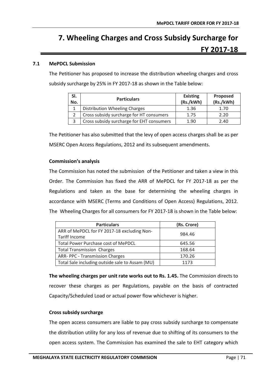# **7. Wheeling Charges and Cross Subsidy Surcharge for FY 2017-18**

# **7.1 MePDCL Submission**

The Petitioner has proposed to increase the distribution wheeling charges and cross subsidy surcharge by 25% in FY 2017-18 as shown in the Table below:

| SI.<br>No. | <b>Particulars</b>                        | <b>Existing</b><br>(Rs./kWh) | Proposed<br>(Rs./kWh) |
|------------|-------------------------------------------|------------------------------|-----------------------|
|            | Distribution Wheeling Charges             | 1.36                         | 1.70                  |
|            | Cross subsidy surcharge for HT consumers  | 1.75                         | 2.20                  |
|            | Cross subsidy surcharge for EHT consumers | 1.90                         | 2.40                  |

The Petitioner has also submitted that the levy of open access charges shall be as per MSERC Open Access Regulations, 2012 and its subsequent amendments.

### **Commission's analysis**

The Commission has noted the submission of the Petitioner and taken a view in this Order. The Commission has fixed the ARR of MePDCL for FY 2017-18 as per the Regulations and taken as the base for determining the wheeling charges in accordance with MSERC (Terms and Conditions of Open Access) Regulations, 2012. The Wheeling Charges for all consumers for FY 2017-18 is shown in the Table below:

| <b>Particulars</b>                                           | (Rs. Crore) |
|--------------------------------------------------------------|-------------|
| ARR of MePDCL for FY 2017-18 excluding Non-<br>Tariff Income | 984.46      |
| Total Power Purchase cost of MePDCL                          | 645.56      |
| <b>Total Transmission Charges</b>                            | 168.64      |
| ARR- PPC - Transmission Charges                              | 170.26      |
| Total Sale including outside sale to Assam (MU)              | 1173        |

**The wheeling charges per unit rate works out to Rs. 1.45.** The Commission directs to recover these charges as per Regulations, payable on the basis of contracted Capacity/Scheduled Load or actual power flow whichever is higher.

### **Cross subsidy surcharge**

The open access consumers are liable to pay cross subsidy surcharge to compensate the distribution utility for any loss of revenue due to shifting of its consumers to the open access system. The Commission has examined the sale to EHT category which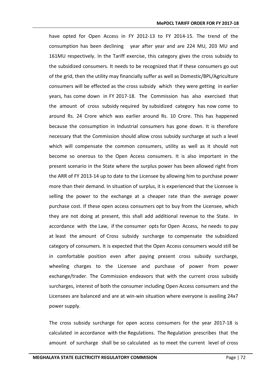have opted for Open Access in FY 2012-13 to FY 2014-15. The trend of the consumption has been declining year after year and are 224 MU, 203 MU and 161MU respectively. In the Tariff exercise, this category gives the cross subsidy to the subsidized consumers. It needs to be recognized that If these consumers go out of the grid, then the utility may financially suffer as well as Domestic/BPL/Agriculture consumers will be effected as the cross subsidy which they were getting in earlier years, has come down in FY 2017-18. The Commission has also exercised that the amount of cross subsidy required by subsidized category has now come to around Rs. 24 Crore which was earlier around Rs. 10 Crore. This has happened because the consumption in Industrial consumers has gone down. It is therefore necessary that the Commission should allow cross subsidy surcharge at such a level which will compensate the common consumers, utility as well as it should not become so onerous to the Open Access consumers. It is also important in the present scenario in the State where the surplus power has been allowed right from the ARR of FY 2013-14 up to date to the Licensee by allowing him to purchase power more than their demand. In situation of surplus, it is experienced that the Licensee is selling the power to the exchange at a cheaper rate than the average power purchase cost. If these open access consumers opt to buy from the Licensee, which they are not doing at present, this shall add additional revenue to the State. In accordance with the Law, if the consumer opts for Open Access, he needs to pay at least the amount of Cross subsidy surcharge to compensate the subsidized category of consumers. It is expected that the Open Access consumers would still be in comfortable position even after paying present cross subsidy surcharge, wheeling charges to the Licensee and purchase of power from power exchange/trader. The Commission endeavors that with the current cross subsidy surcharges, interest of both the consumer including Open Access consumers and the Licensees are balanced and are at win-win situation where everyone is availing 24x7 power supply.

The cross subsidy surcharge for open access consumers for the year 2017-18 is calculated in accordance with the Regulations. The Regulation prescribes that the amount of surcharge shall be so calculated as to meet the current level of cross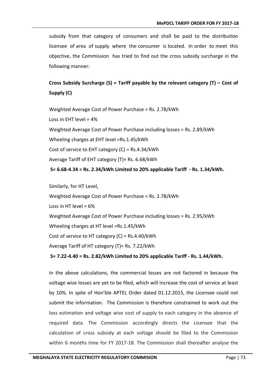subsidy from that category of consumers and shall be paid to the distribution licensee of area of supply where the consumer is located. In order to meet this objective, the Commission has tried to find out the cross subsidy surcharge in the following manner:

# **Cross Subsidy Surcharge (S) = Tariff payable by the relevant category (T) – Cost of Supply (C)**

Weighted Average Cost of Power Purchase = Rs. 2.78/kWh Loss in EHT level = 4% Weighted Average Cost of Power Purchase including losses = Rs. 2.89/kWh Wheeling charges at EHT level =Rs.1.45/kWh Cost of service to EHT category (C) = Rs.4.34/kWh Average Tariff of EHT category (T)= Rs. 6.68/kWh **S= [6.68-4.34](http://6.68-3.70) = Rs. 2.34/kWh Limited to 20% applicable Tariff - Rs. 1.34/kWh.**

Similarly, for HT Level, Weighted Average Cost of Power Purchase = Rs. 2.78/kWh Loss in HT level =  $6\%$ Weighted Average Cost of Power Purchase including losses = Rs. 2.95/kWh Wheeling charges at HT level =Rs.1.45/kWh Cost of service to HT category (C) = Rs.4.40/kWh Average Tariff of HT category (T)= Rs. 7.22/kWh **S= [7.22-4.40](http://7.20-4.38) = Rs. 2.82/kWh Limited to 20% applicable Tariff - Rs. 1.44/kWh.**

In the above calculations, the commercial losses are not factored in because the voltage wise losses are yet to be filed, which will increase the cost of service at least by 10%. In spite of Hon'ble APTEL Order dated 01.12.2015, the Licensee could not submit the information. The Commission is therefore constrained to work out the loss estimation and voltage wise cost of supply to each category in the absence of required data. The Commission accordingly directs the Licensee that the calculation of cross subsidy at each voltage should be filed to the Commission within 6 months time for FY 2017-18. The Commission shall thereafter analyse the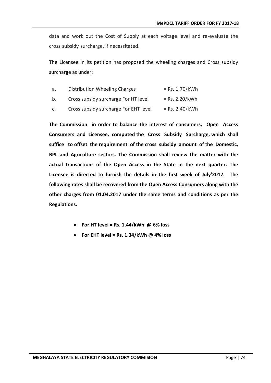data and work out the Cost of Supply at each voltage level and re-evaluate the cross subsidy surcharge, if necessitated.

The Licensee in its petition has proposed the wheeling charges and Cross subsidy surcharge as under:

- a. Distribution Wheeling Charges  $=$  Rs. 1.70/kWh
- b. Cross subsidy surcharge For HT level  $=$  Rs. 2.20/kWh
- c. Cross subsidy surcharge For EHT level  $=$  Rs. 2.40/kWh

**The Commission in order to balance the interest of consumers, Open Access Consumers and Licensee, computed the Cross Subsidy Surcharge, which shall suffice to offset the requirement of the cross subsidy amount of the Domestic, BPL and Agriculture sectors. The Commission shall review the matter with the actual transactions of the Open Access in the State in the next quarter. The Licensee is directed to furnish the details in the first week of July'2017. The following rates shall be recovered from the Open Access Consumers along with the other charges from 01.04.2017 under the same terms and conditions as per the Regulations.**

- **For HT level = Rs. 1.44/kWh @ 6% loss**
- **For EHT level = Rs. 1.34/kWh @ 4% loss**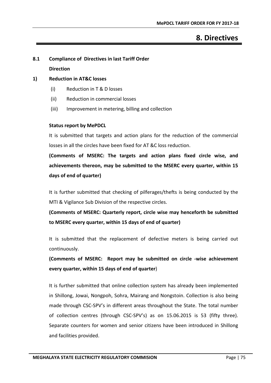# **8. Directives**

# **8.1 Compliance of Directives in last Tariff Order Direction**

# **1) Reduction in AT&C losses**

- (i) Reduction in T & D losses
- (ii) Reduction in commercial losses
- (iii) Improvement in metering, billing and collection

### **Status report by MePDCL**

It is submitted that targets and action plans for the reduction of the commercial losses in all the circles have been fixed for AT &C loss reduction.

**(Comments of MSERC: The targets and action plans fixed circle wise, and achievements thereon, may be submitted to the MSERC every quarter, within 15 days of end of quarter)** 

It is further submitted that checking of pilferages/thefts is being conducted by the MTI & Vigilance Sub Division of the respective circles.

**(Comments of MSERC: Quarterly report, circle wise may henceforth be submitted to MSERC every quarter, within 15 days of end of quarter)** 

It is submitted that the replacement of defective meters is being carried out continuously.

**(Comments of MSERC: Report may be submitted on circle -wise achievement every quarter, within 15 days of end of quarter**)

It is further submitted that online collection system has already been implemented in Shillong, Jowai, Nongpoh, Sohra, Mairang and Nongstoin. Collection is also being made through CSC-SPV's in different areas throughout the State. The total number of collection centres (through CSC-SPV's) as on 15.06.2015 is 53 (fifty three). Separate counters for women and senior citizens have been introduced in Shillong and facilities provided.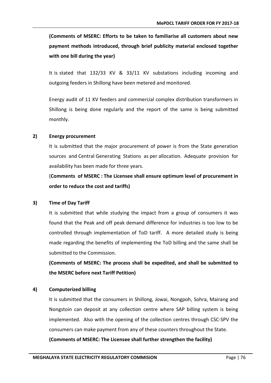**(Comments of MSERC: Efforts to be taken to familiarise all customers about new payment methods introduced, through brief publicity material enclosed together with one bill during the year)** 

It is stated that 132/33 KV & 33/11 KV substations including incoming and outgoing feeders in Shillong have been metered and monitored.

Energy audit of 11 KV feeders and commercial complex distribution transformers in Shillong is being done regularly and the report of the same is being submitted monthly.

#### **2) Energy procurement**

It is submitted that the major procurement of power is from the State generation sources and Central Generating Stations as per allocation. Adequate provision for availability has been made for three years.

(**Comments of MSERC : The Licensee shall ensure optimum level of procurement in order to reduce the cost and tariffs)**

#### **3) Time of Day Tariff**

It is submitted that while studying the impact from a group of consumers it was found that the Peak and off peak demand difference for industries is too low to be controlled through implementation of ToD tariff. A more detailed study is being made regarding the benefits of implementing the ToD billing and the same shall be submitted to the Commission.

**(Comments of MSERC: The process shall be expedited, and shall be submitted to the MSERC before next Tariff Petition)** 

### **4) Computerized billing**

It is submitted that the consumers in Shillong, Jowai, Nongpoh, Sohra, Mairang and Nongstoin can deposit at any collection centre where SAP billing system is being implemented. Also with the opening of the collection centres through CSC-SPV the consumers can make payment from any of these counters throughout the State.

**(Comments of MSERC: The Licensee shall further strengthen the facility)**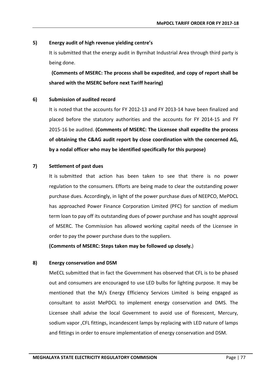# **5) Energy audit of high revenue yielding centre's**

It is submitted that the energy audit in Byrnihat Industrial Area through third party is being done.

 **(Comments of MSERC: The process shall be expedited**, **and copy of report shall be shared with the MSERC before next Tariff hearing)** 

# **6) Submission of audited record**

It is noted that the accounts for FY 2012-13 and FY 2013-14 have been finalized and placed before the statutory authorities and the accounts for FY 2014-15 and FY 2015-16 be audited. **(Comments of MSERC: The Licensee shall expedite the process of obtaining the C&AG audit report by close coordination with the concerned AG, by a nodal officer who may be identified specifically for this purpose)**

# **7) Settlement of past dues**

It is submitted that action has been taken to see that there is no power regulation to the consumers. Efforts are being made to clear the outstanding power purchase dues. Accordingly, in light of the power purchase dues of NEEPCO, MePDCL has approached Power Finance Corporation Limited (PFC) for sanction of medium term loan to pay off its outstanding dues of power purchase and has sought approval of MSERC. The Commission has allowed working capital needs of the Licensee in order to pay the power purchase dues to the suppliers.

**(Comments of MSERC: Steps taken may be followed up closely.**)

### **8) Energy conservation and DSM**

MeECL submitted that in fact the Government has observed that CFL is to be phased out and consumers are encouraged to use LED bulbs for lighting purpose. It may be mentioned that the M/s Energy Efficiency Services Limited is being engaged as consultant to assist MePDCL to implement energy conservation and DMS. The Licensee shall advise the local Government to avoid use of florescent, Mercury, sodium vapor ,CFL fittings, incandescent lamps by replacing with LED nature of lamps and fittings in order to ensure implementation of energy conservation and DSM.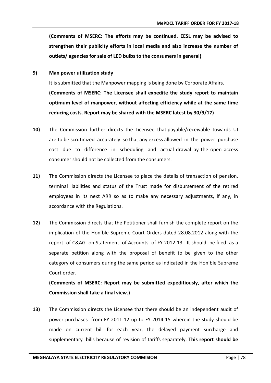**(Comments of MSERC: The efforts may be continued. EESL may be advised to strengthen their publicity efforts in local media and also increase the number of outlets/ agencies for sale of LED bulbs to the consumers in general)** 

**9) Man power utilization study**

It is submitted that the Manpower mapping is being done by Corporate Affairs. **(Comments of MSERC: The Licensee shall expedite the study report to maintain optimum level of manpower, without affecting efficiency while at the same time reducing costs. Report may be shared with the MSERC latest by 30/9/17)** 

- **10)** The Commission further directs the Licensee that payable/receivable towards UI are to be scrutinized accurately so that any excess allowed in the power purchase cost due to difference in scheduling and actual drawal by the open access consumer should not be collected from the consumers.
- **11)** The Commission directs the Licensee to place the details of transaction of pension, terminal liabilities and status of the Trust made for disbursement of the retired employees in its next ARR so as to make any necessary adjustments, if any, in accordance with the Regulations.
- **12)** The Commission directs that the Petitioner shall furnish the complete report on the implication of the Hon'ble Supreme Court Orders dated 28.08.2012 along with the report of C&AG on Statement of Accounts of FY 2012-13. It should be filed as a separate petition along with the proposal of benefit to be given to the other category of consumers during the same period as indicated in the Hon'ble Supreme Court order.

**(Comments of MSERC: Report may be submitted expeditiously, after which the Commission shall take a final view.)** 

**13)** The Commission directs the Licensee that there should be an independent audit of power purchases from FY 2011-12 up to FY 2014-15 wherein the study should be made on current bill for each year, the delayed payment surcharge and supplementary bills because of revision of tariffs separately. **This report should be**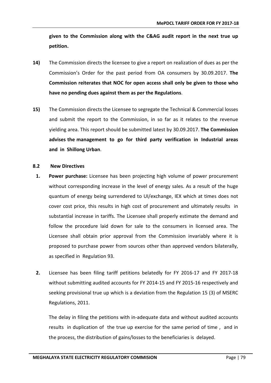**given to the Commission along with the C&AG audit report in the next true up petition.**

- **14)** The Commission directs the licensee to give a report on realization of dues as per the Commission's Order for the past period from OA consumers by 30.09.2017. **The Commission reiterates that NOC for open access shall only be given to those who have no pending dues against them as per the Regulations**.
- **15)** The Commission directs the Licensee to segregate the Technical & Commercial losses and submit the report to the Commission, in so far as it relates to the revenue yielding area. This report should be submitted latest by 30.09.2017. **The Commission advises the management to go for third party verification in Industrial areas and in Shillong Urban**.

#### **8.2 New Directives**

- **1. Power purchase:** Licensee has been projecting high volume of power procurement without corresponding increase in the level of energy sales. As a result of the huge quantum of energy being surrendered to UI/exchange, IEX which at times does not cover cost price, this results in high cost of procurement and ultimately results in substantial increase in tariffs. The Licensee shall properly estimate the demand and follow the procedure laid down for sale to the consumers in licensed area. The Licensee shall obtain prior approval from the Commission invariably where it is proposed to purchase power from sources other than approved vendors bilaterally, as specified in Regulation 93.
- **2.** Licensee has been filing tariff petitions belatedly for FY 2016-17 and FY 2017-18 without submitting audited accounts for FY 2014-15 and FY 2015-16 respectively and seeking provisional true up which is a deviation from the Regulation 15 (3) of MSERC Regulations, 2011.

The delay in filing the petitions with in-adequate data and without audited accounts results in duplication of the true up exercise for the same period of time , and in the process, the distribution of gains/losses to the beneficiaries is delayed.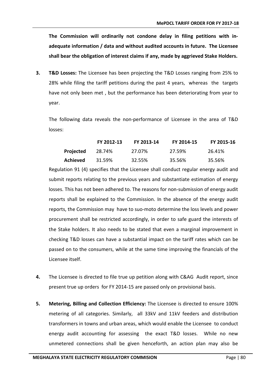**The Commission will ordinarily not condone delay in filing petitions with inadequate information / data and without audited accounts in future. The Licensee shall bear the obligation of interest claims if any, made by aggrieved Stake Holders.**

**3. T&D Losses:** The Licensee has been projecting the T&D Losses ranging from 25% to 28% while filing the tariff petitions during the past 4 years, whereas the targets have not only been met , but the performance has been deteriorating from year to year.

The following data reveals the non-performance of Licensee in the area of T&D losses:

|           | FY 2012-13 | FY 2013-14 | FY 2014-15 | FY 2015-16 |
|-----------|------------|------------|------------|------------|
| Projected | 28.74%     | 27.07%     | 27.59%     | 26.41%     |
| Achieved  | 31.59%     | 32.55%     | 35.56%     | 35.56%     |

Regulation 91 (4) specifies that the Licensee shall conduct regular energy audit and submit reports relating to the previous years and substantiate estimation of energy losses. This has not been adhered to. The reasons for non-submission of energy audit reports shall be explained to the Commission. In the absence of the energy audit reports, the Commission may have to suo-moto determine the loss levels and power procurement shall be restricted accordingly, in order to safe guard the interests of the Stake holders. It also needs to be stated that even a marginal improvement in checking T&D losses can have a substantial impact on the tariff rates which can be passed on to the consumers, while at the same time improving the financials of the Licensee itself.

- **4.** The Licensee is directed to file true up petition along with C&AG Audit report, since present true up orders for FY 2014-15 are passed only on provisional basis.
- **5. Metering, Billing and Collection Efficiency:** The Licensee is directed to ensure 100% metering of all categories. Similarly, all 33kV and 11kV feeders and distribution transformers in towns and urban areas, which would enable the Licensee to conduct energy audit accounting for assessing the exact T&D losses. While no new unmetered connections shall be given henceforth, an action plan may also be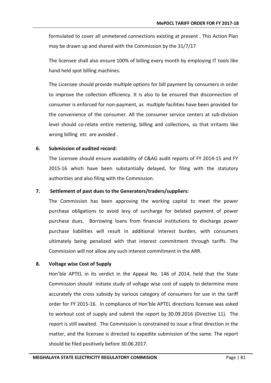formulated to cover all unmetered connections existing at present . This Action Plan may be drawn up and shared with the Commission by the 31/7/17

The licensee shall also ensure 100% of billing every month by employing IT tools like hand held spot billing machines.

The Licensee should provide multiple options for bill payment by consumers in order to improve the collection efficiency. It is also to be ensured that disconnection of consumer is enforced for non-payment, as multiple facilities have been provided for the convenience of the consumer. All the consumer service centers at sub-division level should co-relate entire metering, billing and collections, so that irritants like wrong billing etc are avoided .

### **6. Submission of audited record:**

The Licensee should ensure availability of C&AG audit reports of FY 2014-15 and FY 2015-16 which have been substantially delayed, for filing with the statutory authorities and also filing with the Commission.

#### **7. Settlement of past dues to the Generators/traders/suppliers:**

The Commission has been approving the working capital to meet the power purchase obligations to avoid levy of surcharge for belated payment of power purchase dues. Borrowing loans from financial institutions to discharge power purchase liabilities will result in additional interest burden, with consumers ultimately being penalized with that interest commitment through tariffs. The Commission will not allow any such interest commitment in the ARR.

### **8. Voltage wise Cost of Supply**

Hon'ble APTEL in its verdict in the Appeal No. 146 of 2014, held that the State Commission should initiate study of voltage wise cost of supply to determine more accurately the cross subsidy by various category of consumers for use in the tariff order for FY 2015-16. In compliance of Hon'ble APTEL directions licensee was asked to workout cost of supply and submit the report by 30.09.2016 (Directive 11). The report is still awaited. The Commission is constrained to issue a final direction in the matter, and the licensee is directed to expedite submission of the same. The report should be filed positively before 30.06.2017.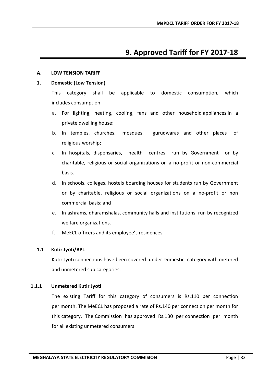# **9. Approved Tariff for FY 2017-18**

### **A. LOW TENSION TARIFF**

# **1. Domestic (Low Tension)**

This category shall be applicable to domestic consumption, which includes consumption;

- a. For lighting, heating, cooling, fans and other household appliances in a private dwelling house;
- b. In temples, churches, mosques, gurudwaras and other places of religious worship;
- c. In hospitals, dispensaries, health centres run by Government or by charitable, religious or social organizations on a no-profit or non-commercial basis.
- d. In schools, colleges, hostels boarding houses for students run by Government or by charitable, religious or social organizations on a no-profit or non commercial basis; and
- e. In ashrams, dharamshalas, community halls and institutions run by recognized welfare organizations.
- f. MeECL officers and its employee's residences.

# **1.1 Kutir Jyoti/BPL**

Kutir Jyoti connections have been covered under Domestic category with metered and unmetered sub categories.

# **1.1.1 Unmetered Kutir Jyoti**

The existing Tariff for this category of consumers is Rs.110 per connection per month. The MeECL has proposed a rate of Rs.140 per connection per month for this category. The Commission has approved Rs.130 per connection per month for all existing unmetered consumers.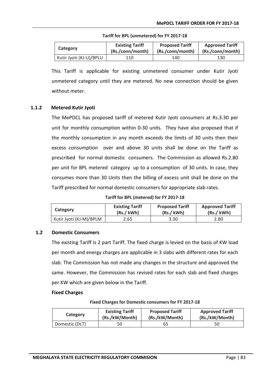| Category                | <b>Existing Tariff</b> | <b>Proposed Tariff</b> | <b>Approved Tariff</b> |
|-------------------------|------------------------|------------------------|------------------------|
|                         | (Rs./conn/month)       | (Rs./conn/month)       | (Rs./conn/month)       |
| Kutir Jyoti (KJ-U)/BPLU | 110                    | 140                    | 130                    |

#### **Tariff for BPL (unmetered) for FY 2017-18**

This Tariff is applicable for existing unmetered consumer under Kutir Jyoti unmetered category until they are metered. No new connection should be given without meter.

### **1.1.2 Metered Kutir Jyoti**

The MePDCL has proposed tariff of metered Kutir Jyoti consumers at Rs.3.30 per unit for monthly consumption within 0-30 units. They have also proposed that if the monthly consumption in any month exceeds the limits of 30 units then their excess consumption over and above 30 units shall be done on the Tariff as prescribed for normal domestic consumers. The Commission as allowed Rs.2.80 per unit for BPL metered category up to a consumption of 30 units. In case, they consumes more than 30 Units then the billing of excess unit shall be done on the Tariff prescribed for normal domestic consumers for appropriate slab rates.

**Tariff for BPL (metered) for FY 2017-18**

| Category                | <b>Existing Tariff</b> | <b>Proposed Tariff</b> | <b>Approved Tariff</b> |
|-------------------------|------------------------|------------------------|------------------------|
|                         | (Rs./ kWh)             | (Rs./ kWh)             | (Rs./kWh)              |
| Kutir Jyoti (KJ-M)/BPLM | 2.65                   | 3.30                   | 2.80                   |

### **1.2 Domestic Consumers**

The existing Tariff is 2 part Tariff. The fixed charge is levied on the basis of KW load per month and energy charges are applicable in 3 slabs with different rates for each slab. The Commission has not made any changes in the structure and approved the same. However, the Commission has revised rates for each slab and fixed charges per KW which are given below in the Tariff.

#### **Fixed Charges**

**Fixed Charges for Domestic consumers for FY 2017-18**

| Category       | <b>Existing Tariff</b> | <b>Proposed Tariff</b> | <b>Approved Tariff</b> |
|----------------|------------------------|------------------------|------------------------|
|                | (Rs./kW/Month)         | (Rs./kW/Month)         | (Rs./kW/Month)         |
| Domestic (DLT) | 50                     | 65                     | 50                     |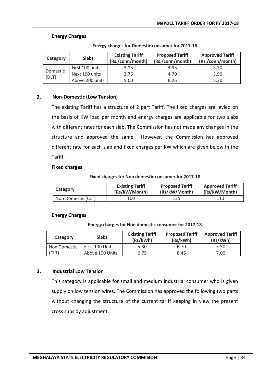# **Energy Charges**

| Category          | <b>Slabs</b>    | <b>Existing Tariff</b><br>(Rs./conn/month) | <b>Proposed Tariff</b><br>(Rs./conn/month) | <b>Approved Tariff</b><br>(Rs./conn/month) |
|-------------------|-----------------|--------------------------------------------|--------------------------------------------|--------------------------------------------|
|                   | First 100 units | 3.15                                       | 3.95                                       | 3.30                                       |
| Domestic<br>(DLT) | Next 100 units  | 3.75                                       | 4.70                                       | 3.90                                       |
|                   | Above 200 units | 5.00                                       | 6.25                                       | 5.30                                       |

#### **Energy charges for Domestic consumer for 2017-18**

# **2. Non-Domestic (Low Tension)**

The existing Tariff has a structure of 2 part Tariff. The fixed charges are levied on the basis of KW load per month and energy charges are applicable for two slabs with different rates for each slab. The Commission has not made any changes in the structure and approved the same. However, the Commission has approved different rate for each slab and fixed charges per KW which are given below in the Tariff.

#### **Fixed charges**

#### **Fixed charges for Non domestic consumer for 2017-18**

| Category           | <b>Existing Tariff</b> | <b>Proposed Tariff</b> | <b>Approved Tariff</b> |
|--------------------|------------------------|------------------------|------------------------|
|                    | (Rs/kW/Month)          | (Rs/kW/Month)          | (Rs/kW/Month)          |
| Non Domestic (CLT) | 100                    | 125                    | 110                    |

### **Energy Charges**

#### **Energy charges for Non domestic consumer for 2017-18**

| Category     | <b>Slabs</b>    | <b>Existing Tariff</b><br>(Rs/kWh) | <b>Proposed Tariff</b><br>(Rs/kWh) | <b>Approved Tariff</b><br>(Rs/kWh) |
|--------------|-----------------|------------------------------------|------------------------------------|------------------------------------|
| Non Domestic | First 100 Units | 5.30                               | 6.70                               | 5.50                               |
| (CLT)        | Above 100 Units | 6.75                               | 8.45                               | 7.00                               |

### **3. Industrial Low Tension**

This category is applicable for small and medium industrial consumer who is given supply on low tension wires. The Commission has approved the following two parts without changing the structure of the current tariff keeping in view the present cross subsidy adjustment.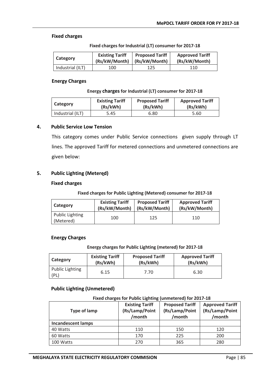#### **Fixed charges**

| Category         | <b>Existing Tariff</b> | <b>Proposed Tariff</b> | <b>Approved Tariff</b> |
|------------------|------------------------|------------------------|------------------------|
|                  | (Rs/kW/Month)          | (Rs/kW/Month)          | (Rs/kW/Month)          |
| Industrial (ILT) | 100                    | 125                    | 110                    |

# **Energy Charges**

#### **Energy charges for Industrial (LT) consumer for 2017-18**

**Fixed charges for Industrial (LT) consumer for 2017-18**

| Category         | <b>Existing Tariff</b> | <b>Proposed Tariff</b> | <b>Approved Tariff</b> |
|------------------|------------------------|------------------------|------------------------|
|                  | (Rs/kWh)               | (Rs/kWh)               | (Rs/kWh)               |
| Industrial (ILT) | 5.45                   | 6.80                   | 5.60                   |

### **4. Public Service Low Tension**

This category comes under Public Service connections given supply through LT lines. The approved Tariff for metered connections and unmetered connections are given below:

### **5. Public Lighting (Metered)**

#### **Fixed charges**

#### **Fixed charges for Public Lighting (Metered) consumer for 2017-18**

| Category                            | <b>Existing Tariff</b> | <b>Proposed Tariff</b> | <b>Approved Tariff</b> |
|-------------------------------------|------------------------|------------------------|------------------------|
|                                     | (Rs/kW/Month)          | (Rs/kW/Month)          | (Rs/kW/Month)          |
| <b>Public Lighting</b><br>(Metered) | 100                    | 125                    | 110                    |

#### **Energy Charges**

#### **Energy charges for Public Lighting (metered) for 2017-18**

| Category                       | <b>Existing Tariff</b> | <b>Proposed Tariff</b> | <b>Approved Tariff</b> |
|--------------------------------|------------------------|------------------------|------------------------|
|                                | (Rs/kWh)               | (Rs/kWh)               | (Rs/kWh)               |
| <b>Public Lighting</b><br>(PL) | 6.15                   | 7.70                   | 6.30                   |

### **Public Lighting (Unmetered)**

#### **Fixed charges for Public Lighting (unmetered) for 2017-18 Type of lamp Existing Tariff (Rs/Lamp/Point /month Proposed Tariff (Rs/Lamp/Point /month Approved Tariff (Rs/Lamp/Point /month Incandescent lamps**

# 40 Watts | 110 | 150 | 120 60 Watts 170 225 200 100 Watts 270 365 280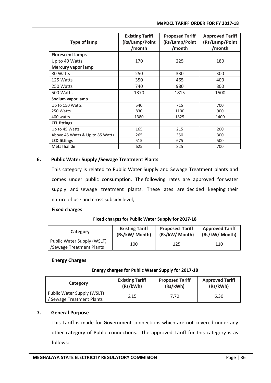| <b>Type of lamp</b>             | <b>Existing Tariff</b><br>(Rs/Lamp/Point<br>/month | <b>Proposed Tariff</b><br>(Rs/Lamp/Point<br>/month | <b>Approved Tariff</b><br>(Rs/Lamp/Point<br>/month |
|---------------------------------|----------------------------------------------------|----------------------------------------------------|----------------------------------------------------|
| <b>Florescent lamps</b>         |                                                    |                                                    |                                                    |
| Up to 40 Watts                  | 170                                                | 225                                                | 180                                                |
| <b>Mercury vapor lamp</b>       |                                                    |                                                    |                                                    |
| 80 Watts                        | 250                                                | 330                                                | 300                                                |
| 125 Watts                       | 350                                                | 465                                                | 400                                                |
| 250 Watts                       | 740                                                | 980                                                | 800                                                |
| 500 Watts                       | 1370                                               | 1815                                               | 1500                                               |
| Sodium vapor lamp               |                                                    |                                                    |                                                    |
| Up to 150 Watts                 | 540                                                | 715                                                | 700                                                |
| 250 Watts                       | 830                                                | 1100                                               | 900                                                |
| 400 watts                       | 1380                                               | 1825                                               | 1400                                               |
| <b>CFL fittings</b>             |                                                    |                                                    |                                                    |
| Up to 45 Watts                  | 165                                                | 215                                                | 200                                                |
| Above 45 Watts & Up to 85 Watts | 265                                                | 350                                                | 300                                                |
| <b>LED fittings</b>             | 515                                                | 675                                                | 500                                                |
| <b>Metal halide</b>             | 625                                                | 825                                                | 700                                                |

# **6. Public Water Supply /Sewage Treatment Plants**

This category is related to Public Water Supply and Sewage Treatment plants and comes under public consumption. The following rates are approved for water supply and sewage treatment plants. These ates are decided keeping their nature of use and cross subsidy level,

### **Fixed charges**

### **Fixed charges for Public Water Supply for 2017-18**

| Category                                               | <b>Existing Tariff</b> | <b>Proposed Tariff</b> | <b>Approved Tariff</b> |
|--------------------------------------------------------|------------------------|------------------------|------------------------|
|                                                        | (Rs/kW/ Month)         | (Rs/kW/ Month)         | (Rs/kW/ Month)         |
| Public Water Supply (WSLT)<br>/Sewage Treatment Plants | 100                    | 125                    | 110                    |

### **Energy Charges**

### **Energy charges for Public Water Supply for 2017-18**

| Category                                              | <b>Existing Tariff</b> | <b>Proposed Tariff</b> | <b>Approved Tariff</b> |
|-------------------------------------------------------|------------------------|------------------------|------------------------|
|                                                       | (Rs/kWh)               | (Rs/kWh)               | (Rs/kWh)               |
| Public Water Supply (WSLT)<br>Sewage Treatment Plants | 6.15                   | 7.70                   | 6.30                   |

# **7. General Purpose**

This Tariff is made for Government connections which are not covered under any other category of Public connections. The approved Tariff for this category is as follows: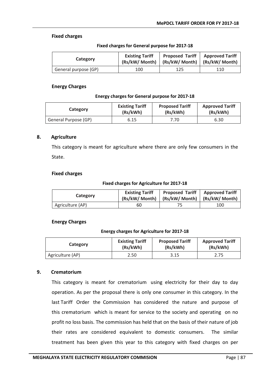#### **Fixed charges**

| Category             | <b>Existing Tariff</b><br>(Rs/kW/ Month)   (Rs/kW/ Month)   (Rs/kW/ Month) | Proposed Tariff   Approved Tariff |     |
|----------------------|----------------------------------------------------------------------------|-----------------------------------|-----|
| General purpose (GP) | 100                                                                        | 125                               | 110 |

#### **Fixed charges for General purpose for 2017-18**

#### **Energy Charges**

#### **Energy charges for General purpose for 2017-18**

| Category             | <b>Existing Tariff</b> | <b>Proposed Tariff</b> | <b>Approved Tariff</b> |
|----------------------|------------------------|------------------------|------------------------|
|                      | (Rs/kWh)               | (Rs/kWh)               | (Rs/kWh)               |
| General Purpose (GP) | 6.15                   | 7.70                   | 6.30                   |

#### **8. Agriculture**

This category is meant for agriculture where there are only few consumers in the State.

#### **Fixed charges**

#### **Fixed charges for Agriculture for 2017-18**

| Category         | <b>Existing Tariff</b> | <b>Proposed Tariff   Approved Tariff</b><br>(Rs/kW/ Month)   (Rs/kW/ Month)   (Rs/kW/ Month) |     |
|------------------|------------------------|----------------------------------------------------------------------------------------------|-----|
| Agriculture (AP) | 60                     |                                                                                              | 100 |

### **Energy Charges**

#### **Energy charges for Agriculture for 2017-18**

| Category         | <b>Existing Tariff</b> | <b>Proposed Tariff</b> | <b>Approved Tariff</b> |
|------------------|------------------------|------------------------|------------------------|
|                  | (Rs/kWh)               | (Rs/kWh)               | (Rs/kWh)               |
| Agriculture (AP) | 2.50                   | 3.15                   | 2.75                   |

### **9. Crematorium**

This category is meant for crematorium using electricity for their day to day operation. As per the proposal there is only one consumer in this category. In the last Tariff Order the Commission has considered the nature and purpose of this crematorium which is meant for service to the society and operating on no profit no loss basis. The commission has held that on the basis of their nature of job their rates are considered equivalent to domestic consumers. The similar treatment has been given this year to this category with fixed charges on per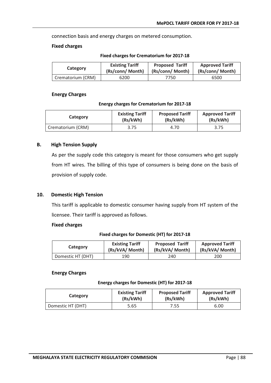connection basis and energy charges on metered consumption.

#### **Fixed charges**

| Category          | <b>Existing Tariff</b> | <b>Proposed Tariff</b> | <b>Approved Tariff</b> |
|-------------------|------------------------|------------------------|------------------------|
|                   | (Rs/conn/ Month)       | (Rs/conn/ Month)       | (Rs/conn/ Month)       |
| Crematorium (CRM) | 6200                   | 7750                   | 6500                   |

#### **Fixed charges for Crematorium for 2017-18**

#### **Energy Charges**

#### **Energy charges for Crematorium for 2017-18**

| Category          | <b>Existing Tariff</b> | <b>Proposed Tariff</b> | <b>Approved Tariff</b> |
|-------------------|------------------------|------------------------|------------------------|
|                   | (Rs/kWh)               | (Rs/kWh)               | (Rs/kWh)               |
| Crematorium (CRM) | 3.75                   | 4.70                   | 3.75                   |

#### **B. High Tension Supply**

As per the supply code this category is meant for those consumers who get supply from HT wires. The billing of this type of consumers is being done on the basis of provision of supply code.

### **10. Domestic High Tension**

This tariff is applicable to domestic consumer having supply from HT system of the licensee. Their tariff is approved as follows.

#### **Fixed charges**

#### **Fixed charges for Domestic (HT) for 2017-18**

| Category          | <b>Existing Tariff</b> | <b>Proposed Tariff</b> | <b>Approved Tariff</b> |
|-------------------|------------------------|------------------------|------------------------|
|                   | (Rs/kVA/ Month)        | (Rs/kVA/ Month)        | (Rs/kVA/ Month)        |
| Domestic HT (DHT) | 190                    | 240                    | 200                    |

#### **Energy Charges**

#### **Energy charges for Domestic (HT) for 2017-18**

| Category          | <b>Existing Tariff</b> | <b>Proposed Tariff</b> | <b>Approved Tariff</b> |
|-------------------|------------------------|------------------------|------------------------|
|                   | (Rs/kWh)               | (Rs/kWh)               | (Rs/kWh)               |
| Domestic HT (DHT) | 5.65                   | 7.55                   | 6.00                   |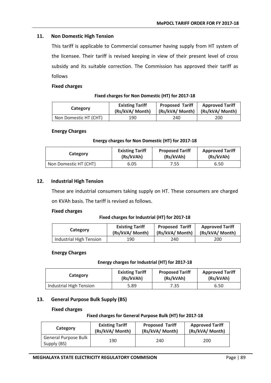# **11. Non Domestic High Tension**

This tariff is applicable to Commercial consumer having supply from HT system of the licensee. Their tariff is revised keeping in view of their present level of cross subsidy and its suitable correction. The Commission has approved their tariff as follows

#### **Fixed charges**

#### **Fixed charges for Non Domestic (HT) for 2017-18**

| Category              | <b>Existing Tariff</b><br>(Rs/kVA/ Month) | <b>Proposed Tariff</b><br>(Rs/kVA/ Month)   (Rs/kVA/ Month) | <b>Approved Tariff</b> |
|-----------------------|-------------------------------------------|-------------------------------------------------------------|------------------------|
| Non Domestic HT (CHT) | 190                                       | 240                                                         | 200                    |

#### **Energy Charges**

#### **Energy charges for Non Domestic (HT) for 2017-18**

| Category              | <b>Existing Tariff</b> | <b>Proposed Tariff</b> | <b>Approved Tariff</b> |
|-----------------------|------------------------|------------------------|------------------------|
|                       | (Rs/kVAh)              | (Rs/kVAh)              | (Rs/kVAh)              |
| Non Domestic HT (CHT) | 6.05                   | 7.55                   | 6.50                   |

### **12. Industrial High Tension**

These are industrial consumers taking supply on HT. These consumers are charged on KVAh basis. The tariff is revised as follows.

#### **Fixed charges**

#### **Fixed charges for Industrial (HT) for 2017-18**

| Category                | <b>Existing Tariff</b> | <b>Proposed Tariff</b> | <b>Approved Tariff</b> |
|-------------------------|------------------------|------------------------|------------------------|
|                         | (Rs/kVA/ Month)        | (Rs/kVA/ Month)        | (Rs/kVA/ Month)        |
| Industrial High Tension | 190                    | 240                    | 200                    |

#### **Energy Charges**

#### **Energy charges for Industrial (HT) for 2017-18**

| Category                | <b>Existing Tariff</b> | <b>Proposed Tariff</b> | <b>Approved Tariff</b> |
|-------------------------|------------------------|------------------------|------------------------|
|                         | (Rs/kVAh)              | (Rs/kVAh)              | (Rs/kVAh)              |
| Industrial High Tension | 5.89                   | 7.35                   | 6.50                   |

# **13. General Purpose Bulk Supply (BS)**

#### **Fixed charges**

#### **Fixed charges for General Purpose Bulk (HT) for 2017-18**

| Category                                   | <b>Existing Tariff</b> | <b>Proposed Tariff</b> | <b>Approved Tariff</b> |
|--------------------------------------------|------------------------|------------------------|------------------------|
|                                            | (Rs/kVA/ Month)        | (Rs/kVA/ Month)        | (Rs/kVA/ Month)        |
| <b>General Purpose Bulk</b><br>Supply (BS) | 190                    | 240                    | 200                    |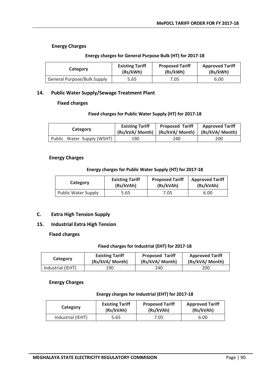### **Energy Charges**

| Category                           | <b>Existing Tariff</b><br>(Rs/kWh) | <b>Proposed Tariff</b><br>(Rs/kWh) | <b>Approved Tariff</b><br>(Rs/kWh) |
|------------------------------------|------------------------------------|------------------------------------|------------------------------------|
| <b>General Purpose/Bulk Supply</b> | 5.65                               | 7.05                               | 6.00                               |

#### **Energy charges for General Purpose Bulk (HT) for 2017-18**

### **14. Public Water Supply/Sewage Treatment Plant**

### **Fixed charges**

#### **Fixed charges for Public Water Supply (HT) for 2017-18**

| Category                   | <b>Existing Tariff</b> | <b>Proposed Tariff</b><br>(Rs/kVA/ Month)   (Rs/kVA/ Month) | <b>Approved Tariff</b><br>(Rs/kVA/ Month) |
|----------------------------|------------------------|-------------------------------------------------------------|-------------------------------------------|
| Public Water Supply (WSHT) | 190                    | 240                                                         | 200                                       |

#### **Energy Charges**

#### **Energy charges for Public Water Supply (HT) for 2017-18**

| Category                   | <b>Existing Tariff</b> | <b>Proposed Tariff</b> | <b>Approved Tariff</b> |
|----------------------------|------------------------|------------------------|------------------------|
|                            | (Rs/kVAh)              | (Rs/kVAh)              | (Rs/kVAh)              |
| <b>Public Water Supply</b> | 5.65                   | 7.05                   | 6.00                   |

### **C. Extra High Tension Supply**

# **15. Industrial Extra High Tension**

### **Fixed charges**

#### **Fixed charges for Industrial (EHT) for 2017-18**

| Category          | <b>Existing Tariff</b> | <b>Proposed Tariff</b> | <b>Approved Tariff</b> |
|-------------------|------------------------|------------------------|------------------------|
|                   | (Rs/kVA/ Month)        | (Rs/kVA/ Month)        | (Rs/kVA/ Month)        |
| Industrial (IEHT) | 190                    | 240                    | 200                    |

### **Energy Charges**

#### **Energy charges for Industrial (EHT) for 2017-18**

| Category          | <b>Existing Tariff</b> | <b>Proposed Tariff</b> | <b>Approved Tariff</b> |
|-------------------|------------------------|------------------------|------------------------|
|                   | (Rs/kVAh)              | (Rs/kVAh)              | (Rs/kVAh)              |
| Industrial (IEHT) | 5.65                   | 7.05                   | 6.00                   |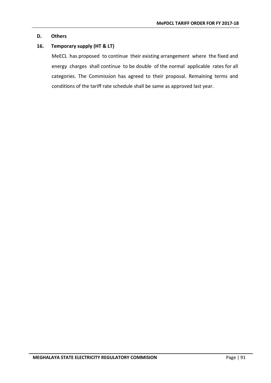# **D. Others**

# **16. Temporary supply (HT & LT)**

MeECL has proposed to continue their existing arrangement where the fixed and energy charges shall continue to be double of the normal applicable rates for all categories. The Commission has agreed to their proposal. Remaining terms and conditions of the tariff rate schedule shall be same as approved last year.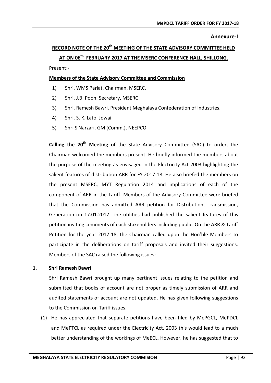#### **Annexure-I**

# **RECORD NOTE OF THE 20th MEETING OF THE STATE ADVISORY COMMITTEE HELD AT ON 06th FEBRUARY 2017 AT THE MSERC CONFERENCE HALL, SHILLONG.**

Present:-

### **Members of the State Advisory Committee and Commission**

- 1) Shri. WMS Pariat, Chairman, MSERC.
- 2) Shri. J.B. Poon, Secretary, MSERC
- 3) Shri. Ramesh Bawri, President Meghalaya Confederation of Industries.
- 4) Shri. S. K. Lato, Jowai.
- 5) Shri S Narzari, GM (Comm.), NEEPCO

**Calling the 20th Meeting** of the State Advisory Committee (SAC) to order, the Chairman welcomed the members present. He briefly informed the members about the purpose of the meeting as envisaged in the Electricity Act 2003 highlighting the salient features of distribution ARR for FY 2017-18. He also briefed the members on the present MSERC, MYT Regulation 2014 and implications of each of the component of ARR in the Tariff. Members of the Advisory Committee were briefed that the Commission has admitted ARR petition for Distribution, Transmission, Generation on 17.01.2017. The utilities had published the salient features of this petition inviting comments of each stakeholders including public. On the ARR & Tariff Petition for the year 2017-18, the Chairman called upon the Hon'ble Members to participate in the deliberations on tariff proposals and invited their suggestions. Members of the SAC raised the following issues:

### **1. Shri Ramesh Bawri**

Shri Ramesh Bawri brought up many pertinent issues relating to the petition and submitted that books of account are not proper as timely submission of ARR and audited statements of account are not updated. He has given following suggestions to the Commission on Tariff issues.

(1) He has appreciated that separate petitions have been filed by MePGCL, MePDCL and MePTCL as required under the Electricity Act, 2003 this would lead to a much better understanding of the workings of MeECL. However, he has suggested that to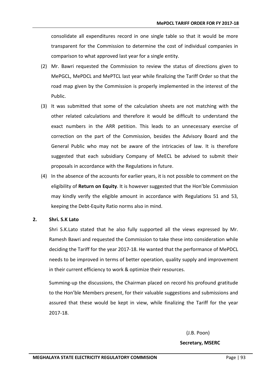consolidate all expenditures record in one single table so that it would be more transparent for the Commission to determine the cost of individual companies in comparison to what approved last year for a single entity.

- (2) Mr. Bawri requested the Commission to review the status of directions given to MePGCL, MePDCL and MePTCL last year while finalizing the Tariff Order so that the road map given by the Commission is properly implemented in the interest of the Public.
- (3) It was submitted that some of the calculation sheets are not matching with the other related calculations and therefore it would be difficult to understand the exact numbers in the ARR petition. This leads to an unnecessary exercise of correction on the part of the Commission, besides the Advisory Board and the General Public who may not be aware of the intricacies of law. It is therefore suggested that each subsidiary Company of MeECL be advised to submit their proposals in accordance with the Regulations in future.
- (4) In the absence of the accounts for earlier years, it is not possible to comment on the eligibility of **Return on Equity**. It is however suggested that the Hon'ble Commission may kindly verify the eligible amount in accordance with Regulations 51 and 53, keeping the Debt-Equity Ratio norms also in mind.

# **2. Shri. S.K Lato**

Shri S.K.Lato stated that he also fully supported all the views expressed by Mr. Ramesh Bawri and requested the Commission to take these into consideration while deciding the Tariff for the year 2017-18. He wanted that the performance of MePDCL needs to be improved in terms of better operation, quality supply and improvement in their current efficiency to work & optimize their resources.

Summing-up the discussions, the Chairman placed on record his profound gratitude to the Hon'ble Members present, for their valuable suggestions and submissions and assured that these would be kept in view, while finalizing the Tariff for the year 2017-18.

(J.B. Poon)

#### **Secretary, MSERC**